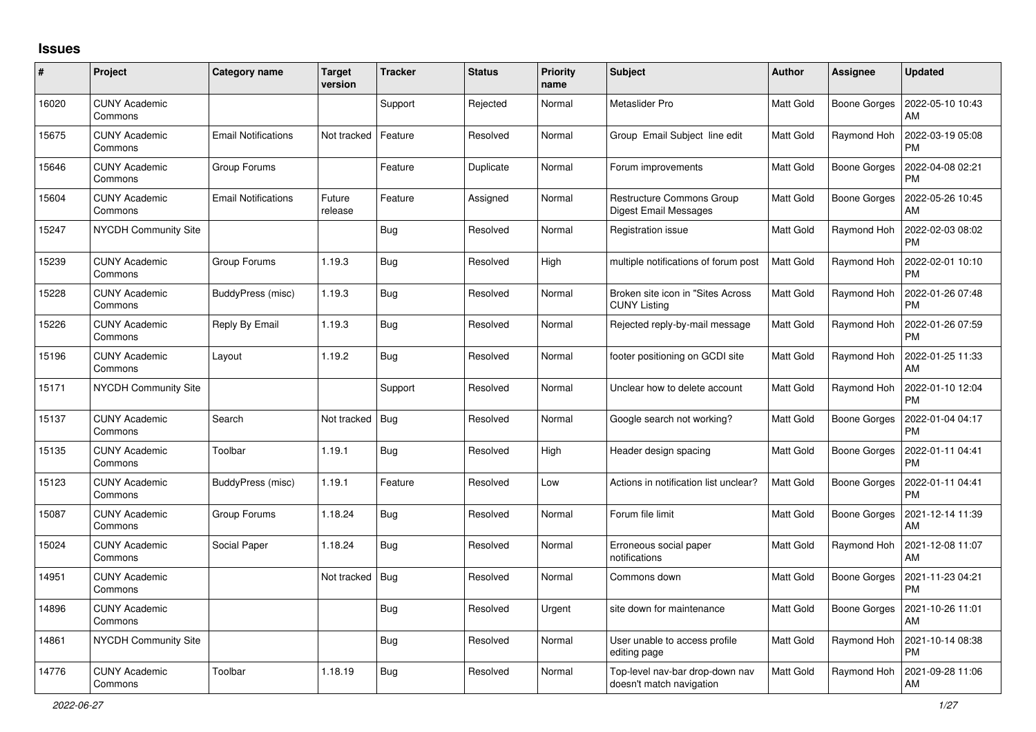## **Issues**

| $\pmb{\#}$ | Project                         | Category name              | <b>Target</b><br>version | <b>Tracker</b> | <b>Status</b> | <b>Priority</b><br>name | <b>Subject</b>                                                   | <b>Author</b>    | Assignee            | <b>Updated</b>                |
|------------|---------------------------------|----------------------------|--------------------------|----------------|---------------|-------------------------|------------------------------------------------------------------|------------------|---------------------|-------------------------------|
| 16020      | <b>CUNY Academic</b><br>Commons |                            |                          | Support        | Rejected      | Normal                  | Metaslider Pro                                                   | <b>Matt Gold</b> | Boone Gorges        | 2022-05-10 10:43<br>AM        |
| 15675      | <b>CUNY Academic</b><br>Commons | <b>Email Notifications</b> | Not tracked              | Feature        | Resolved      | Normal                  | Group Email Subject line edit                                    | Matt Gold        | Raymond Hoh         | 2022-03-19 05:08<br><b>PM</b> |
| 15646      | <b>CUNY Academic</b><br>Commons | Group Forums               |                          | Feature        | Duplicate     | Normal                  | Forum improvements                                               | Matt Gold        | <b>Boone Gorges</b> | 2022-04-08 02:21<br><b>PM</b> |
| 15604      | <b>CUNY Academic</b><br>Commons | <b>Email Notifications</b> | Future<br>release        | Feature        | Assigned      | Normal                  | <b>Restructure Commons Group</b><br><b>Digest Email Messages</b> | Matt Gold        | <b>Boone Gorges</b> | 2022-05-26 10:45<br>AM        |
| 15247      | NYCDH Community Site            |                            |                          | Bug            | Resolved      | Normal                  | Registration issue                                               | Matt Gold        | Raymond Hoh         | 2022-02-03 08:02<br><b>PM</b> |
| 15239      | <b>CUNY Academic</b><br>Commons | Group Forums               | 1.19.3                   | Bug            | Resolved      | High                    | multiple notifications of forum post                             | <b>Matt Gold</b> | Raymond Hoh         | 2022-02-01 10:10<br><b>PM</b> |
| 15228      | <b>CUNY Academic</b><br>Commons | BuddyPress (misc)          | 1.19.3                   | <b>Bug</b>     | Resolved      | Normal                  | Broken site icon in "Sites Across"<br><b>CUNY Listing</b>        | Matt Gold        | Raymond Hoh         | 2022-01-26 07:48<br><b>PM</b> |
| 15226      | <b>CUNY Academic</b><br>Commons | Reply By Email             | 1.19.3                   | <b>Bug</b>     | Resolved      | Normal                  | Rejected reply-by-mail message                                   | <b>Matt Gold</b> | Raymond Hoh         | 2022-01-26 07:59<br><b>PM</b> |
| 15196      | <b>CUNY Academic</b><br>Commons | Layout                     | 1.19.2                   | <b>Bug</b>     | Resolved      | Normal                  | footer positioning on GCDI site                                  | <b>Matt Gold</b> | Raymond Hoh         | 2022-01-25 11:33<br>AM        |
| 15171      | <b>NYCDH Community Site</b>     |                            |                          | Support        | Resolved      | Normal                  | Unclear how to delete account                                    | Matt Gold        | Raymond Hoh         | 2022-01-10 12:04<br><b>PM</b> |
| 15137      | <b>CUNY Academic</b><br>Commons | Search                     | Not tracked              | Bug            | Resolved      | Normal                  | Google search not working?                                       | <b>Matt Gold</b> | <b>Boone Gorges</b> | 2022-01-04 04:17<br><b>PM</b> |
| 15135      | <b>CUNY Academic</b><br>Commons | Toolbar                    | 1.19.1                   | <b>Bug</b>     | Resolved      | High                    | Header design spacing                                            | Matt Gold        | Boone Gorges        | 2022-01-11 04:41<br><b>PM</b> |
| 15123      | <b>CUNY Academic</b><br>Commons | BuddyPress (misc)          | 1.19.1                   | Feature        | Resolved      | Low                     | Actions in notification list unclear?                            | <b>Matt Gold</b> | Boone Gorges        | 2022-01-11 04:41<br><b>PM</b> |
| 15087      | <b>CUNY Academic</b><br>Commons | Group Forums               | 1.18.24                  | Bug            | Resolved      | Normal                  | Forum file limit                                                 | Matt Gold        | Boone Gorges        | 2021-12-14 11:39<br>AM        |
| 15024      | <b>CUNY Academic</b><br>Commons | Social Paper               | 1.18.24                  | <b>Bug</b>     | Resolved      | Normal                  | Erroneous social paper<br>notifications                          | Matt Gold        | Raymond Hoh         | 2021-12-08 11:07<br>AM        |
| 14951      | <b>CUNY Academic</b><br>Commons |                            | Not tracked              | Bug            | Resolved      | Normal                  | Commons down                                                     | <b>Matt Gold</b> | Boone Gorges        | 2021-11-23 04:21<br><b>PM</b> |
| 14896      | <b>CUNY Academic</b><br>Commons |                            |                          | <b>Bug</b>     | Resolved      | Urgent                  | site down for maintenance                                        | <b>Matt Gold</b> | Boone Gorges        | 2021-10-26 11:01<br>AM        |
| 14861      | <b>NYCDH Community Site</b>     |                            |                          | Bug            | Resolved      | Normal                  | User unable to access profile<br>editing page                    | <b>Matt Gold</b> | Raymond Hoh         | 2021-10-14 08:38<br>PM        |
| 14776      | <b>CUNY Academic</b><br>Commons | Toolbar                    | 1.18.19                  | <b>Bug</b>     | Resolved      | Normal                  | Top-level nav-bar drop-down nav<br>doesn't match navigation      | <b>Matt Gold</b> | Raymond Hoh         | 2021-09-28 11:06<br>AM        |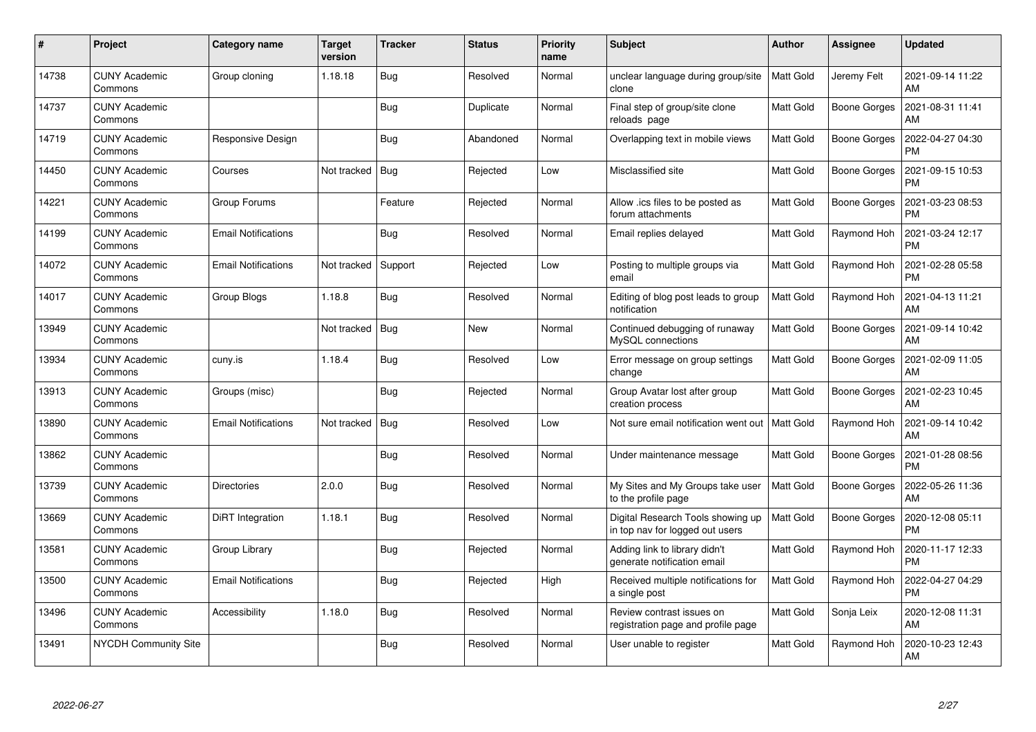| $\pmb{\#}$ | Project                         | Category name              | <b>Target</b><br>version | <b>Tracker</b> | <b>Status</b> | <b>Priority</b><br>name | <b>Subject</b>                                                       | Author           | Assignee            | <b>Updated</b>                |
|------------|---------------------------------|----------------------------|--------------------------|----------------|---------------|-------------------------|----------------------------------------------------------------------|------------------|---------------------|-------------------------------|
| 14738      | <b>CUNY Academic</b><br>Commons | Group cloning              | 1.18.18                  | Bug            | Resolved      | Normal                  | unclear language during group/site<br>clone                          | <b>Matt Gold</b> | Jeremy Felt         | 2021-09-14 11:22<br>AM        |
| 14737      | <b>CUNY Academic</b><br>Commons |                            |                          | Bug            | Duplicate     | Normal                  | Final step of group/site clone<br>reloads page                       | Matt Gold        | Boone Gorges        | 2021-08-31 11:41<br>AM        |
| 14719      | <b>CUNY Academic</b><br>Commons | Responsive Design          |                          | <b>Bug</b>     | Abandoned     | Normal                  | Overlapping text in mobile views                                     | Matt Gold        | <b>Boone Gorges</b> | 2022-04-27 04:30<br><b>PM</b> |
| 14450      | <b>CUNY Academic</b><br>Commons | Courses                    | Not tracked              | Bug            | Rejected      | Low                     | Misclassified site                                                   | <b>Matt Gold</b> | Boone Gorges        | 2021-09-15 10:53<br><b>PM</b> |
| 14221      | <b>CUNY Academic</b><br>Commons | Group Forums               |                          | Feature        | Rejected      | Normal                  | Allow .ics files to be posted as<br>forum attachments                | <b>Matt Gold</b> | Boone Gorges        | 2021-03-23 08:53<br><b>PM</b> |
| 14199      | <b>CUNY Academic</b><br>Commons | <b>Email Notifications</b> |                          | <b>Bug</b>     | Resolved      | Normal                  | Email replies delayed                                                | Matt Gold        | Raymond Hoh         | 2021-03-24 12:17<br><b>PM</b> |
| 14072      | <b>CUNY Academic</b><br>Commons | <b>Email Notifications</b> | Not tracked              | Support        | Rejected      | Low                     | Posting to multiple groups via<br>email                              | <b>Matt Gold</b> | Raymond Hoh         | 2021-02-28 05:58<br><b>PM</b> |
| 14017      | <b>CUNY Academic</b><br>Commons | Group Blogs                | 1.18.8                   | Bug            | Resolved      | Normal                  | Editing of blog post leads to group<br>notification                  | Matt Gold        | Raymond Hoh         | 2021-04-13 11:21<br>AM        |
| 13949      | <b>CUNY Academic</b><br>Commons |                            | Not tracked              | Bug            | <b>New</b>    | Normal                  | Continued debugging of runaway<br>MySQL connections                  | <b>Matt Gold</b> | Boone Gorges        | 2021-09-14 10:42<br>AM        |
| 13934      | <b>CUNY Academic</b><br>Commons | cuny.is                    | 1.18.4                   | Bug            | Resolved      | Low                     | Error message on group settings<br>change                            | <b>Matt Gold</b> | Boone Gorges        | 2021-02-09 11:05<br>AM        |
| 13913      | <b>CUNY Academic</b><br>Commons | Groups (misc)              |                          | Bug            | Rejected      | Normal                  | Group Avatar lost after group<br>creation process                    | <b>Matt Gold</b> | <b>Boone Gorges</b> | 2021-02-23 10:45<br>AM        |
| 13890      | <b>CUNY Academic</b><br>Commons | <b>Email Notifications</b> | Not tracked              | Bug            | Resolved      | Low                     | Not sure email notification went out                                 | Matt Gold        | Raymond Hoh         | 2021-09-14 10:42<br>AM        |
| 13862      | <b>CUNY Academic</b><br>Commons |                            |                          | <b>Bug</b>     | Resolved      | Normal                  | Under maintenance message                                            | Matt Gold        | Boone Gorges        | 2021-01-28 08:56<br><b>PM</b> |
| 13739      | <b>CUNY Academic</b><br>Commons | <b>Directories</b>         | 2.0.0                    | Bug            | Resolved      | Normal                  | My Sites and My Groups take user<br>to the profile page              | Matt Gold        | Boone Gorges        | 2022-05-26 11:36<br>AM        |
| 13669      | <b>CUNY Academic</b><br>Commons | DiRT Integration           | 1.18.1                   | Bug            | Resolved      | Normal                  | Digital Research Tools showing up<br>in top nav for logged out users | Matt Gold        | Boone Gorges        | 2020-12-08 05:11<br><b>PM</b> |
| 13581      | <b>CUNY Academic</b><br>Commons | Group Library              |                          | Bug            | Rejected      | Normal                  | Adding link to library didn't<br>generate notification email         | Matt Gold        | Raymond Hoh         | 2020-11-17 12:33<br><b>PM</b> |
| 13500      | <b>CUNY Academic</b><br>Commons | <b>Email Notifications</b> |                          | <b>Bug</b>     | Rejected      | High                    | Received multiple notifications for<br>a single post                 | <b>Matt Gold</b> | Raymond Hoh         | 2022-04-27 04:29<br><b>PM</b> |
| 13496      | <b>CUNY Academic</b><br>Commons | Accessibility              | 1.18.0                   | Bug            | Resolved      | Normal                  | Review contrast issues on<br>registration page and profile page      | Matt Gold        | Sonja Leix          | 2020-12-08 11:31<br>AM        |
| 13491      | NYCDH Community Site            |                            |                          | <b>Bug</b>     | Resolved      | Normal                  | User unable to register                                              | Matt Gold        | Raymond Hoh         | 2020-10-23 12:43<br>AM        |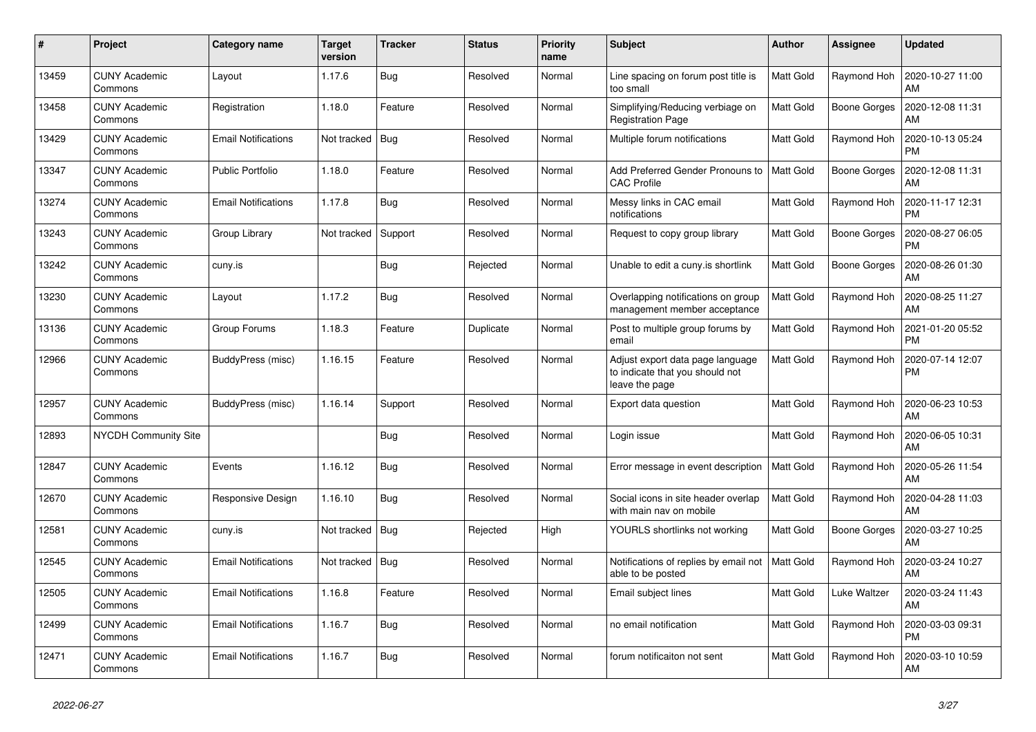| $\#$  | Project                         | Category name              | <b>Target</b><br>version | <b>Tracker</b> | <b>Status</b> | <b>Priority</b><br>name | <b>Subject</b>                                                                        | <b>Author</b>    | Assignee            | <b>Updated</b>                |
|-------|---------------------------------|----------------------------|--------------------------|----------------|---------------|-------------------------|---------------------------------------------------------------------------------------|------------------|---------------------|-------------------------------|
| 13459 | <b>CUNY Academic</b><br>Commons | Layout                     | 1.17.6                   | <b>Bug</b>     | Resolved      | Normal                  | Line spacing on forum post title is<br>too small                                      | <b>Matt Gold</b> | Raymond Hoh         | 2020-10-27 11:00<br>AM        |
| 13458 | <b>CUNY Academic</b><br>Commons | Registration               | 1.18.0                   | Feature        | Resolved      | Normal                  | Simplifying/Reducing verbiage on<br><b>Registration Page</b>                          | Matt Gold        | <b>Boone Gorges</b> | 2020-12-08 11:31<br>AM        |
| 13429 | <b>CUNY Academic</b><br>Commons | <b>Email Notifications</b> | Not tracked              | Bug            | Resolved      | Normal                  | Multiple forum notifications                                                          | Matt Gold        | Raymond Hoh         | 2020-10-13 05:24<br><b>PM</b> |
| 13347 | <b>CUNY Academic</b><br>Commons | <b>Public Portfolio</b>    | 1.18.0                   | Feature        | Resolved      | Normal                  | Add Preferred Gender Pronouns to<br><b>CAC Profile</b>                                | <b>Matt Gold</b> | Boone Gorges        | 2020-12-08 11:31<br>AM        |
| 13274 | <b>CUNY Academic</b><br>Commons | <b>Email Notifications</b> | 1.17.8                   | <b>Bug</b>     | Resolved      | Normal                  | Messy links in CAC email<br>notifications                                             | Matt Gold        | Raymond Hoh         | 2020-11-17 12:31<br><b>PM</b> |
| 13243 | <b>CUNY Academic</b><br>Commons | Group Library              | Not tracked              | Support        | Resolved      | Normal                  | Request to copy group library                                                         | Matt Gold        | <b>Boone Gorges</b> | 2020-08-27 06:05<br><b>PM</b> |
| 13242 | <b>CUNY Academic</b><br>Commons | cuny.is                    |                          | Bug            | Rejected      | Normal                  | Unable to edit a cuny is shortlink                                                    | <b>Matt Gold</b> | Boone Gorges        | 2020-08-26 01:30<br>AM        |
| 13230 | <b>CUNY Academic</b><br>Commons | Layout                     | 1.17.2                   | Bug            | Resolved      | Normal                  | Overlapping notifications on group<br>management member acceptance                    | <b>Matt Gold</b> | Raymond Hoh         | 2020-08-25 11:27<br>AM        |
| 13136 | CUNY Academic<br>Commons        | Group Forums               | 1.18.3                   | Feature        | Duplicate     | Normal                  | Post to multiple group forums by<br>email                                             | Matt Gold        | Raymond Hoh         | 2021-01-20 05:52<br><b>PM</b> |
| 12966 | <b>CUNY Academic</b><br>Commons | BuddyPress (misc)          | 1.16.15                  | Feature        | Resolved      | Normal                  | Adjust export data page language<br>to indicate that you should not<br>leave the page | Matt Gold        | Raymond Hoh         | 2020-07-14 12:07<br><b>PM</b> |
| 12957 | <b>CUNY Academic</b><br>Commons | BuddyPress (misc)          | 1.16.14                  | Support        | Resolved      | Normal                  | Export data question                                                                  | <b>Matt Gold</b> | Raymond Hoh         | 2020-06-23 10:53<br>AM        |
| 12893 | <b>NYCDH Community Site</b>     |                            |                          | <b>Bug</b>     | Resolved      | Normal                  | Login issue                                                                           | Matt Gold        | Raymond Hoh         | 2020-06-05 10:31<br>AM        |
| 12847 | <b>CUNY Academic</b><br>Commons | Events                     | 1.16.12                  | <b>Bug</b>     | Resolved      | Normal                  | Error message in event description                                                    | <b>Matt Gold</b> | Raymond Hoh         | 2020-05-26 11:54<br>AM        |
| 12670 | <b>CUNY Academic</b><br>Commons | Responsive Design          | 1.16.10                  | Bug            | Resolved      | Normal                  | Social icons in site header overlap<br>with main nav on mobile                        | Matt Gold        | Raymond Hoh         | 2020-04-28 11:03<br>AM        |
| 12581 | <b>CUNY Academic</b><br>Commons | cuny.is                    | Not tracked              | Bug            | Rejected      | High                    | YOURLS shortlinks not working                                                         | <b>Matt Gold</b> | Boone Gorges        | 2020-03-27 10:25<br>AM        |
| 12545 | <b>CUNY Academic</b><br>Commons | <b>Email Notifications</b> | Not tracked              | Bug            | Resolved      | Normal                  | Notifications of replies by email not<br>able to be posted                            | Matt Gold        | Raymond Hoh         | 2020-03-24 10:27<br>AM        |
| 12505 | <b>CUNY Academic</b><br>Commons | <b>Email Notifications</b> | 1.16.8                   | Feature        | Resolved      | Normal                  | Email subject lines                                                                   | Matt Gold        | Luke Waltzer        | 2020-03-24 11:43<br>AM        |
| 12499 | <b>CUNY Academic</b><br>Commons | <b>Email Notifications</b> | 1.16.7                   | Bug            | Resolved      | Normal                  | no email notification                                                                 | <b>Matt Gold</b> | Raymond Hoh         | 2020-03-03 09:31<br><b>PM</b> |
| 12471 | <b>CUNY Academic</b><br>Commons | <b>Email Notifications</b> | 1.16.7                   | <b>Bug</b>     | Resolved      | Normal                  | forum notificaiton not sent                                                           | Matt Gold        | Raymond Hoh         | 2020-03-10 10:59<br>AM        |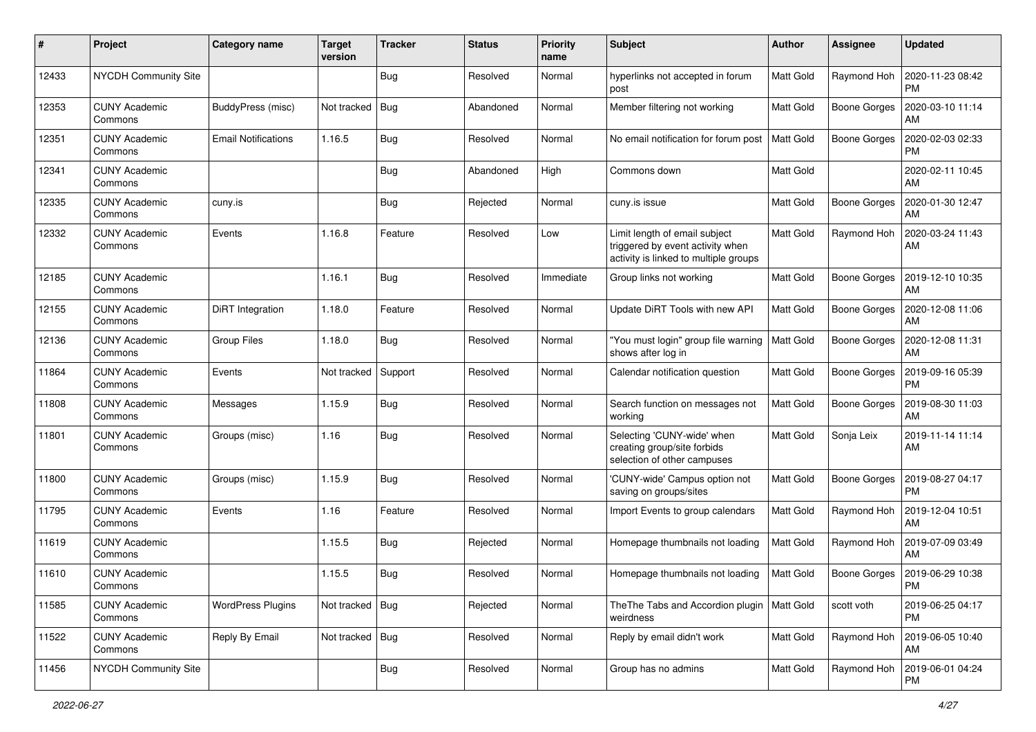| #     | Project                         | Category name              | <b>Target</b><br>version | <b>Tracker</b> | <b>Status</b> | <b>Priority</b><br>name | Subject                                                                                                    | Author           | <b>Assignee</b>     | <b>Updated</b>                |
|-------|---------------------------------|----------------------------|--------------------------|----------------|---------------|-------------------------|------------------------------------------------------------------------------------------------------------|------------------|---------------------|-------------------------------|
| 12433 | NYCDH Community Site            |                            |                          | <b>Bug</b>     | Resolved      | Normal                  | hyperlinks not accepted in forum<br>post                                                                   | <b>Matt Gold</b> | Raymond Hoh         | 2020-11-23 08:42<br><b>PM</b> |
| 12353 | <b>CUNY Academic</b><br>Commons | BuddyPress (misc)          | Not tracked              | <b>Bug</b>     | Abandoned     | Normal                  | Member filtering not working                                                                               | <b>Matt Gold</b> | <b>Boone Gorges</b> | 2020-03-10 11:14<br>AM        |
| 12351 | <b>CUNY Academic</b><br>Commons | <b>Email Notifications</b> | 1.16.5                   | Bug            | Resolved      | Normal                  | No email notification for forum post                                                                       | <b>Matt Gold</b> | <b>Boone Gorges</b> | 2020-02-03 02:33<br><b>PM</b> |
| 12341 | <b>CUNY Academic</b><br>Commons |                            |                          | Bug            | Abandoned     | High                    | Commons down                                                                                               | <b>Matt Gold</b> |                     | 2020-02-11 10:45<br>AM        |
| 12335 | <b>CUNY Academic</b><br>Commons | cuny.is                    |                          | <b>Bug</b>     | Rejected      | Normal                  | cuny.is issue                                                                                              | <b>Matt Gold</b> | <b>Boone Gorges</b> | 2020-01-30 12:47<br>AM        |
| 12332 | <b>CUNY Academic</b><br>Commons | Events                     | 1.16.8                   | Feature        | Resolved      | Low                     | Limit length of email subject<br>triggered by event activity when<br>activity is linked to multiple groups | Matt Gold        | Raymond Hoh         | 2020-03-24 11:43<br>AM        |
| 12185 | <b>CUNY Academic</b><br>Commons |                            | 1.16.1                   | <b>Bug</b>     | Resolved      | Immediate               | Group links not working                                                                                    | Matt Gold        | <b>Boone Gorges</b> | 2019-12-10 10:35<br>AM        |
| 12155 | <b>CUNY Academic</b><br>Commons | DiRT Integration           | 1.18.0                   | Feature        | Resolved      | Normal                  | Update DiRT Tools with new API                                                                             | <b>Matt Gold</b> | Boone Gorges        | 2020-12-08 11:06<br>AM        |
| 12136 | <b>CUNY Academic</b><br>Commons | <b>Group Files</b>         | 1.18.0                   | Bug            | Resolved      | Normal                  | "You must login" group file warning<br>shows after log in                                                  | Matt Gold        | <b>Boone Gorges</b> | 2020-12-08 11:31<br>AM        |
| 11864 | <b>CUNY Academic</b><br>Commons | Events                     | Not tracked              | Support        | Resolved      | Normal                  | Calendar notification question                                                                             | <b>Matt Gold</b> | <b>Boone Gorges</b> | 2019-09-16 05:39<br><b>PM</b> |
| 11808 | <b>CUNY Academic</b><br>Commons | Messages                   | 1.15.9                   | <b>Bug</b>     | Resolved      | Normal                  | Search function on messages not<br>working                                                                 | Matt Gold        | <b>Boone Gorges</b> | 2019-08-30 11:03<br>AM        |
| 11801 | <b>CUNY Academic</b><br>Commons | Groups (misc)              | 1.16                     | Bug            | Resolved      | Normal                  | Selecting 'CUNY-wide' when<br>creating group/site forbids<br>selection of other campuses                   | <b>Matt Gold</b> | Sonja Leix          | 2019-11-14 11:14<br>AM        |
| 11800 | <b>CUNY Academic</b><br>Commons | Groups (misc)              | 1.15.9                   | Bug            | Resolved      | Normal                  | 'CUNY-wide' Campus option not<br>saving on groups/sites                                                    | Matt Gold        | <b>Boone Gorges</b> | 2019-08-27 04:17<br><b>PM</b> |
| 11795 | <b>CUNY Academic</b><br>Commons | Events                     | 1.16                     | Feature        | Resolved      | Normal                  | Import Events to group calendars                                                                           | Matt Gold        | Raymond Hoh         | 2019-12-04 10:51<br>AM        |
| 11619 | <b>CUNY Academic</b><br>Commons |                            | 1.15.5                   | <b>Bug</b>     | Rejected      | Normal                  | Homepage thumbnails not loading                                                                            | Matt Gold        | Raymond Hoh         | 2019-07-09 03:49<br>AM        |
| 11610 | CUNY Academic<br>Commons        |                            | 1.15.5                   | <b>Bug</b>     | Resolved      | Normal                  | Homepage thumbnails not loading                                                                            | Matt Gold        | Boone Gorges        | 2019-06-29 10:38<br>PM        |
| 11585 | <b>CUNY Academic</b><br>Commons | <b>WordPress Plugins</b>   | Not tracked   Bug        |                | Rejected      | Normal                  | The The Tabs and Accordion plugin<br>weirdness                                                             | Matt Gold        | scott voth          | 2019-06-25 04:17<br>PM        |
| 11522 | <b>CUNY Academic</b><br>Commons | Reply By Email             | Not tracked   Bug        |                | Resolved      | Normal                  | Reply by email didn't work                                                                                 | Matt Gold        | Raymond Hoh         | 2019-06-05 10:40<br>AM        |
| 11456 | NYCDH Community Site            |                            |                          | <b>Bug</b>     | Resolved      | Normal                  | Group has no admins                                                                                        | Matt Gold        | Raymond Hoh         | 2019-06-01 04:24<br>PM        |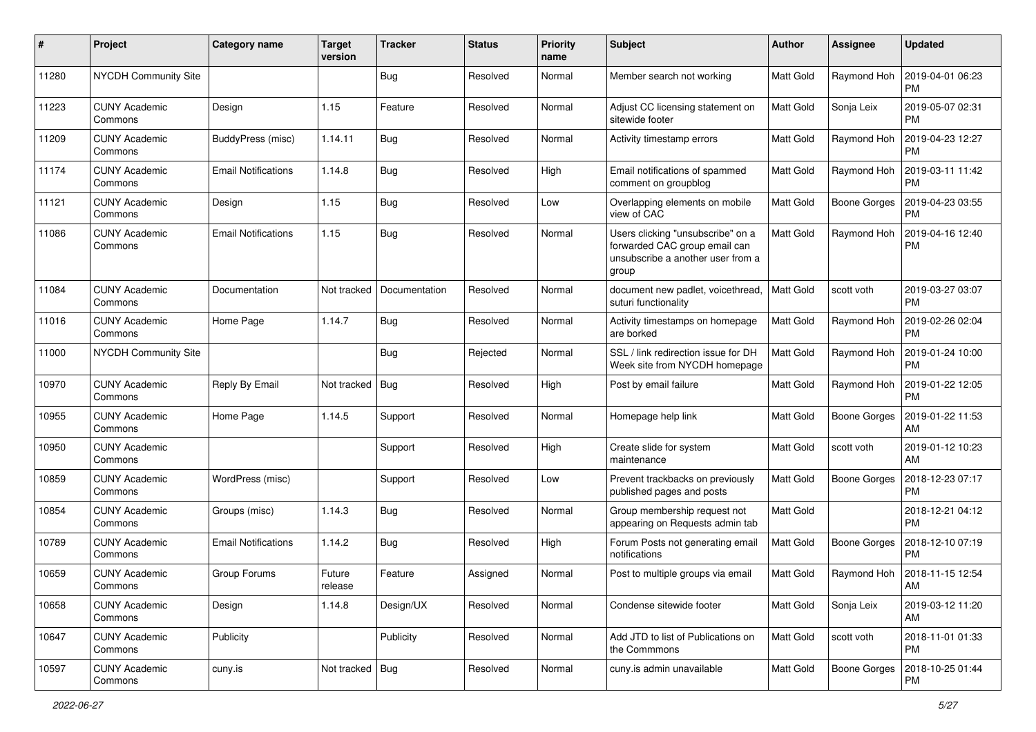| #     | Project                         | Category name              | <b>Target</b><br>version | <b>Tracker</b> | <b>Status</b> | <b>Priority</b><br>name | Subject                                                                                                          | Author           | <b>Assignee</b>     | <b>Updated</b>                |
|-------|---------------------------------|----------------------------|--------------------------|----------------|---------------|-------------------------|------------------------------------------------------------------------------------------------------------------|------------------|---------------------|-------------------------------|
| 11280 | <b>NYCDH Community Site</b>     |                            |                          | Bug            | Resolved      | Normal                  | Member search not working                                                                                        | <b>Matt Gold</b> | Raymond Hoh         | 2019-04-01 06:23<br><b>PM</b> |
| 11223 | <b>CUNY Academic</b><br>Commons | Design                     | 1.15                     | Feature        | Resolved      | Normal                  | Adjust CC licensing statement on<br>sitewide footer                                                              | Matt Gold        | Sonja Leix          | 2019-05-07 02:31<br><b>PM</b> |
| 11209 | <b>CUNY Academic</b><br>Commons | BuddyPress (misc)          | 1.14.11                  | Bug            | Resolved      | Normal                  | Activity timestamp errors                                                                                        | <b>Matt Gold</b> | Raymond Hoh         | 2019-04-23 12:27<br><b>PM</b> |
| 11174 | <b>CUNY Academic</b><br>Commons | <b>Email Notifications</b> | 1.14.8                   | <b>Bug</b>     | Resolved      | High                    | Email notifications of spammed<br>comment on groupblog                                                           | <b>Matt Gold</b> | Raymond Hoh         | 2019-03-11 11:42<br><b>PM</b> |
| 11121 | <b>CUNY Academic</b><br>Commons | Design                     | 1.15                     | Bug            | Resolved      | Low                     | Overlapping elements on mobile<br>view of CAC                                                                    | Matt Gold        | <b>Boone Gorges</b> | 2019-04-23 03:55<br><b>PM</b> |
| 11086 | <b>CUNY Academic</b><br>Commons | <b>Email Notifications</b> | 1.15                     | <b>Bug</b>     | Resolved      | Normal                  | Users clicking "unsubscribe" on a<br>forwarded CAC group email can<br>unsubscribe a another user from a<br>group | Matt Gold        | Raymond Hoh         | 2019-04-16 12:40<br><b>PM</b> |
| 11084 | <b>CUNY Academic</b><br>Commons | Documentation              | Not tracked              | Documentation  | Resolved      | Normal                  | document new padlet, voicethread,<br>suturi functionality                                                        | <b>Matt Gold</b> | scott voth          | 2019-03-27 03:07<br>PM        |
| 11016 | <b>CUNY Academic</b><br>Commons | Home Page                  | 1.14.7                   | Bug            | Resolved      | Normal                  | Activity timestamps on homepage<br>are borked                                                                    | Matt Gold        | Raymond Hoh         | 2019-02-26 02:04<br><b>PM</b> |
| 11000 | <b>NYCDH Community Site</b>     |                            |                          | Bug            | Rejected      | Normal                  | SSL / link redirection issue for DH<br>Week site from NYCDH homepage                                             | Matt Gold        | Raymond Hoh         | 2019-01-24 10:00<br><b>PM</b> |
| 10970 | <b>CUNY Academic</b><br>Commons | Reply By Email             | Not tracked              | <b>Bug</b>     | Resolved      | High                    | Post by email failure                                                                                            | Matt Gold        | Raymond Hoh         | 2019-01-22 12:05<br><b>PM</b> |
| 10955 | <b>CUNY Academic</b><br>Commons | Home Page                  | 1.14.5                   | Support        | Resolved      | Normal                  | Homepage help link                                                                                               | <b>Matt Gold</b> | <b>Boone Gorges</b> | 2019-01-22 11:53<br>AM        |
| 10950 | <b>CUNY Academic</b><br>Commons |                            |                          | Support        | Resolved      | High                    | Create slide for system<br>maintenance                                                                           | <b>Matt Gold</b> | scott voth          | 2019-01-12 10:23<br>AM        |
| 10859 | <b>CUNY Academic</b><br>Commons | WordPress (misc)           |                          | Support        | Resolved      | Low                     | Prevent trackbacks on previously<br>published pages and posts                                                    | <b>Matt Gold</b> | <b>Boone Gorges</b> | 2018-12-23 07:17<br><b>PM</b> |
| 10854 | <b>CUNY Academic</b><br>Commons | Groups (misc)              | 1.14.3                   | Bug            | Resolved      | Normal                  | Group membership request not<br>appearing on Requests admin tab                                                  | Matt Gold        |                     | 2018-12-21 04:12<br><b>PM</b> |
| 10789 | <b>CUNY Academic</b><br>Commons | <b>Email Notifications</b> | 1.14.2                   | Bug            | Resolved      | High                    | Forum Posts not generating email<br>notifications                                                                | Matt Gold        | Boone Gorges        | 2018-12-10 07:19<br><b>PM</b> |
| 10659 | <b>CUNY Academic</b><br>Commons | Group Forums               | Future<br>release        | Feature        | Assigned      | Normal                  | Post to multiple groups via email                                                                                | Matt Gold        | Raymond Hoh         | 2018-11-15 12:54<br>AM        |
| 10658 | <b>CUNY Academic</b><br>Commons | Design                     | 1.14.8                   | Design/UX      | Resolved      | Normal                  | Condense sitewide footer                                                                                         | Matt Gold        | Sonja Leix          | 2019-03-12 11:20<br>AM        |
| 10647 | <b>CUNY Academic</b><br>Commons | Publicity                  |                          | Publicity      | Resolved      | Normal                  | Add JTD to list of Publications on<br>the Commmons                                                               | Matt Gold        | scott voth          | 2018-11-01 01:33<br><b>PM</b> |
| 10597 | <b>CUNY Academic</b><br>Commons | cuny.is                    | Not tracked   Bug        |                | Resolved      | Normal                  | cuny.is admin unavailable                                                                                        | Matt Gold        | <b>Boone Gorges</b> | 2018-10-25 01:44<br><b>PM</b> |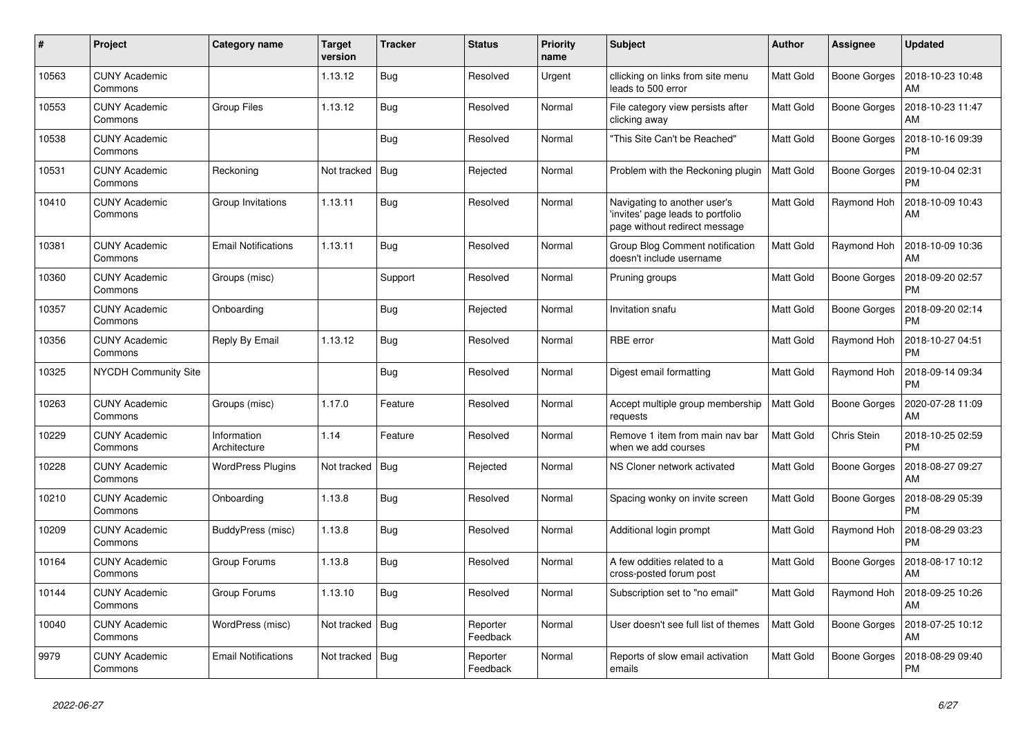| $\#$  | Project                         | Category name               | <b>Target</b><br>version | <b>Tracker</b> | <b>Status</b>        | <b>Priority</b><br>name | <b>Subject</b>                                                                                     | <b>Author</b>    | Assignee            | <b>Updated</b>                |
|-------|---------------------------------|-----------------------------|--------------------------|----------------|----------------------|-------------------------|----------------------------------------------------------------------------------------------------|------------------|---------------------|-------------------------------|
| 10563 | <b>CUNY Academic</b><br>Commons |                             | 1.13.12                  | Bug            | Resolved             | Urgent                  | cllicking on links from site menu<br>leads to 500 error                                            | <b>Matt Gold</b> | <b>Boone Gorges</b> | 2018-10-23 10:48<br>AM        |
| 10553 | <b>CUNY Academic</b><br>Commons | <b>Group Files</b>          | 1.13.12                  | Bug            | Resolved             | Normal                  | File category view persists after<br>clicking away                                                 | Matt Gold        | <b>Boone Gorges</b> | 2018-10-23 11:47<br>AM        |
| 10538 | <b>CUNY Academic</b><br>Commons |                             |                          | Bug            | Resolved             | Normal                  | "This Site Can't be Reached"                                                                       | Matt Gold        | Boone Gorges        | 2018-10-16 09:39<br><b>PM</b> |
| 10531 | <b>CUNY Academic</b><br>Commons | Reckoning                   | Not tracked              | Bug            | Rejected             | Normal                  | Problem with the Reckoning plugin                                                                  | <b>Matt Gold</b> | Boone Gorges        | 2019-10-04 02:31<br><b>PM</b> |
| 10410 | <b>CUNY Academic</b><br>Commons | Group Invitations           | 1.13.11                  | Bug            | Resolved             | Normal                  | Navigating to another user's<br>'invites' page leads to portfolio<br>page without redirect message | Matt Gold        | Raymond Hoh         | 2018-10-09 10:43<br>AM        |
| 10381 | <b>CUNY Academic</b><br>Commons | <b>Email Notifications</b>  | 1.13.11                  | Bug            | Resolved             | Normal                  | Group Blog Comment notification<br>doesn't include username                                        | Matt Gold        | Raymond Hoh         | 2018-10-09 10:36<br>AM        |
| 10360 | <b>CUNY Academic</b><br>Commons | Groups (misc)               |                          | Support        | Resolved             | Normal                  | Pruning groups                                                                                     | Matt Gold        | <b>Boone Gorges</b> | 2018-09-20 02:57<br><b>PM</b> |
| 10357 | <b>CUNY Academic</b><br>Commons | Onboarding                  |                          | Bug            | Rejected             | Normal                  | Invitation snafu                                                                                   | Matt Gold        | Boone Gorges        | 2018-09-20 02:14<br><b>PM</b> |
| 10356 | <b>CUNY Academic</b><br>Commons | Reply By Email              | 1.13.12                  | Bug            | Resolved             | Normal                  | RBE error                                                                                          | Matt Gold        | Raymond Hoh         | 2018-10-27 04:51<br><b>PM</b> |
| 10325 | NYCDH Community Site            |                             |                          | Bug            | Resolved             | Normal                  | Digest email formatting                                                                            | Matt Gold        | Raymond Hoh         | 2018-09-14 09:34<br><b>PM</b> |
| 10263 | <b>CUNY Academic</b><br>Commons | Groups (misc)               | 1.17.0                   | Feature        | Resolved             | Normal                  | Accept multiple group membership<br>requests                                                       | Matt Gold        | <b>Boone Gorges</b> | 2020-07-28 11:09<br>AM        |
| 10229 | <b>CUNY Academic</b><br>Commons | Information<br>Architecture | 1.14                     | Feature        | Resolved             | Normal                  | Remove 1 item from main nav bar<br>when we add courses                                             | <b>Matt Gold</b> | Chris Stein         | 2018-10-25 02:59<br><b>PM</b> |
| 10228 | <b>CUNY Academic</b><br>Commons | <b>WordPress Plugins</b>    | Not tracked              | Bug            | Rejected             | Normal                  | NS Cloner network activated                                                                        | Matt Gold        | <b>Boone Gorges</b> | 2018-08-27 09:27<br>AM        |
| 10210 | <b>CUNY Academic</b><br>Commons | Onboarding                  | 1.13.8                   | Bug            | Resolved             | Normal                  | Spacing wonky on invite screen                                                                     | Matt Gold        | Boone Gorges        | 2018-08-29 05:39<br><b>PM</b> |
| 10209 | <b>CUNY Academic</b><br>Commons | BuddyPress (misc)           | 1.13.8                   | Bug            | Resolved             | Normal                  | Additional login prompt                                                                            | Matt Gold        | Raymond Hoh         | 2018-08-29 03:23<br><b>PM</b> |
| 10164 | <b>CUNY Academic</b><br>Commons | Group Forums                | 1.13.8                   | <b>Bug</b>     | Resolved             | Normal                  | A few oddities related to a<br>cross-posted forum post                                             | Matt Gold        | Boone Gorges        | 2018-08-17 10:12<br>AM        |
| 10144 | <b>CUNY Academic</b><br>Commons | Group Forums                | 1.13.10                  | <b>Bug</b>     | Resolved             | Normal                  | Subscription set to "no email"                                                                     | <b>Matt Gold</b> | Raymond Hoh         | 2018-09-25 10:26<br>AM        |
| 10040 | <b>CUNY Academic</b><br>Commons | WordPress (misc)            | Not tracked              | Bug            | Reporter<br>Feedback | Normal                  | User doesn't see full list of themes                                                               | <b>Matt Gold</b> | Boone Gorges        | 2018-07-25 10:12<br>AM        |
| 9979  | <b>CUNY Academic</b><br>Commons | <b>Email Notifications</b>  | Not tracked              | Bug            | Reporter<br>Feedback | Normal                  | Reports of slow email activation<br>emails                                                         | Matt Gold        | <b>Boone Gorges</b> | 2018-08-29 09:40<br><b>PM</b> |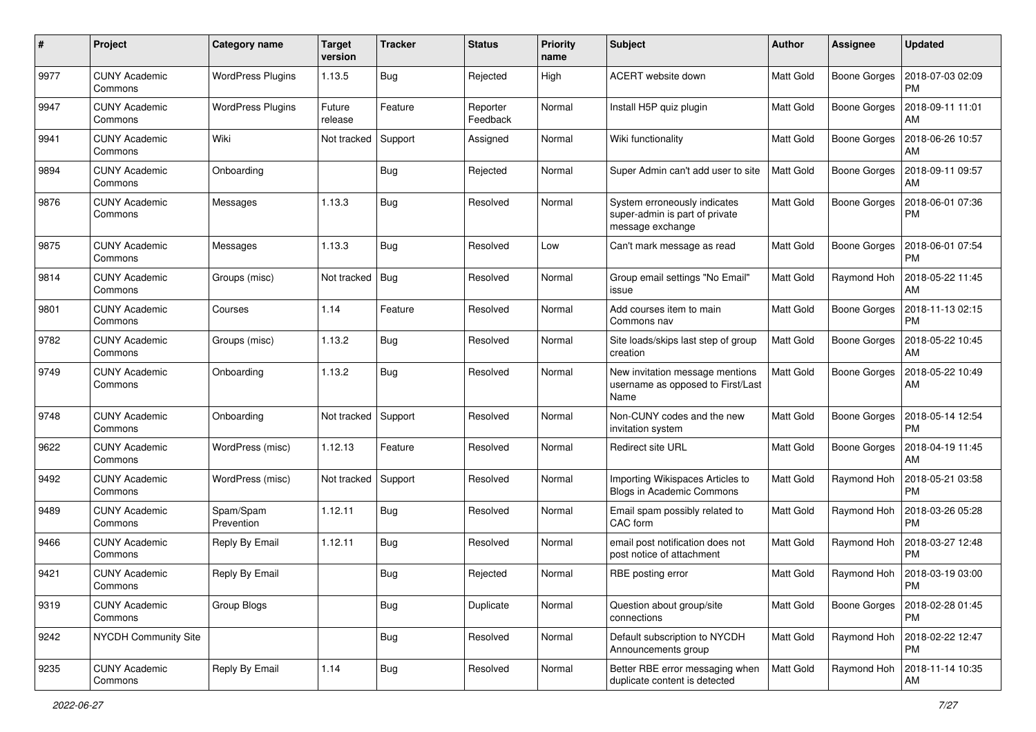| #    | Project                         | <b>Category name</b>     | <b>Target</b><br>version | <b>Tracker</b> | <b>Status</b>        | <b>Priority</b><br>name | Subject                                                                            | Author           | Assignee            | <b>Updated</b>                |
|------|---------------------------------|--------------------------|--------------------------|----------------|----------------------|-------------------------|------------------------------------------------------------------------------------|------------------|---------------------|-------------------------------|
| 9977 | <b>CUNY Academic</b><br>Commons | <b>WordPress Plugins</b> | 1.13.5                   | <b>Bug</b>     | Rejected             | High                    | ACERT website down                                                                 | <b>Matt Gold</b> | <b>Boone Gorges</b> | 2018-07-03 02:09<br><b>PM</b> |
| 9947 | <b>CUNY Academic</b><br>Commons | <b>WordPress Plugins</b> | Future<br>release        | Feature        | Reporter<br>Feedback | Normal                  | Install H5P quiz plugin                                                            | Matt Gold        | <b>Boone Gorges</b> | 2018-09-11 11:01<br>AM        |
| 9941 | <b>CUNY Academic</b><br>Commons | Wiki                     | Not tracked              | Support        | Assigned             | Normal                  | Wiki functionality                                                                 | <b>Matt Gold</b> | <b>Boone Gorges</b> | 2018-06-26 10:57<br>AM        |
| 9894 | <b>CUNY Academic</b><br>Commons | Onboarding               |                          | Bug            | Rejected             | Normal                  | Super Admin can't add user to site                                                 | <b>Matt Gold</b> | <b>Boone Gorges</b> | 2018-09-11 09:57<br>AM        |
| 9876 | <b>CUNY Academic</b><br>Commons | Messages                 | 1.13.3                   | Bug            | Resolved             | Normal                  | System erroneously indicates<br>super-admin is part of private<br>message exchange | Matt Gold        | <b>Boone Gorges</b> | 2018-06-01 07:36<br>PM        |
| 9875 | <b>CUNY Academic</b><br>Commons | Messages                 | 1.13.3                   | <b>Bug</b>     | Resolved             | Low                     | Can't mark message as read                                                         | Matt Gold        | <b>Boone Gorges</b> | 2018-06-01 07:54<br>PM        |
| 9814 | <b>CUNY Academic</b><br>Commons | Groups (misc)            | Not tracked              | Bug            | Resolved             | Normal                  | Group email settings "No Email"<br>issue                                           | <b>Matt Gold</b> | Raymond Hoh         | 2018-05-22 11:45<br>AM        |
| 9801 | <b>CUNY Academic</b><br>Commons | Courses                  | 1.14                     | Feature        | Resolved             | Normal                  | Add courses item to main<br>Commons nav                                            | <b>Matt Gold</b> | <b>Boone Gorges</b> | 2018-11-13 02:15<br><b>PM</b> |
| 9782 | <b>CUNY Academic</b><br>Commons | Groups (misc)            | 1.13.2                   | <b>Bug</b>     | Resolved             | Normal                  | Site loads/skips last step of group<br>creation                                    | <b>Matt Gold</b> | <b>Boone Gorges</b> | 2018-05-22 10:45<br>AM        |
| 9749 | <b>CUNY Academic</b><br>Commons | Onboarding               | 1.13.2                   | Bug            | Resolved             | Normal                  | New invitation message mentions<br>username as opposed to First/Last<br>Name       | Matt Gold        | <b>Boone Gorges</b> | 2018-05-22 10:49<br>AM        |
| 9748 | <b>CUNY Academic</b><br>Commons | Onboarding               | Not tracked              | Support        | Resolved             | Normal                  | Non-CUNY codes and the new<br>invitation system                                    | Matt Gold        | <b>Boone Gorges</b> | 2018-05-14 12:54<br><b>PM</b> |
| 9622 | <b>CUNY Academic</b><br>Commons | WordPress (misc)         | 1.12.13                  | Feature        | Resolved             | Normal                  | <b>Redirect site URL</b>                                                           | <b>Matt Gold</b> | <b>Boone Gorges</b> | 2018-04-19 11:45<br>AM        |
| 9492 | <b>CUNY Academic</b><br>Commons | WordPress (misc)         | Not tracked              | Support        | Resolved             | Normal                  | Importing Wikispaces Articles to<br>Blogs in Academic Commons                      | <b>Matt Gold</b> | Raymond Hoh         | 2018-05-21 03:58<br><b>PM</b> |
| 9489 | <b>CUNY Academic</b><br>Commons | Spam/Spam<br>Prevention  | 1.12.11                  | <b>Bug</b>     | Resolved             | Normal                  | Email spam possibly related to<br>CAC form                                         | Matt Gold        | Raymond Hoh         | 2018-03-26 05:28<br>PM        |
| 9466 | <b>CUNY Academic</b><br>Commons | Reply By Email           | 1.12.11                  | Bug            | Resolved             | Normal                  | email post notification does not<br>post notice of attachment                      | Matt Gold        | Raymond Hoh         | 2018-03-27 12:48<br><b>PM</b> |
| 9421 | <b>CUNY Academic</b><br>Commons | Reply By Email           |                          | Bug            | Rejected             | Normal                  | RBE posting error                                                                  | Matt Gold        | Raymond Hoh         | 2018-03-19 03:00<br>PM        |
| 9319 | <b>CUNY Academic</b><br>Commons | Group Blogs              |                          | <b>Bug</b>     | Duplicate            | Normal                  | Question about group/site<br>connections                                           | Matt Gold        | <b>Boone Gorges</b> | 2018-02-28 01:45<br><b>PM</b> |
| 9242 | NYCDH Community Site            |                          |                          | <b>Bug</b>     | Resolved             | Normal                  | Default subscription to NYCDH<br>Announcements group                               | Matt Gold        | Raymond Hoh         | 2018-02-22 12:47<br><b>PM</b> |
| 9235 | <b>CUNY Academic</b><br>Commons | Reply By Email           | 1.14                     | <b>Bug</b>     | Resolved             | Normal                  | Better RBE error messaging when<br>duplicate content is detected                   | Matt Gold        | Raymond Hoh         | 2018-11-14 10:35<br>AM        |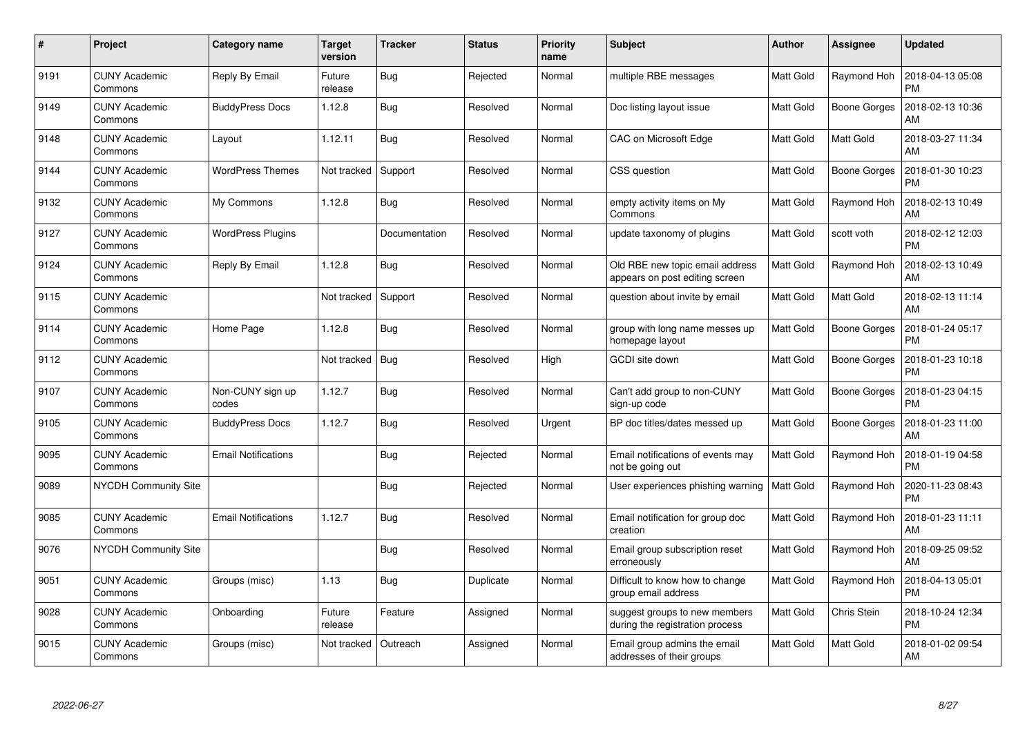| $\pmb{\#}$ | Project                         | <b>Category name</b>       | <b>Target</b><br>version | <b>Tracker</b> | <b>Status</b> | <b>Priority</b><br>name | <b>Subject</b>                                                    | <b>Author</b> | <b>Assignee</b>     | <b>Updated</b>                |
|------------|---------------------------------|----------------------------|--------------------------|----------------|---------------|-------------------------|-------------------------------------------------------------------|---------------|---------------------|-------------------------------|
| 9191       | <b>CUNY Academic</b><br>Commons | Reply By Email             | Future<br>release        | <b>Bug</b>     | Rejected      | Normal                  | multiple RBE messages                                             | Matt Gold     | Raymond Hoh         | 2018-04-13 05:08<br><b>PM</b> |
| 9149       | <b>CUNY Academic</b><br>Commons | <b>BuddyPress Docs</b>     | 1.12.8                   | Bug            | Resolved      | Normal                  | Doc listing layout issue                                          | Matt Gold     | <b>Boone Gorges</b> | 2018-02-13 10:36<br>AM        |
| 9148       | <b>CUNY Academic</b><br>Commons | Layout                     | 1.12.11                  | <b>Bug</b>     | Resolved      | Normal                  | CAC on Microsoft Edge                                             | Matt Gold     | Matt Gold           | 2018-03-27 11:34<br><b>AM</b> |
| 9144       | <b>CUNY Academic</b><br>Commons | <b>WordPress Themes</b>    | Not tracked              | Support        | Resolved      | Normal                  | CSS question                                                      | Matt Gold     | Boone Gorges        | 2018-01-30 10:23<br>PM        |
| 9132       | <b>CUNY Academic</b><br>Commons | My Commons                 | 1.12.8                   | Bug            | Resolved      | Normal                  | empty activity items on My<br>Commons                             | Matt Gold     | Raymond Hoh         | 2018-02-13 10:49<br>AM        |
| 9127       | <b>CUNY Academic</b><br>Commons | <b>WordPress Plugins</b>   |                          | Documentation  | Resolved      | Normal                  | update taxonomy of plugins                                        | Matt Gold     | scott voth          | 2018-02-12 12:03<br><b>PM</b> |
| 9124       | <b>CUNY Academic</b><br>Commons | Reply By Email             | 1.12.8                   | <b>Bug</b>     | Resolved      | Normal                  | Old RBE new topic email address<br>appears on post editing screen | Matt Gold     | Raymond Hoh         | 2018-02-13 10:49<br><b>AM</b> |
| 9115       | <b>CUNY Academic</b><br>Commons |                            | Not tracked              | Support        | Resolved      | Normal                  | question about invite by email                                    | Matt Gold     | Matt Gold           | 2018-02-13 11:14<br>AM        |
| 9114       | <b>CUNY Academic</b><br>Commons | Home Page                  | 1.12.8                   | Bug            | Resolved      | Normal                  | group with long name messes up<br>homepage layout                 | Matt Gold     | <b>Boone Gorges</b> | 2018-01-24 05:17<br><b>PM</b> |
| 9112       | <b>CUNY Academic</b><br>Commons |                            | Not tracked              | Bug            | Resolved      | High                    | GCDI site down                                                    | Matt Gold     | Boone Gorges        | 2018-01-23 10:18<br>PM        |
| 9107       | <b>CUNY Academic</b><br>Commons | Non-CUNY sign up<br>codes  | 1.12.7                   | <b>Bug</b>     | Resolved      | Normal                  | Can't add group to non-CUNY<br>sign-up code                       | Matt Gold     | <b>Boone Gorges</b> | 2018-01-23 04:15<br>PM        |
| 9105       | <b>CUNY Academic</b><br>Commons | <b>BuddyPress Docs</b>     | 1.12.7                   | <b>Bug</b>     | Resolved      | Urgent                  | BP doc titles/dates messed up                                     | Matt Gold     | Boone Gorges        | 2018-01-23 11:00<br>AM        |
| 9095       | <b>CUNY Academic</b><br>Commons | <b>Email Notifications</b> |                          | Bug            | Rejected      | Normal                  | Email notifications of events may<br>not be going out             | Matt Gold     | Raymond Hoh         | 2018-01-19 04:58<br><b>PM</b> |
| 9089       | NYCDH Community Site            |                            |                          | <b>Bug</b>     | Rejected      | Normal                  | User experiences phishing warning                                 | Matt Gold     | Raymond Hoh         | 2020-11-23 08:43<br>PM        |
| 9085       | <b>CUNY Academic</b><br>Commons | <b>Email Notifications</b> | 1.12.7                   | <b>Bug</b>     | Resolved      | Normal                  | Email notification for group doc<br>creation                      | Matt Gold     | Raymond Hoh         | 2018-01-23 11:11<br>AM        |
| 9076       | <b>NYCDH Community Site</b>     |                            |                          | Bug            | Resolved      | Normal                  | Email group subscription reset<br>erroneously                     | Matt Gold     | Raymond Hoh         | 2018-09-25 09:52<br>AM        |
| 9051       | <b>CUNY Academic</b><br>Commons | Groups (misc)              | 1.13                     | <b>Bug</b>     | Duplicate     | Normal                  | Difficult to know how to change<br>group email address            | Matt Gold     | Raymond Hoh         | 2018-04-13 05:01<br><b>PM</b> |
| 9028       | <b>CUNY Academic</b><br>Commons | Onboarding                 | Future<br>release        | Feature        | Assigned      | Normal                  | suggest groups to new members<br>during the registration process  | Matt Gold     | Chris Stein         | 2018-10-24 12:34<br><b>PM</b> |
| 9015       | <b>CUNY Academic</b><br>Commons | Groups (misc)              | Not tracked              | Outreach       | Assigned      | Normal                  | Email group admins the email<br>addresses of their groups         | Matt Gold     | Matt Gold           | 2018-01-02 09:54<br>AM        |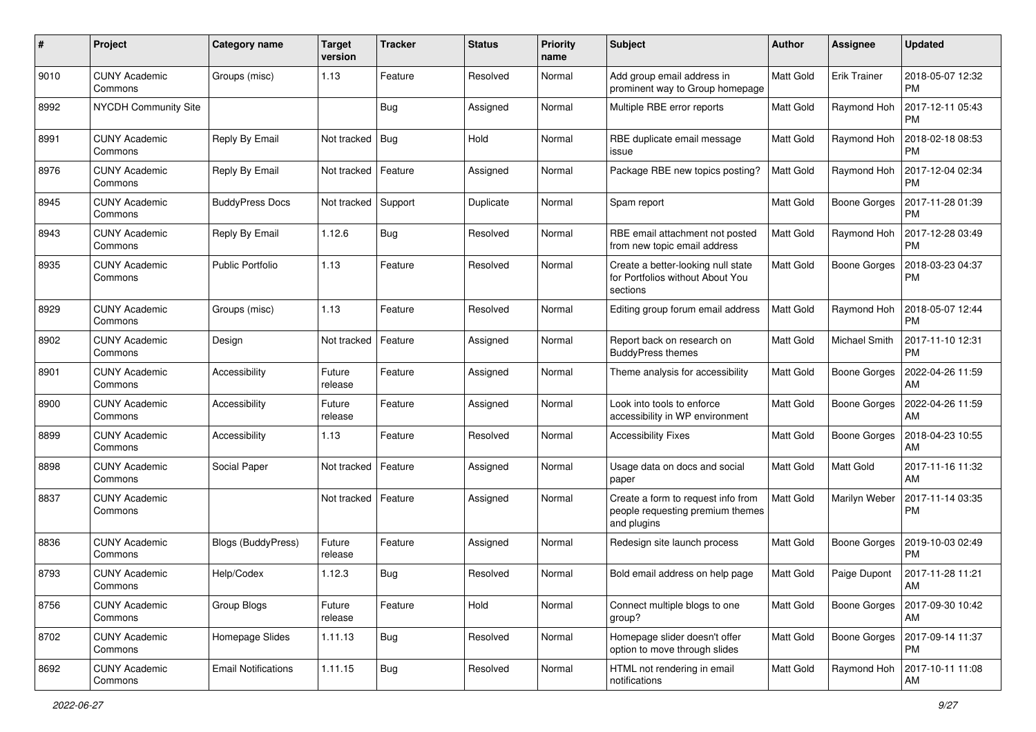| $\#$ | Project                         | <b>Category name</b>       | <b>Target</b><br>version | <b>Tracker</b> | <b>Status</b> | <b>Priority</b><br>name | <b>Subject</b>                                                                        | Author           | <b>Assignee</b>     | <b>Updated</b>                |
|------|---------------------------------|----------------------------|--------------------------|----------------|---------------|-------------------------|---------------------------------------------------------------------------------------|------------------|---------------------|-------------------------------|
| 9010 | <b>CUNY Academic</b><br>Commons | Groups (misc)              | 1.13                     | Feature        | Resolved      | Normal                  | Add group email address in<br>prominent way to Group homepage                         | Matt Gold        | <b>Erik Trainer</b> | 2018-05-07 12:32<br><b>PM</b> |
| 8992 | <b>NYCDH Community Site</b>     |                            |                          | Bug            | Assigned      | Normal                  | Multiple RBE error reports                                                            | <b>Matt Gold</b> | Raymond Hoh         | 2017-12-11 05:43<br><b>PM</b> |
| 8991 | CUNY Academic<br>Commons        | Reply By Email             | Not tracked              | Bug            | Hold          | Normal                  | RBE duplicate email message<br>issue                                                  | <b>Matt Gold</b> | Raymond Hoh         | 2018-02-18 08:53<br><b>PM</b> |
| 8976 | <b>CUNY Academic</b><br>Commons | Reply By Email             | Not tracked              | Feature        | Assigned      | Normal                  | Package RBE new topics posting?                                                       | <b>Matt Gold</b> | Raymond Hoh         | 2017-12-04 02:34<br><b>PM</b> |
| 8945 | <b>CUNY Academic</b><br>Commons | <b>BuddyPress Docs</b>     | Not tracked              | Support        | Duplicate     | Normal                  | Spam report                                                                           | <b>Matt Gold</b> | Boone Gorges        | 2017-11-28 01:39<br><b>PM</b> |
| 8943 | <b>CUNY Academic</b><br>Commons | Reply By Email             | 1.12.6                   | Bug            | Resolved      | Normal                  | RBE email attachment not posted<br>from new topic email address                       | Matt Gold        | Raymond Hoh         | 2017-12-28 03:49<br><b>PM</b> |
| 8935 | <b>CUNY Academic</b><br>Commons | <b>Public Portfolio</b>    | 1.13                     | Feature        | Resolved      | Normal                  | Create a better-looking null state<br>for Portfolios without About You<br>sections    | Matt Gold        | <b>Boone Gorges</b> | 2018-03-23 04:37<br><b>PM</b> |
| 8929 | <b>CUNY Academic</b><br>Commons | Groups (misc)              | 1.13                     | Feature        | Resolved      | Normal                  | Editing group forum email address                                                     | Matt Gold        | Raymond Hoh         | 2018-05-07 12:44<br><b>PM</b> |
| 8902 | <b>CUNY Academic</b><br>Commons | Design                     | Not tracked              | Feature        | Assigned      | Normal                  | Report back on research on<br><b>BuddyPress themes</b>                                | Matt Gold        | Michael Smith       | 2017-11-10 12:31<br><b>PM</b> |
| 8901 | <b>CUNY Academic</b><br>Commons | Accessibility              | Future<br>release        | Feature        | Assigned      | Normal                  | Theme analysis for accessibility                                                      | <b>Matt Gold</b> | <b>Boone Gorges</b> | 2022-04-26 11:59<br>AM        |
| 8900 | CUNY Academic<br>Commons        | Accessibility              | Future<br>release        | Feature        | Assigned      | Normal                  | Look into tools to enforce<br>accessibility in WP environment                         | <b>Matt Gold</b> | <b>Boone Gorges</b> | 2022-04-26 11:59<br>AM        |
| 8899 | <b>CUNY Academic</b><br>Commons | Accessibility              | 1.13                     | Feature        | Resolved      | Normal                  | <b>Accessibility Fixes</b>                                                            | <b>Matt Gold</b> | <b>Boone Gorges</b> | 2018-04-23 10:55<br>AM        |
| 8898 | <b>CUNY Academic</b><br>Commons | Social Paper               | Not tracked              | Feature        | Assigned      | Normal                  | Usage data on docs and social<br>paper                                                | <b>Matt Gold</b> | Matt Gold           | 2017-11-16 11:32<br>AM        |
| 8837 | <b>CUNY Academic</b><br>Commons |                            | Not tracked              | Feature        | Assigned      | Normal                  | Create a form to request info from<br>people requesting premium themes<br>and plugins | Matt Gold        | Marilyn Weber       | 2017-11-14 03:35<br><b>PM</b> |
| 8836 | <b>CUNY Academic</b><br>Commons | Blogs (BuddyPress)         | Future<br>release        | Feature        | Assigned      | Normal                  | Redesign site launch process                                                          | <b>Matt Gold</b> | <b>Boone Gorges</b> | 2019-10-03 02:49<br><b>PM</b> |
| 8793 | <b>CUNY Academic</b><br>Commons | Help/Codex                 | 1.12.3                   | Bug            | Resolved      | Normal                  | Bold email address on help page                                                       | Matt Gold        | Paige Dupont        | 2017-11-28 11:21<br>AM        |
| 8756 | <b>CUNY Academic</b><br>Commons | Group Blogs                | Future<br>release        | Feature        | Hold          | Normal                  | Connect multiple blogs to one<br>group?                                               | Matt Gold        | <b>Boone Gorges</b> | 2017-09-30 10:42<br>AM        |
| 8702 | <b>CUNY Academic</b><br>Commons | Homepage Slides            | 1.11.13                  | Bug            | Resolved      | Normal                  | Homepage slider doesn't offer<br>option to move through slides                        | Matt Gold        | Boone Gorges        | 2017-09-14 11:37<br><b>PM</b> |
| 8692 | <b>CUNY Academic</b><br>Commons | <b>Email Notifications</b> | 1.11.15                  | <b>Bug</b>     | Resolved      | Normal                  | HTML not rendering in email<br>notifications                                          | Matt Gold        | Raymond Hoh         | 2017-10-11 11:08<br>AM        |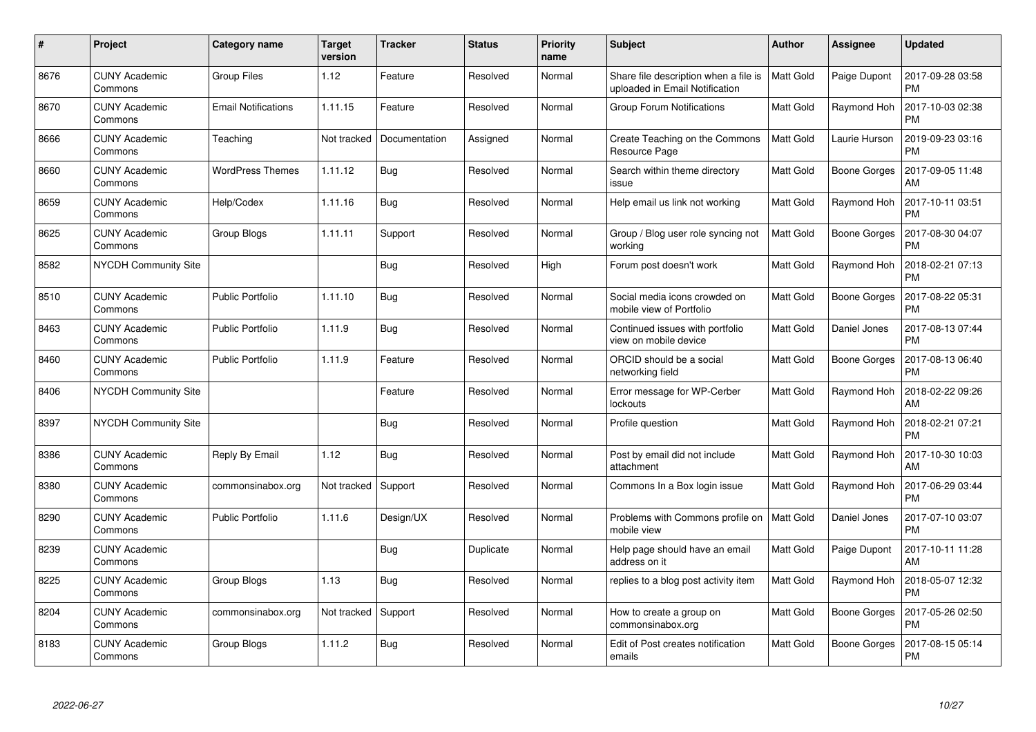| #    | Project                         | Category name              | <b>Target</b><br>version | <b>Tracker</b> | <b>Status</b> | <b>Priority</b><br>name | <b>Subject</b>                                                          | Author           | <b>Assignee</b>     | <b>Updated</b>                |
|------|---------------------------------|----------------------------|--------------------------|----------------|---------------|-------------------------|-------------------------------------------------------------------------|------------------|---------------------|-------------------------------|
| 8676 | <b>CUNY Academic</b><br>Commons | <b>Group Files</b>         | 1.12                     | Feature        | Resolved      | Normal                  | Share file description when a file is<br>uploaded in Email Notification | Matt Gold        | Paige Dupont        | 2017-09-28 03:58<br><b>PM</b> |
| 8670 | CUNY Academic<br>Commons        | <b>Email Notifications</b> | 1.11.15                  | Feature        | Resolved      | Normal                  | <b>Group Forum Notifications</b>                                        | Matt Gold        | Raymond Hoh         | 2017-10-03 02:38<br><b>PM</b> |
| 8666 | <b>CUNY Academic</b><br>Commons | Teaching                   | Not tracked              | Documentation  | Assigned      | Normal                  | Create Teaching on the Commons<br>Resource Page                         | <b>Matt Gold</b> | Laurie Hurson       | 2019-09-23 03:16<br><b>PM</b> |
| 8660 | <b>CUNY Academic</b><br>Commons | <b>WordPress Themes</b>    | 1.11.12                  | Bug            | Resolved      | Normal                  | Search within theme directory<br>issue                                  | Matt Gold        | <b>Boone Gorges</b> | 2017-09-05 11:48<br>AM        |
| 8659 | <b>CUNY Academic</b><br>Commons | Help/Codex                 | 1.11.16                  | <b>Bug</b>     | Resolved      | Normal                  | Help email us link not working                                          | Matt Gold        | Raymond Hoh         | 2017-10-11 03:51<br><b>PM</b> |
| 8625 | <b>CUNY Academic</b><br>Commons | Group Blogs                | 1.11.11                  | Support        | Resolved      | Normal                  | Group / Blog user role syncing not<br>working                           | Matt Gold        | <b>Boone Gorges</b> | 2017-08-30 04:07<br><b>PM</b> |
| 8582 | NYCDH Community Site            |                            |                          | Bug            | Resolved      | High                    | Forum post doesn't work                                                 | <b>Matt Gold</b> | Raymond Hoh         | 2018-02-21 07:13<br><b>PM</b> |
| 8510 | <b>CUNY Academic</b><br>Commons | <b>Public Portfolio</b>    | 1.11.10                  | Bug            | Resolved      | Normal                  | Social media icons crowded on<br>mobile view of Portfolio               | <b>Matt Gold</b> | Boone Gorges        | 2017-08-22 05:31<br><b>PM</b> |
| 8463 | <b>CUNY Academic</b><br>Commons | <b>Public Portfolio</b>    | 1.11.9                   | <b>Bug</b>     | Resolved      | Normal                  | Continued issues with portfolio<br>view on mobile device                | <b>Matt Gold</b> | Daniel Jones        | 2017-08-13 07:44<br><b>PM</b> |
| 8460 | <b>CUNY Academic</b><br>Commons | Public Portfolio           | 1.11.9                   | Feature        | Resolved      | Normal                  | ORCID should be a social<br>networking field                            | Matt Gold        | Boone Gorges        | 2017-08-13 06:40<br><b>PM</b> |
| 8406 | <b>NYCDH Community Site</b>     |                            |                          | Feature        | Resolved      | Normal                  | Error message for WP-Cerber<br>lockouts                                 | Matt Gold        | Raymond Hoh         | 2018-02-22 09:26<br>AM        |
| 8397 | <b>NYCDH Community Site</b>     |                            |                          | Bug            | Resolved      | Normal                  | Profile question                                                        | Matt Gold        | Raymond Hoh         | 2018-02-21 07:21<br><b>PM</b> |
| 8386 | <b>CUNY Academic</b><br>Commons | Reply By Email             | 1.12                     | Bug            | Resolved      | Normal                  | Post by email did not include<br>attachment                             | Matt Gold        | Raymond Hoh         | 2017-10-30 10:03<br>AM        |
| 8380 | <b>CUNY Academic</b><br>Commons | commonsinabox.org          | Not tracked              | Support        | Resolved      | Normal                  | Commons In a Box login issue                                            | Matt Gold        | Raymond Hoh         | 2017-06-29 03:44<br><b>PM</b> |
| 8290 | <b>CUNY Academic</b><br>Commons | <b>Public Portfolio</b>    | 1.11.6                   | Design/UX      | Resolved      | Normal                  | Problems with Commons profile on<br>mobile view                         | Matt Gold        | Daniel Jones        | 2017-07-10 03:07<br><b>PM</b> |
| 8239 | <b>CUNY Academic</b><br>Commons |                            |                          | Bug            | Duplicate     | Normal                  | Help page should have an email<br>address on it                         | Matt Gold        | Paige Dupont        | 2017-10-11 11:28<br>AM        |
| 8225 | <b>CUNY Academic</b><br>Commons | Group Blogs                | 1.13                     | Bug            | Resolved      | Normal                  | replies to a blog post activity item                                    | Matt Gold        | Raymond Hoh         | 2018-05-07 12:32<br><b>PM</b> |
| 8204 | <b>CUNY Academic</b><br>Commons | commonsinabox.org          | Not tracked              | Support        | Resolved      | Normal                  | How to create a group on<br>commonsinabox.org                           | Matt Gold        | <b>Boone Gorges</b> | 2017-05-26 02:50<br><b>PM</b> |
| 8183 | CUNY Academic<br>Commons        | Group Blogs                | 1.11.2                   | <b>Bug</b>     | Resolved      | Normal                  | Edit of Post creates notification<br>emails                             | Matt Gold        | Boone Gorges        | 2017-08-15 05:14<br><b>PM</b> |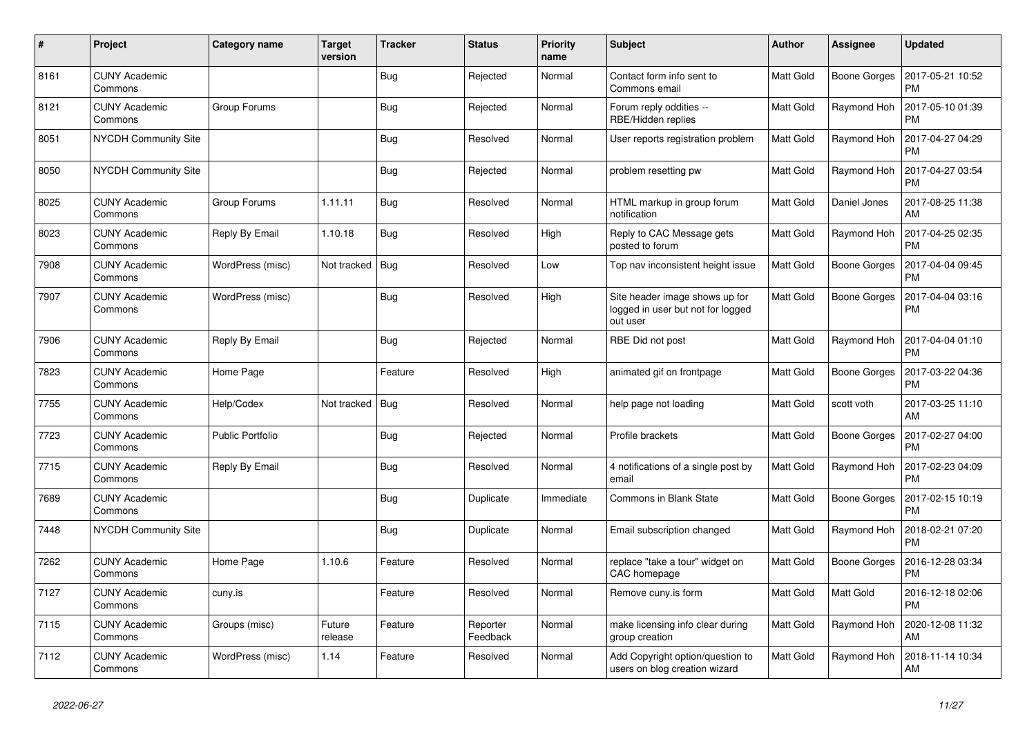| #    | Project                         | Category name    | <b>Target</b><br>version | <b>Tracker</b> | <b>Status</b>        | <b>Priority</b><br>name | <b>Subject</b>                                                                  | <b>Author</b>    | Assignee            | <b>Updated</b>                |
|------|---------------------------------|------------------|--------------------------|----------------|----------------------|-------------------------|---------------------------------------------------------------------------------|------------------|---------------------|-------------------------------|
| 8161 | <b>CUNY Academic</b><br>Commons |                  |                          | <b>Bug</b>     | Rejected             | Normal                  | Contact form info sent to<br>Commons email                                      | <b>Matt Gold</b> | <b>Boone Gorges</b> | 2017-05-21 10:52<br><b>PM</b> |
| 8121 | <b>CUNY Academic</b><br>Commons | Group Forums     |                          | Bug            | Rejected             | Normal                  | Forum reply oddities --<br>RBE/Hidden replies                                   | Matt Gold        | Raymond Hoh         | 2017-05-10 01:39<br><b>PM</b> |
| 8051 | <b>NYCDH Community Site</b>     |                  |                          | Bug            | Resolved             | Normal                  | User reports registration problem                                               | Matt Gold        | Raymond Hoh         | 2017-04-27 04:29<br><b>PM</b> |
| 8050 | NYCDH Community Site            |                  |                          | <b>Bug</b>     | Rejected             | Normal                  | problem resetting pw                                                            | Matt Gold        | Raymond Hoh         | 2017-04-27 03:54<br><b>PM</b> |
| 8025 | <b>CUNY Academic</b><br>Commons | Group Forums     | 1.11.11                  | <b>Bug</b>     | Resolved             | Normal                  | HTML markup in group forum<br>notification                                      | Matt Gold        | Daniel Jones        | 2017-08-25 11:38<br>AM        |
| 8023 | <b>CUNY Academic</b><br>Commons | Reply By Email   | 1.10.18                  | Bug            | Resolved             | High                    | Reply to CAC Message gets<br>posted to forum                                    | Matt Gold        | Raymond Hoh         | 2017-04-25 02:35<br><b>PM</b> |
| 7908 | <b>CUNY Academic</b><br>Commons | WordPress (misc) | Not tracked              | Bug            | Resolved             | Low                     | Top nav inconsistent height issue                                               | Matt Gold        | Boone Gorges        | 2017-04-04 09:45<br><b>PM</b> |
| 7907 | <b>CUNY Academic</b><br>Commons | WordPress (misc) |                          | Bug            | Resolved             | High                    | Site header image shows up for<br>logged in user but not for logged<br>out user | Matt Gold        | <b>Boone Gorges</b> | 2017-04-04 03:16<br><b>PM</b> |
| 7906 | <b>CUNY Academic</b><br>Commons | Reply By Email   |                          | Bug            | Rejected             | Normal                  | RBE Did not post                                                                | Matt Gold        | Raymond Hoh         | 2017-04-04 01:10<br><b>PM</b> |
| 7823 | <b>CUNY Academic</b><br>Commons | Home Page        |                          | Feature        | Resolved             | High                    | animated gif on frontpage                                                       | Matt Gold        | <b>Boone Gorges</b> | 2017-03-22 04:36<br><b>PM</b> |
| 7755 | <b>CUNY Academic</b><br>Commons | Help/Codex       | Not tracked              | Bug            | Resolved             | Normal                  | help page not loading                                                           | Matt Gold        | scott voth          | 2017-03-25 11:10<br>AM        |
| 7723 | <b>CUNY Academic</b><br>Commons | Public Portfolio |                          | Bug            | Rejected             | Normal                  | Profile brackets                                                                | Matt Gold        | <b>Boone Gorges</b> | 2017-02-27 04:00<br><b>PM</b> |
| 7715 | <b>CUNY Academic</b><br>Commons | Reply By Email   |                          | <b>Bug</b>     | Resolved             | Normal                  | 4 notifications of a single post by<br>email                                    | <b>Matt Gold</b> | Raymond Hoh         | 2017-02-23 04:09<br><b>PM</b> |
| 7689 | <b>CUNY Academic</b><br>Commons |                  |                          | <b>Bug</b>     | Duplicate            | Immediate               | <b>Commons in Blank State</b>                                                   | Matt Gold        | Boone Gorges        | 2017-02-15 10:19<br><b>PM</b> |
| 7448 | <b>NYCDH Community Site</b>     |                  |                          | <b>Bug</b>     | Duplicate            | Normal                  | Email subscription changed                                                      | Matt Gold        | Raymond Hoh         | 2018-02-21 07:20<br><b>PM</b> |
| 7262 | <b>CUNY Academic</b><br>Commons | Home Page        | 1.10.6                   | Feature        | Resolved             | Normal                  | replace "take a tour" widget on<br>CAC homepage                                 | Matt Gold        | Boone Gorges        | 2016-12-28 03:34<br><b>PM</b> |
| 7127 | <b>CUNY Academic</b><br>Commons | cuny.is          |                          | Feature        | Resolved             | Normal                  | Remove cuny.is form                                                             | Matt Gold        | Matt Gold           | 2016-12-18 02:06<br><b>PM</b> |
| 7115 | <b>CUNY Academic</b><br>Commons | Groups (misc)    | Future<br>release        | Feature        | Reporter<br>Feedback | Normal                  | make licensing info clear during<br>group creation                              | Matt Gold        | Raymond Hoh         | 2020-12-08 11:32<br>AM        |
| 7112 | <b>CUNY Academic</b><br>Commons | WordPress (misc) | 1.14                     | Feature        | Resolved             | Normal                  | Add Copyright option/question to<br>users on blog creation wizard               | Matt Gold        | Raymond Hoh         | 2018-11-14 10:34<br>AM        |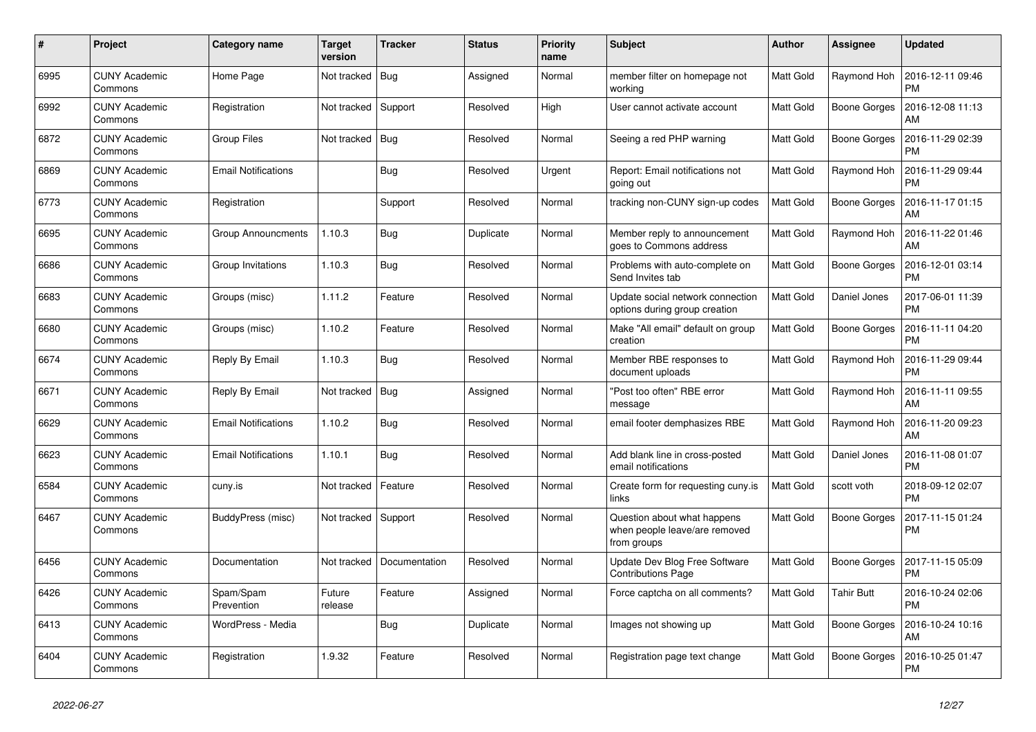| #    | Project                         | Category name              | <b>Target</b><br>version | <b>Tracker</b> | <b>Status</b> | Priority<br>name | <b>Subject</b>                                                              | <b>Author</b>    | Assignee            | <b>Updated</b>                |
|------|---------------------------------|----------------------------|--------------------------|----------------|---------------|------------------|-----------------------------------------------------------------------------|------------------|---------------------|-------------------------------|
| 6995 | <b>CUNY Academic</b><br>Commons | Home Page                  | Not tracked              | Bug            | Assigned      | Normal           | member filter on homepage not<br>working                                    | <b>Matt Gold</b> | Raymond Hoh         | 2016-12-11 09:46<br><b>PM</b> |
| 6992 | <b>CUNY Academic</b><br>Commons | Registration               | Not tracked              | Support        | Resolved      | High             | User cannot activate account                                                | Matt Gold        | <b>Boone Gorges</b> | 2016-12-08 11:13<br>AM        |
| 6872 | <b>CUNY Academic</b><br>Commons | <b>Group Files</b>         | Not tracked              | Bug            | Resolved      | Normal           | Seeing a red PHP warning                                                    | Matt Gold        | <b>Boone Gorges</b> | 2016-11-29 02:39<br><b>PM</b> |
| 6869 | <b>CUNY Academic</b><br>Commons | <b>Email Notifications</b> |                          | <b>Bug</b>     | Resolved      | Urgent           | Report: Email notifications not<br>going out                                | Matt Gold        | Raymond Hoh         | 2016-11-29 09:44<br><b>PM</b> |
| 6773 | <b>CUNY Academic</b><br>Commons | Registration               |                          | Support        | Resolved      | Normal           | tracking non-CUNY sign-up codes                                             | Matt Gold        | Boone Gorges        | 2016-11-17 01:15<br>AM        |
| 6695 | <b>CUNY Academic</b><br>Commons | <b>Group Announcments</b>  | 1.10.3                   | <b>Bug</b>     | Duplicate     | Normal           | Member reply to announcement<br>goes to Commons address                     | Matt Gold        | Raymond Hoh         | 2016-11-22 01:46<br>AM        |
| 6686 | <b>CUNY Academic</b><br>Commons | Group Invitations          | 1.10.3                   | Bug            | Resolved      | Normal           | Problems with auto-complete on<br>Send Invites tab                          | <b>Matt Gold</b> | Boone Gorges        | 2016-12-01 03:14<br><b>PM</b> |
| 6683 | <b>CUNY Academic</b><br>Commons | Groups (misc)              | 1.11.2                   | Feature        | Resolved      | Normal           | Update social network connection<br>options during group creation           | <b>Matt Gold</b> | Daniel Jones        | 2017-06-01 11:39<br><b>PM</b> |
| 6680 | <b>CUNY Academic</b><br>Commons | Groups (misc)              | 1.10.2                   | Feature        | Resolved      | Normal           | Make "All email" default on group<br>creation                               | Matt Gold        | <b>Boone Gorges</b> | 2016-11-11 04:20<br><b>PM</b> |
| 6674 | <b>CUNY Academic</b><br>Commons | Reply By Email             | 1.10.3                   | Bug            | Resolved      | Normal           | Member RBE responses to<br>document uploads                                 | Matt Gold        | Raymond Hoh         | 2016-11-29 09:44<br><b>PM</b> |
| 6671 | <b>CUNY Academic</b><br>Commons | Reply By Email             | Not tracked              | Bug            | Assigned      | Normal           | "Post too often" RBE error<br>message                                       | Matt Gold        | Raymond Hoh         | 2016-11-11 09:55<br>AM        |
| 6629 | <b>CUNY Academic</b><br>Commons | <b>Email Notifications</b> | 1.10.2                   | <b>Bug</b>     | Resolved      | Normal           | email footer demphasizes RBE                                                | <b>Matt Gold</b> | Raymond Hoh         | 2016-11-20 09:23<br>AM        |
| 6623 | <b>CUNY Academic</b><br>Commons | <b>Email Notifications</b> | 1.10.1                   | Bug            | Resolved      | Normal           | Add blank line in cross-posted<br>email notifications                       | Matt Gold        | Daniel Jones        | 2016-11-08 01:07<br><b>PM</b> |
| 6584 | <b>CUNY Academic</b><br>Commons | cuny.is                    | Not tracked              | Feature        | Resolved      | Normal           | Create form for requesting cuny.is<br>links                                 | Matt Gold        | scott voth          | 2018-09-12 02:07<br><b>PM</b> |
| 6467 | <b>CUNY Academic</b><br>Commons | BuddyPress (misc)          | Not tracked              | Support        | Resolved      | Normal           | Question about what happens<br>when people leave/are removed<br>from groups | <b>Matt Gold</b> | <b>Boone Gorges</b> | 2017-11-15 01:24<br><b>PM</b> |
| 6456 | <b>CUNY Academic</b><br>Commons | Documentation              | Not tracked              | Documentation  | Resolved      | Normal           | Update Dev Blog Free Software<br><b>Contributions Page</b>                  | <b>Matt Gold</b> | <b>Boone Gorges</b> | 2017-11-15 05:09<br><b>PM</b> |
| 6426 | <b>CUNY Academic</b><br>Commons | Spam/Spam<br>Prevention    | Future<br>release        | Feature        | Assigned      | Normal           | Force captcha on all comments?                                              | Matt Gold        | Tahir Butt          | 2016-10-24 02:06<br><b>PM</b> |
| 6413 | <b>CUNY Academic</b><br>Commons | WordPress - Media          |                          | Bug            | Duplicate     | Normal           | Images not showing up                                                       | <b>Matt Gold</b> | <b>Boone Gorges</b> | 2016-10-24 10:16<br>AM        |
| 6404 | <b>CUNY Academic</b><br>Commons | Registration               | 1.9.32                   | Feature        | Resolved      | Normal           | Registration page text change                                               | Matt Gold        | <b>Boone Gorges</b> | 2016-10-25 01:47<br><b>PM</b> |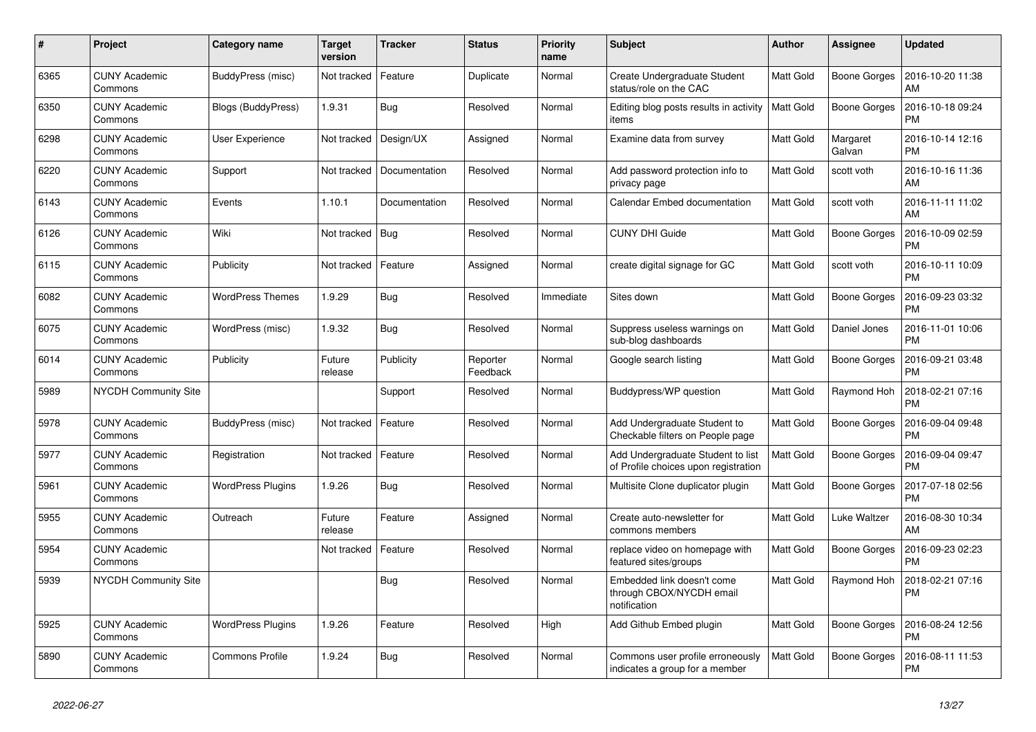| #    | Project                         | <b>Category name</b>     | <b>Target</b><br>version | <b>Tracker</b> | <b>Status</b>        | Priority<br>name | <b>Subject</b>                                                            | Author           | Assignee            | <b>Updated</b>                |
|------|---------------------------------|--------------------------|--------------------------|----------------|----------------------|------------------|---------------------------------------------------------------------------|------------------|---------------------|-------------------------------|
| 6365 | <b>CUNY Academic</b><br>Commons | BuddyPress (misc)        | Not tracked              | Feature        | Duplicate            | Normal           | Create Undergraduate Student<br>status/role on the CAC                    | <b>Matt Gold</b> | <b>Boone Gorges</b> | 2016-10-20 11:38<br>AM        |
| 6350 | <b>CUNY Academic</b><br>Commons | Blogs (BuddyPress)       | 1.9.31                   | <b>Bug</b>     | Resolved             | Normal           | Editing blog posts results in activity<br>items                           | Matt Gold        | <b>Boone Gorges</b> | 2016-10-18 09:24<br><b>PM</b> |
| 6298 | <b>CUNY Academic</b><br>Commons | User Experience          | Not tracked              | Design/UX      | Assigned             | Normal           | Examine data from survey                                                  | Matt Gold        | Margaret<br>Galvan  | 2016-10-14 12:16<br><b>PM</b> |
| 6220 | <b>CUNY Academic</b><br>Commons | Support                  | Not tracked              | Documentation  | Resolved             | Normal           | Add password protection info to<br>privacy page                           | <b>Matt Gold</b> | scott voth          | 2016-10-16 11:36<br>AM        |
| 6143 | <b>CUNY Academic</b><br>Commons | Events                   | 1.10.1                   | Documentation  | Resolved             | Normal           | Calendar Embed documentation                                              | Matt Gold        | scott voth          | 2016-11-11 11:02<br>AM        |
| 6126 | <b>CUNY Academic</b><br>Commons | Wiki                     | Not tracked              | Bug            | Resolved             | Normal           | <b>CUNY DHI Guide</b>                                                     | <b>Matt Gold</b> | <b>Boone Gorges</b> | 2016-10-09 02:59<br><b>PM</b> |
| 6115 | <b>CUNY Academic</b><br>Commons | Publicity                | Not tracked              | Feature        | Assigned             | Normal           | create digital signage for GC                                             | <b>Matt Gold</b> | scott voth          | 2016-10-11 10:09<br><b>PM</b> |
| 6082 | <b>CUNY Academic</b><br>Commons | <b>WordPress Themes</b>  | 1.9.29                   | <b>Bug</b>     | Resolved             | Immediate        | Sites down                                                                | Matt Gold        | <b>Boone Gorges</b> | 2016-09-23 03:32<br><b>PM</b> |
| 6075 | <b>CUNY Academic</b><br>Commons | WordPress (misc)         | 1.9.32                   | <b>Bug</b>     | Resolved             | Normal           | Suppress useless warnings on<br>sub-blog dashboards                       | <b>Matt Gold</b> | Daniel Jones        | 2016-11-01 10:06<br><b>PM</b> |
| 6014 | <b>CUNY Academic</b><br>Commons | Publicity                | Future<br>release        | Publicity      | Reporter<br>Feedback | Normal           | Google search listing                                                     | Matt Gold        | <b>Boone Gorges</b> | 2016-09-21 03:48<br><b>PM</b> |
| 5989 | <b>NYCDH Community Site</b>     |                          |                          | Support        | Resolved             | Normal           | Buddypress/WP question                                                    | Matt Gold        | Raymond Hoh         | 2018-02-21 07:16<br><b>PM</b> |
| 5978 | <b>CUNY Academic</b><br>Commons | BuddyPress (misc)        | Not tracked              | Feature        | Resolved             | Normal           | Add Undergraduate Student to<br>Checkable filters on People page          | <b>Matt Gold</b> | <b>Boone Gorges</b> | 2016-09-04 09:48<br><b>PM</b> |
| 5977 | <b>CUNY Academic</b><br>Commons | Registration             | Not tracked              | Feature        | Resolved             | Normal           | Add Undergraduate Student to list<br>of Profile choices upon registration | Matt Gold        | Boone Gorges        | 2016-09-04 09:47<br><b>PM</b> |
| 5961 | <b>CUNY Academic</b><br>Commons | <b>WordPress Plugins</b> | 1.9.26                   | <b>Bug</b>     | Resolved             | Normal           | Multisite Clone duplicator plugin                                         | Matt Gold        | <b>Boone Gorges</b> | 2017-07-18 02:56<br><b>PM</b> |
| 5955 | <b>CUNY Academic</b><br>Commons | Outreach                 | Future<br>release        | Feature        | Assigned             | Normal           | Create auto-newsletter for<br>commons members                             | <b>Matt Gold</b> | Luke Waltzer        | 2016-08-30 10:34<br>AM        |
| 5954 | <b>CUNY Academic</b><br>Commons |                          | Not tracked              | Feature        | Resolved             | Normal           | replace video on homepage with<br>featured sites/groups                   | <b>Matt Gold</b> | <b>Boone Gorges</b> | 2016-09-23 02:23<br><b>PM</b> |
| 5939 | <b>NYCDH Community Site</b>     |                          |                          | <b>Bug</b>     | Resolved             | Normal           | Embedded link doesn't come<br>through CBOX/NYCDH email<br>notification    | Matt Gold        | Raymond Hoh         | 2018-02-21 07:16<br><b>PM</b> |
| 5925 | <b>CUNY Academic</b><br>Commons | <b>WordPress Plugins</b> | 1.9.26                   | Feature        | Resolved             | High             | Add Github Embed plugin                                                   | <b>Matt Gold</b> | Boone Gorges        | 2016-08-24 12:56<br><b>PM</b> |
| 5890 | <b>CUNY Academic</b><br>Commons | <b>Commons Profile</b>   | 1.9.24                   | Bug            | Resolved             | Normal           | Commons user profile erroneously<br>indicates a group for a member        | Matt Gold        | <b>Boone Gorges</b> | 2016-08-11 11:53<br><b>PM</b> |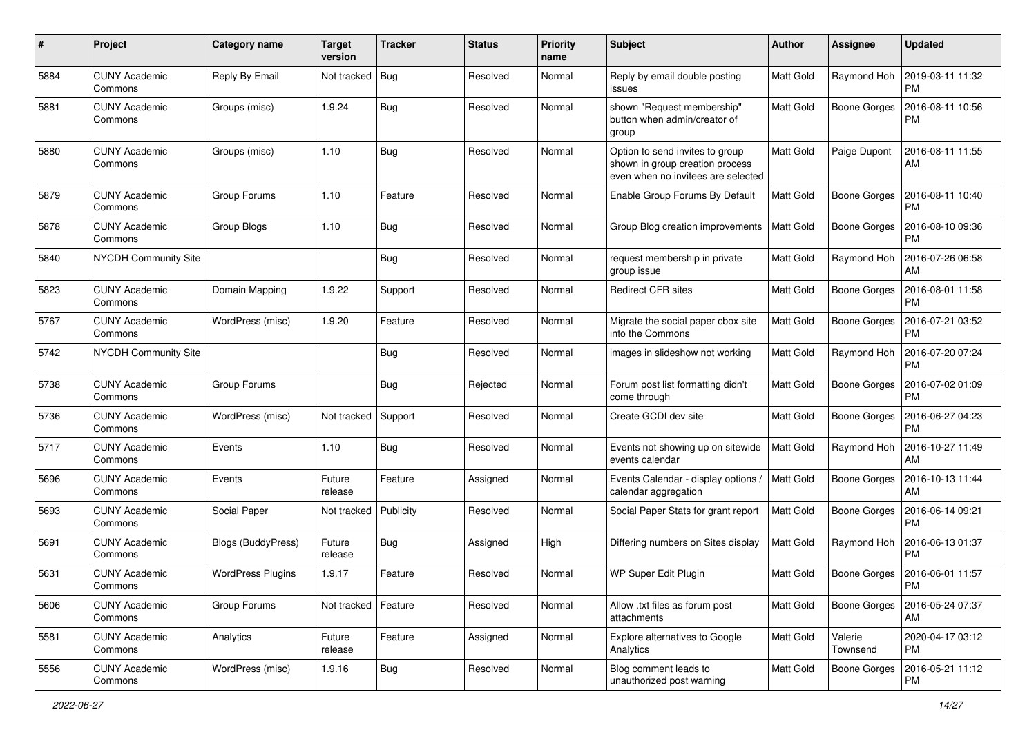| #    | Project                         | <b>Category name</b>      | Target<br>version | <b>Tracker</b> | <b>Status</b> | <b>Priority</b><br>name | Subject                                                                                                  | Author    | Assignee            | <b>Updated</b>                |
|------|---------------------------------|---------------------------|-------------------|----------------|---------------|-------------------------|----------------------------------------------------------------------------------------------------------|-----------|---------------------|-------------------------------|
| 5884 | <b>CUNY Academic</b><br>Commons | Reply By Email            | Not tracked       | Bug            | Resolved      | Normal                  | Reply by email double posting<br>issues                                                                  | Matt Gold | Raymond Hoh         | 2019-03-11 11:32<br><b>PM</b> |
| 5881 | <b>CUNY Academic</b><br>Commons | Groups (misc)             | 1.9.24            | Bug            | Resolved      | Normal                  | shown "Request membership"<br>button when admin/creator of<br>group                                      | Matt Gold | Boone Gorges        | 2016-08-11 10:56<br><b>PM</b> |
| 5880 | <b>CUNY Academic</b><br>Commons | Groups (misc)             | 1.10              | <b>Bug</b>     | Resolved      | Normal                  | Option to send invites to group<br>shown in group creation process<br>even when no invitees are selected | Matt Gold | Paige Dupont        | 2016-08-11 11:55<br>AM        |
| 5879 | <b>CUNY Academic</b><br>Commons | Group Forums              | 1.10              | Feature        | Resolved      | Normal                  | Enable Group Forums By Default                                                                           | Matt Gold | Boone Gorges        | 2016-08-11 10:40<br><b>PM</b> |
| 5878 | <b>CUNY Academic</b><br>Commons | Group Blogs               | 1.10              | Bug            | Resolved      | Normal                  | Group Blog creation improvements                                                                         | Matt Gold | <b>Boone Gorges</b> | 2016-08-10 09:36<br><b>PM</b> |
| 5840 | NYCDH Community Site            |                           |                   | Bug            | Resolved      | Normal                  | request membership in private<br>group issue                                                             | Matt Gold | Raymond Hoh         | 2016-07-26 06:58<br>AM        |
| 5823 | <b>CUNY Academic</b><br>Commons | Domain Mapping            | 1.9.22            | Support        | Resolved      | Normal                  | <b>Redirect CFR sites</b>                                                                                | Matt Gold | Boone Gorges        | 2016-08-01 11:58<br><b>PM</b> |
| 5767 | <b>CUNY Academic</b><br>Commons | WordPress (misc)          | 1.9.20            | Feature        | Resolved      | Normal                  | Migrate the social paper cbox site<br>into the Commons                                                   | Matt Gold | Boone Gorges        | 2016-07-21 03:52<br><b>PM</b> |
| 5742 | NYCDH Community Site            |                           |                   | Bug            | Resolved      | Normal                  | images in slideshow not working                                                                          | Matt Gold | Raymond Hoh         | 2016-07-20 07:24<br>PM        |
| 5738 | <b>CUNY Academic</b><br>Commons | Group Forums              |                   | <b>Bug</b>     | Rejected      | Normal                  | Forum post list formatting didn't<br>come through                                                        | Matt Gold | <b>Boone Gorges</b> | 2016-07-02 01:09<br>PM        |
| 5736 | <b>CUNY Academic</b><br>Commons | WordPress (misc)          | Not tracked       | Support        | Resolved      | Normal                  | Create GCDI dev site                                                                                     | Matt Gold | Boone Gorges        | 2016-06-27 04:23<br><b>PM</b> |
| 5717 | <b>CUNY Academic</b><br>Commons | Events                    | 1.10              | <b>Bug</b>     | Resolved      | Normal                  | Events not showing up on sitewide<br>events calendar                                                     | Matt Gold | Raymond Hoh         | 2016-10-27 11:49<br>AM        |
| 5696 | <b>CUNY Academic</b><br>Commons | Events                    | Future<br>release | Feature        | Assigned      | Normal                  | Events Calendar - display options<br>calendar aggregation                                                | Matt Gold | <b>Boone Gorges</b> | 2016-10-13 11:44<br>AM        |
| 5693 | <b>CUNY Academic</b><br>Commons | Social Paper              | Not tracked       | Publicity      | Resolved      | Normal                  | Social Paper Stats for grant report                                                                      | Matt Gold | <b>Boone Gorges</b> | 2016-06-14 09:21<br><b>PM</b> |
| 5691 | <b>CUNY Academic</b><br>Commons | <b>Blogs (BuddyPress)</b> | Future<br>release | <b>Bug</b>     | Assigned      | High                    | Differing numbers on Sites display                                                                       | Matt Gold | Raymond Hoh         | 2016-06-13 01:37<br><b>PM</b> |
| 5631 | CUNY Academic<br>Commons        | <b>WordPress Plugins</b>  | 1.9.17            | Feature        | Resolved      | Normal                  | WP Super Edit Plugin                                                                                     | Matt Gold | Boone Gorges        | 2016-06-01 11:57<br>PM        |
| 5606 | <b>CUNY Academic</b><br>Commons | Group Forums              | Not tracked       | Feature        | Resolved      | Normal                  | Allow .txt files as forum post<br>attachments                                                            | Matt Gold | Boone Gorges        | 2016-05-24 07:37<br>AM        |
| 5581 | <b>CUNY Academic</b><br>Commons | Analytics                 | Future<br>release | Feature        | Assigned      | Normal                  | Explore alternatives to Google<br>Analytics                                                              | Matt Gold | Valerie<br>Townsend | 2020-04-17 03:12<br><b>PM</b> |
| 5556 | <b>CUNY Academic</b><br>Commons | WordPress (misc)          | 1.9.16            | Bug            | Resolved      | Normal                  | Blog comment leads to<br>unauthorized post warning                                                       | Matt Gold | Boone Gorges        | 2016-05-21 11:12<br><b>PM</b> |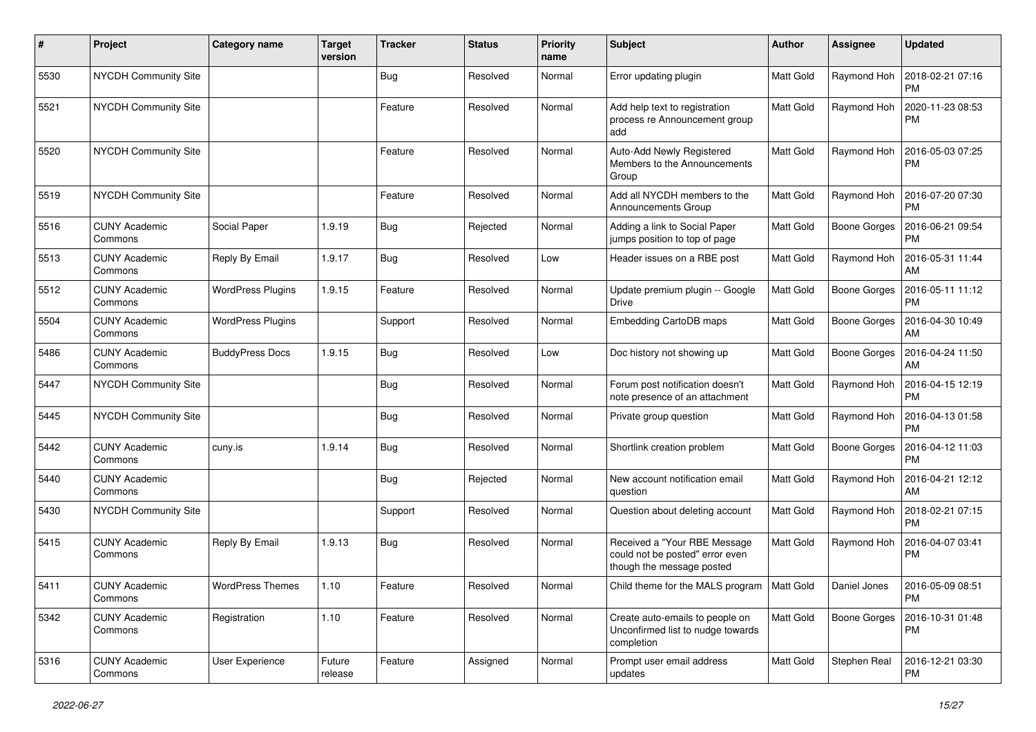| #    | Project                         | <b>Category name</b>     | <b>Target</b><br>version | <b>Tracker</b> | <b>Status</b> | <b>Priority</b><br>name | <b>Subject</b>                                                                               | Author           | Assignee            | <b>Updated</b>                |
|------|---------------------------------|--------------------------|--------------------------|----------------|---------------|-------------------------|----------------------------------------------------------------------------------------------|------------------|---------------------|-------------------------------|
| 5530 | NYCDH Community Site            |                          |                          | <b>Bug</b>     | Resolved      | Normal                  | Error updating plugin                                                                        | Matt Gold        | Raymond Hoh         | 2018-02-21 07:16<br><b>PM</b> |
| 5521 | <b>NYCDH Community Site</b>     |                          |                          | Feature        | Resolved      | Normal                  | Add help text to registration<br>process re Announcement group<br>add                        | Matt Gold        | Raymond Hoh         | 2020-11-23 08:53<br><b>PM</b> |
| 5520 | <b>NYCDH Community Site</b>     |                          |                          | Feature        | Resolved      | Normal                  | Auto-Add Newly Registered<br>Members to the Announcements<br>Group                           | Matt Gold        | Raymond Hoh         | 2016-05-03 07:25<br><b>PM</b> |
| 5519 | NYCDH Community Site            |                          |                          | Feature        | Resolved      | Normal                  | Add all NYCDH members to the<br>Announcements Group                                          | Matt Gold        | Raymond Hoh         | 2016-07-20 07:30<br><b>PM</b> |
| 5516 | <b>CUNY Academic</b><br>Commons | Social Paper             | 1.9.19                   | <b>Bug</b>     | Rejected      | Normal                  | Adding a link to Social Paper<br>jumps position to top of page                               | Matt Gold        | <b>Boone Gorges</b> | 2016-06-21 09:54<br><b>PM</b> |
| 5513 | <b>CUNY Academic</b><br>Commons | Reply By Email           | 1.9.17                   | Bug            | Resolved      | Low                     | Header issues on a RBE post                                                                  | Matt Gold        | Raymond Hoh         | 2016-05-31 11:44<br>AM        |
| 5512 | <b>CUNY Academic</b><br>Commons | <b>WordPress Plugins</b> | 1.9.15                   | Feature        | Resolved      | Normal                  | Update premium plugin -- Google<br><b>Drive</b>                                              | Matt Gold        | Boone Gorges        | 2016-05-11 11:12<br>PM        |
| 5504 | <b>CUNY Academic</b><br>Commons | <b>WordPress Plugins</b> |                          | Support        | Resolved      | Normal                  | Embedding CartoDB maps                                                                       | Matt Gold        | Boone Gorges        | 2016-04-30 10:49<br>AM        |
| 5486 | <b>CUNY Academic</b><br>Commons | <b>BuddyPress Docs</b>   | 1.9.15                   | <b>Bug</b>     | Resolved      | Low                     | Doc history not showing up                                                                   | Matt Gold        | Boone Gorges        | 2016-04-24 11:50<br>AM        |
| 5447 | NYCDH Community Site            |                          |                          | Bug            | Resolved      | Normal                  | Forum post notification doesn't<br>note presence of an attachment                            | Matt Gold        | Raymond Hoh         | 2016-04-15 12:19<br><b>PM</b> |
| 5445 | NYCDH Community Site            |                          |                          | Bug            | Resolved      | Normal                  | Private group question                                                                       | Matt Gold        | Raymond Hoh         | 2016-04-13 01:58<br><b>PM</b> |
| 5442 | <b>CUNY Academic</b><br>Commons | cuny.is                  | 1.9.14                   | <b>Bug</b>     | Resolved      | Normal                  | Shortlink creation problem                                                                   | Matt Gold        | Boone Gorges        | 2016-04-12 11:03<br><b>PM</b> |
| 5440 | <b>CUNY Academic</b><br>Commons |                          |                          | <b>Bug</b>     | Rejected      | Normal                  | New account notification email<br>question                                                   | Matt Gold        | Raymond Hoh         | 2016-04-21 12:12<br>AM        |
| 5430 | NYCDH Community Site            |                          |                          | Support        | Resolved      | Normal                  | Question about deleting account                                                              | <b>Matt Gold</b> | Raymond Hoh         | 2018-02-21 07:15<br><b>PM</b> |
| 5415 | <b>CUNY Academic</b><br>Commons | Reply By Email           | 1.9.13                   | Bug            | Resolved      | Normal                  | Received a "Your RBE Message<br>could not be posted" error even<br>though the message posted | Matt Gold        | Raymond Hoh         | 2016-04-07 03:41<br><b>PM</b> |
| 5411 | <b>CUNY Academic</b><br>Commons | <b>WordPress Themes</b>  | $1.10$                   | Feature        | Resolved      | Normal                  | Child theme for the MALS program   Matt Gold                                                 |                  | Daniel Jones        | 2016-05-09 08:51<br><b>PM</b> |
| 5342 | <b>CUNY Academic</b><br>Commons | Registration             | 1.10                     | Feature        | Resolved      | Normal                  | Create auto-emails to people on<br>Unconfirmed list to nudge towards<br>completion           | Matt Gold        | Boone Gorges        | 2016-10-31 01:48<br><b>PM</b> |
| 5316 | <b>CUNY Academic</b><br>Commons | User Experience          | Future<br>release        | Feature        | Assigned      | Normal                  | Prompt user email address<br>updates                                                         | Matt Gold        | Stephen Real        | 2016-12-21 03:30<br>PM        |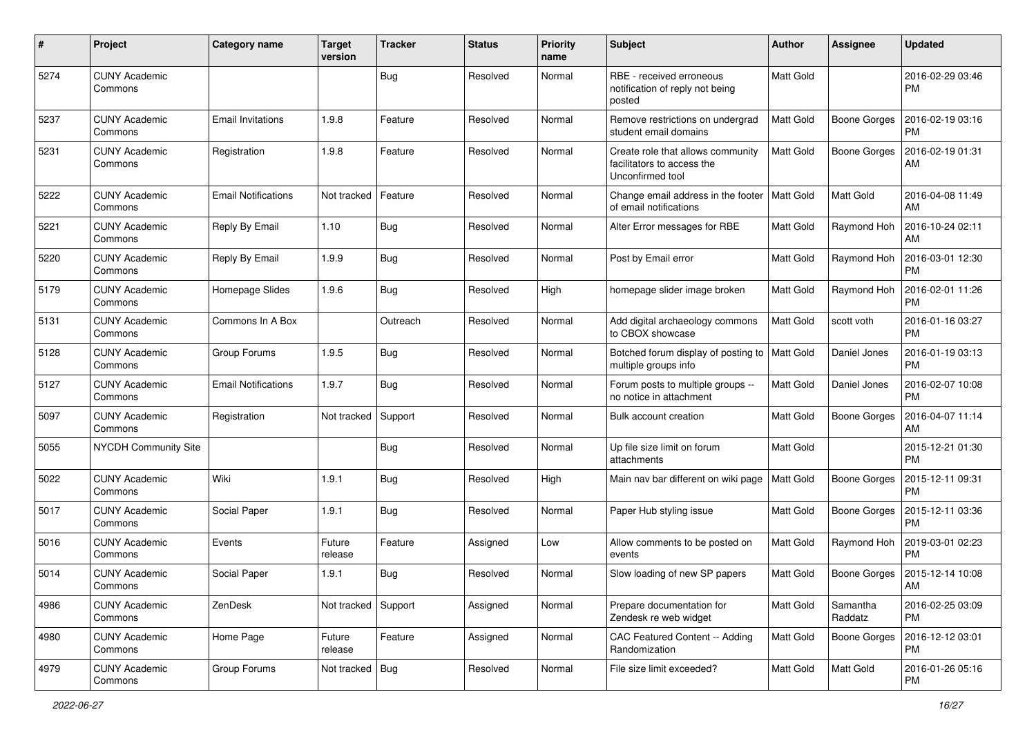| #    | Project                         | <b>Category name</b>       | Target<br>version | <b>Tracker</b> | <b>Status</b> | <b>Priority</b><br>name | Subject                                                                             | Author    | Assignee            | <b>Updated</b>                |
|------|---------------------------------|----------------------------|-------------------|----------------|---------------|-------------------------|-------------------------------------------------------------------------------------|-----------|---------------------|-------------------------------|
| 5274 | <b>CUNY Academic</b><br>Commons |                            |                   | <b>Bug</b>     | Resolved      | Normal                  | RBE - received erroneous<br>notification of reply not being<br>posted               | Matt Gold |                     | 2016-02-29 03:46<br><b>PM</b> |
| 5237 | <b>CUNY Academic</b><br>Commons | Email Invitations          | 1.9.8             | Feature        | Resolved      | Normal                  | Remove restrictions on undergrad<br>student email domains                           | Matt Gold | <b>Boone Gorges</b> | 2016-02-19 03:16<br>PM        |
| 5231 | <b>CUNY Academic</b><br>Commons | Registration               | 1.9.8             | Feature        | Resolved      | Normal                  | Create role that allows community<br>facilitators to access the<br>Unconfirmed tool | Matt Gold | Boone Gorges        | 2016-02-19 01:31<br>AM        |
| 5222 | <b>CUNY Academic</b><br>Commons | <b>Email Notifications</b> | Not tracked       | Feature        | Resolved      | Normal                  | Change email address in the footer<br>of email notifications                        | Matt Gold | Matt Gold           | 2016-04-08 11:49<br>AM        |
| 5221 | <b>CUNY Academic</b><br>Commons | Reply By Email             | 1.10              | <b>Bug</b>     | Resolved      | Normal                  | Alter Error messages for RBE                                                        | Matt Gold | Raymond Hoh         | 2016-10-24 02:11<br>AM        |
| 5220 | <b>CUNY Academic</b><br>Commons | Reply By Email             | 1.9.9             | <b>Bug</b>     | Resolved      | Normal                  | Post by Email error                                                                 | Matt Gold | Raymond Hoh         | 2016-03-01 12:30<br><b>PM</b> |
| 5179 | <b>CUNY Academic</b><br>Commons | Homepage Slides            | 1.9.6             | Bug            | Resolved      | High                    | homepage slider image broken                                                        | Matt Gold | Raymond Hoh         | 2016-02-01 11:26<br><b>PM</b> |
| 5131 | <b>CUNY Academic</b><br>Commons | Commons In A Box           |                   | Outreach       | Resolved      | Normal                  | Add digital archaeology commons<br>to CBOX showcase                                 | Matt Gold | scott voth          | 2016-01-16 03:27<br><b>PM</b> |
| 5128 | <b>CUNY Academic</b><br>Commons | Group Forums               | 1.9.5             | Bug            | Resolved      | Normal                  | Botched forum display of posting to<br>multiple groups info                         | Matt Gold | Daniel Jones        | 2016-01-19 03:13<br><b>PM</b> |
| 5127 | <b>CUNY Academic</b><br>Commons | <b>Email Notifications</b> | 1.9.7             | <b>Bug</b>     | Resolved      | Normal                  | Forum posts to multiple groups --<br>no notice in attachment                        | Matt Gold | Daniel Jones        | 2016-02-07 10:08<br><b>PM</b> |
| 5097 | <b>CUNY Academic</b><br>Commons | Registration               | Not tracked       | Support        | Resolved      | Normal                  | Bulk account creation                                                               | Matt Gold | Boone Gorges        | 2016-04-07 11:14<br>AM        |
| 5055 | NYCDH Community Site            |                            |                   | Bug            | Resolved      | Normal                  | Up file size limit on forum<br>attachments                                          | Matt Gold |                     | 2015-12-21 01:30<br><b>PM</b> |
| 5022 | <b>CUNY Academic</b><br>Commons | Wiki                       | 1.9.1             | Bug            | Resolved      | High                    | Main nav bar different on wiki page                                                 | Matt Gold | <b>Boone Gorges</b> | 2015-12-11 09:31<br><b>PM</b> |
| 5017 | <b>CUNY Academic</b><br>Commons | Social Paper               | 1.9.1             | <b>Bug</b>     | Resolved      | Normal                  | Paper Hub styling issue                                                             | Matt Gold | Boone Gorges        | 2015-12-11 03:36<br><b>PM</b> |
| 5016 | <b>CUNY Academic</b><br>Commons | Events                     | Future<br>release | Feature        | Assigned      | Low                     | Allow comments to be posted on<br>events                                            | Matt Gold | Raymond Hoh         | 2019-03-01 02:23<br><b>PM</b> |
| 5014 | <b>CUNY Academic</b><br>Commons | Social Paper               | 1.9.1             | Bug            | Resolved      | Normal                  | Slow loading of new SP papers                                                       | Matt Gold | Boone Gorges        | 2015-12-14 10:08<br>AM        |
| 4986 | <b>CUNY Academic</b><br>Commons | ZenDesk                    | Not tracked       | Support        | Assigned      | Normal                  | Prepare documentation for<br>Zendesk re web widget                                  | Matt Gold | Samantha<br>Raddatz | 2016-02-25 03:09<br><b>PM</b> |
| 4980 | <b>CUNY Academic</b><br>Commons | Home Page                  | Future<br>release | Feature        | Assigned      | Normal                  | CAC Featured Content -- Adding<br>Randomization                                     | Matt Gold | Boone Gorges        | 2016-12-12 03:01<br><b>PM</b> |
| 4979 | <b>CUNY Academic</b><br>Commons | Group Forums               | Not tracked       | Bug            | Resolved      | Normal                  | File size limit exceeded?                                                           | Matt Gold | Matt Gold           | 2016-01-26 05:16<br>PM        |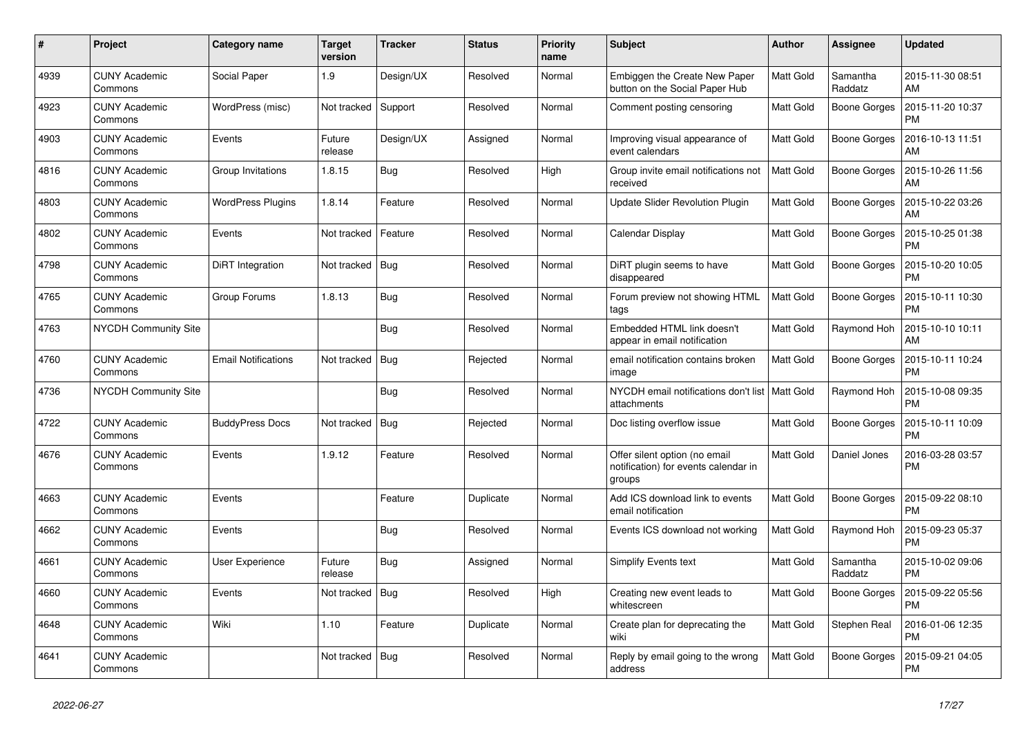| $\#$ | Project                         | Category name              | <b>Target</b><br>version | <b>Tracker</b> | <b>Status</b> | <b>Priority</b><br>name | <b>Subject</b>                                                                  | Author           | Assignee            | <b>Updated</b>                |
|------|---------------------------------|----------------------------|--------------------------|----------------|---------------|-------------------------|---------------------------------------------------------------------------------|------------------|---------------------|-------------------------------|
| 4939 | <b>CUNY Academic</b><br>Commons | Social Paper               | 1.9                      | Design/UX      | Resolved      | Normal                  | Embiggen the Create New Paper<br>button on the Social Paper Hub                 | <b>Matt Gold</b> | Samantha<br>Raddatz | 2015-11-30 08:51<br>AM        |
| 4923 | <b>CUNY Academic</b><br>Commons | WordPress (misc)           | Not tracked              | Support        | Resolved      | Normal                  | Comment posting censoring                                                       | Matt Gold        | <b>Boone Gorges</b> | 2015-11-20 10:37<br><b>PM</b> |
| 4903 | <b>CUNY Academic</b><br>Commons | Events                     | Future<br>release        | Design/UX      | Assigned      | Normal                  | Improving visual appearance of<br>event calendars                               | Matt Gold        | Boone Gorges        | 2016-10-13 11:51<br>AM        |
| 4816 | <b>CUNY Academic</b><br>Commons | Group Invitations          | 1.8.15                   | Bug            | Resolved      | High                    | Group invite email notifications not<br>received                                | <b>Matt Gold</b> | Boone Gorges        | 2015-10-26 11:56<br>AM        |
| 4803 | <b>CUNY Academic</b><br>Commons | <b>WordPress Plugins</b>   | 1.8.14                   | Feature        | Resolved      | Normal                  | <b>Update Slider Revolution Plugin</b>                                          | Matt Gold        | Boone Gorges        | 2015-10-22 03:26<br>AM        |
| 4802 | <b>CUNY Academic</b><br>Commons | Events                     | Not tracked              | Feature        | Resolved      | Normal                  | Calendar Display                                                                | Matt Gold        | <b>Boone Gorges</b> | 2015-10-25 01:38<br><b>PM</b> |
| 4798 | <b>CUNY Academic</b><br>Commons | DiRT Integration           | Not tracked              | Bug            | Resolved      | Normal                  | DiRT plugin seems to have<br>disappeared                                        | <b>Matt Gold</b> | Boone Gorges        | 2015-10-20 10:05<br><b>PM</b> |
| 4765 | <b>CUNY Academic</b><br>Commons | Group Forums               | 1.8.13                   | Bug            | Resolved      | Normal                  | Forum preview not showing HTML<br>tags                                          | Matt Gold        | Boone Gorges        | 2015-10-11 10:30<br><b>PM</b> |
| 4763 | NYCDH Community Site            |                            |                          | Bug            | Resolved      | Normal                  | Embedded HTML link doesn't<br>appear in email notification                      | Matt Gold        | Raymond Hoh         | 2015-10-10 10:11<br>AM        |
| 4760 | <b>CUNY Academic</b><br>Commons | <b>Email Notifications</b> | Not tracked              | <b>Bug</b>     | Rejected      | Normal                  | email notification contains broken<br>image                                     | Matt Gold        | Boone Gorges        | 2015-10-11 10:24<br><b>PM</b> |
| 4736 | <b>NYCDH Community Site</b>     |                            |                          | <b>Bug</b>     | Resolved      | Normal                  | NYCDH email notifications don't list   Matt Gold<br>attachments                 |                  | Raymond Hoh         | 2015-10-08 09:35<br><b>PM</b> |
| 4722 | <b>CUNY Academic</b><br>Commons | <b>BuddyPress Docs</b>     | Not tracked              | <b>Bug</b>     | Rejected      | Normal                  | Doc listing overflow issue                                                      | <b>Matt Gold</b> | Boone Gorges        | 2015-10-11 10:09<br><b>PM</b> |
| 4676 | <b>CUNY Academic</b><br>Commons | Events                     | 1.9.12                   | Feature        | Resolved      | Normal                  | Offer silent option (no email<br>notification) for events calendar in<br>groups | Matt Gold        | Daniel Jones        | 2016-03-28 03:57<br><b>PM</b> |
| 4663 | <b>CUNY Academic</b><br>Commons | Events                     |                          | Feature        | Duplicate     | Normal                  | Add ICS download link to events<br>email notification                           | Matt Gold        | Boone Gorges        | 2015-09-22 08:10<br><b>PM</b> |
| 4662 | <b>CUNY Academic</b><br>Commons | Events                     |                          | <b>Bug</b>     | Resolved      | Normal                  | Events ICS download not working                                                 | Matt Gold        | Raymond Hoh         | 2015-09-23 05:37<br><b>PM</b> |
| 4661 | <b>CUNY Academic</b><br>Commons | <b>User Experience</b>     | Future<br>release        | <b>Bug</b>     | Assigned      | Normal                  | Simplify Events text                                                            | Matt Gold        | Samantha<br>Raddatz | 2015-10-02 09:06<br><b>PM</b> |
| 4660 | <b>CUNY Academic</b><br>Commons | Events                     | Not tracked              | <b>Bug</b>     | Resolved      | High                    | Creating new event leads to<br>whitescreen                                      | <b>Matt Gold</b> | Boone Gorges        | 2015-09-22 05:56<br><b>PM</b> |
| 4648 | <b>CUNY Academic</b><br>Commons | Wiki                       | 1.10                     | Feature        | Duplicate     | Normal                  | Create plan for deprecating the<br>wiki                                         | Matt Gold        | Stephen Real        | 2016-01-06 12:35<br><b>PM</b> |
| 4641 | <b>CUNY Academic</b><br>Commons |                            | Not tracked              | Bug            | Resolved      | Normal                  | Reply by email going to the wrong<br>address                                    | Matt Gold        | <b>Boone Gorges</b> | 2015-09-21 04:05<br><b>PM</b> |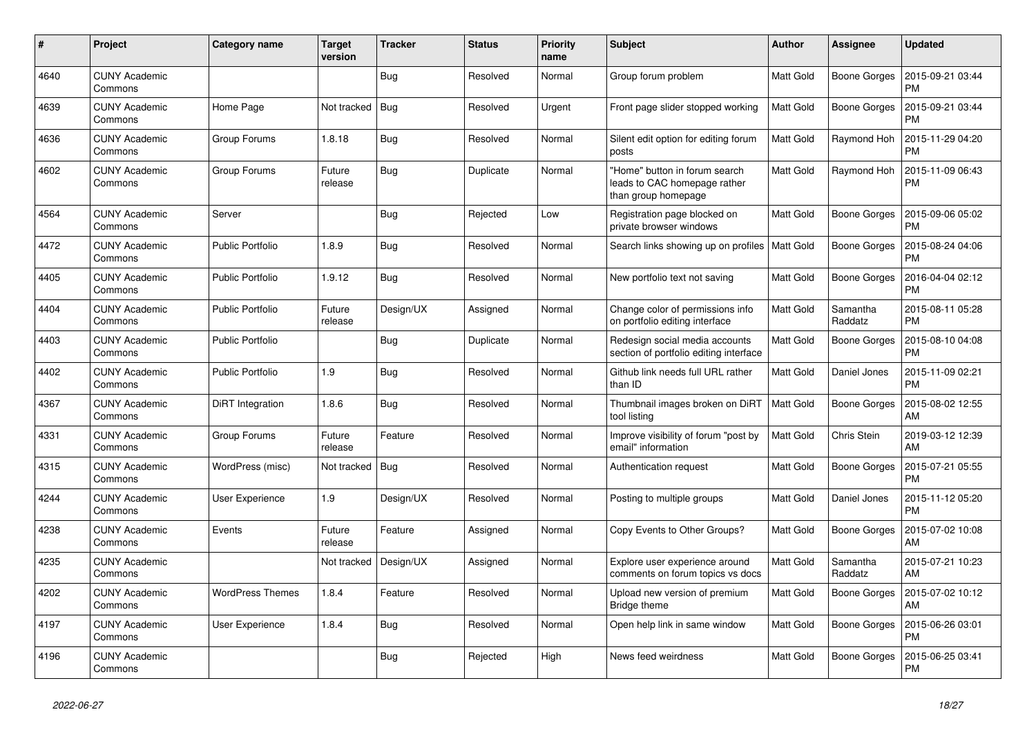| $\#$ | Project                         | Category name           | <b>Target</b><br>version | <b>Tracker</b> | <b>Status</b> | <b>Priority</b><br>name | <b>Subject</b>                                                                       | <b>Author</b>    | Assignee            | <b>Updated</b>                |
|------|---------------------------------|-------------------------|--------------------------|----------------|---------------|-------------------------|--------------------------------------------------------------------------------------|------------------|---------------------|-------------------------------|
| 4640 | <b>CUNY Academic</b><br>Commons |                         |                          | Bug            | Resolved      | Normal                  | Group forum problem                                                                  | <b>Matt Gold</b> | <b>Boone Gorges</b> | 2015-09-21 03:44<br><b>PM</b> |
| 4639 | <b>CUNY Academic</b><br>Commons | Home Page               | Not tracked              | <b>Bug</b>     | Resolved      | Urgent                  | Front page slider stopped working                                                    | <b>Matt Gold</b> | <b>Boone Gorges</b> | 2015-09-21 03:44<br><b>PM</b> |
| 4636 | <b>CUNY Academic</b><br>Commons | Group Forums            | 1.8.18                   | Bug            | Resolved      | Normal                  | Silent edit option for editing forum<br>posts                                        | Matt Gold        | Raymond Hoh         | 2015-11-29 04:20<br><b>PM</b> |
| 4602 | <b>CUNY Academic</b><br>Commons | Group Forums            | Future<br>release        | Bug            | Duplicate     | Normal                  | 'Home" button in forum search<br>leads to CAC homepage rather<br>than group homepage | <b>Matt Gold</b> | Raymond Hoh         | 2015-11-09 06:43<br><b>PM</b> |
| 4564 | <b>CUNY Academic</b><br>Commons | Server                  |                          | <b>Bug</b>     | Rejected      | Low                     | Registration page blocked on<br>private browser windows                              | <b>Matt Gold</b> | <b>Boone Gorges</b> | 2015-09-06 05:02<br><b>PM</b> |
| 4472 | CUNY Academic<br>Commons        | <b>Public Portfolio</b> | 1.8.9                    | Bug            | Resolved      | Normal                  | Search links showing up on profiles   Matt Gold                                      |                  | Boone Gorges        | 2015-08-24 04:06<br><b>PM</b> |
| 4405 | <b>CUNY Academic</b><br>Commons | <b>Public Portfolio</b> | 1.9.12                   | Bug            | Resolved      | Normal                  | New portfolio text not saving                                                        | <b>Matt Gold</b> | <b>Boone Gorges</b> | 2016-04-04 02:12<br><b>PM</b> |
| 4404 | <b>CUNY Academic</b><br>Commons | <b>Public Portfolio</b> | Future<br>release        | Design/UX      | Assigned      | Normal                  | Change color of permissions info<br>on portfolio editing interface                   | Matt Gold        | Samantha<br>Raddatz | 2015-08-11 05:28<br><b>PM</b> |
| 4403 | <b>CUNY Academic</b><br>Commons | <b>Public Portfolio</b> |                          | Bug            | Duplicate     | Normal                  | Redesign social media accounts<br>section of portfolio editing interface             | Matt Gold        | <b>Boone Gorges</b> | 2015-08-10 04:08<br><b>PM</b> |
| 4402 | <b>CUNY Academic</b><br>Commons | Public Portfolio        | 1.9                      | Bug            | Resolved      | Normal                  | Github link needs full URL rather<br>than ID                                         | Matt Gold        | Daniel Jones        | 2015-11-09 02:21<br><b>PM</b> |
| 4367 | <b>CUNY Academic</b><br>Commons | DiRT Integration        | 1.8.6                    | <b>Bug</b>     | Resolved      | Normal                  | Thumbnail images broken on DiRT<br>tool listing                                      | Matt Gold        | Boone Gorges        | 2015-08-02 12:55<br>AM        |
| 4331 | <b>CUNY Academic</b><br>Commons | Group Forums            | Future<br>release        | Feature        | Resolved      | Normal                  | Improve visibility of forum "post by<br>email" information                           | <b>Matt Gold</b> | Chris Stein         | 2019-03-12 12:39<br>AM        |
| 4315 | <b>CUNY Academic</b><br>Commons | WordPress (misc)        | Not tracked              | <b>Bug</b>     | Resolved      | Normal                  | Authentication request                                                               | Matt Gold        | <b>Boone Gorges</b> | 2015-07-21 05:55<br><b>PM</b> |
| 4244 | <b>CUNY Academic</b><br>Commons | User Experience         | 1.9                      | Design/UX      | Resolved      | Normal                  | Posting to multiple groups                                                           | Matt Gold        | Daniel Jones        | 2015-11-12 05:20<br><b>PM</b> |
| 4238 | <b>CUNY Academic</b><br>Commons | Events                  | Future<br>release        | Feature        | Assigned      | Normal                  | Copy Events to Other Groups?                                                         | Matt Gold        | <b>Boone Gorges</b> | 2015-07-02 10:08<br>AM        |
| 4235 | <b>CUNY Academic</b><br>Commons |                         | Not tracked              | Design/UX      | Assigned      | Normal                  | Explore user experience around<br>comments on forum topics vs docs                   | Matt Gold        | Samantha<br>Raddatz | 2015-07-21 10:23<br>AM        |
| 4202 | <b>CUNY Academic</b><br>Commons | <b>WordPress Themes</b> | 1.8.4                    | Feature        | Resolved      | Normal                  | Upload new version of premium<br>Bridge theme                                        | <b>Matt Gold</b> | Boone Gorges        | 2015-07-02 10:12<br>AM        |
| 4197 | <b>CUNY Academic</b><br>Commons | User Experience         | 1.8.4                    | <b>Bug</b>     | Resolved      | Normal                  | Open help link in same window                                                        | <b>Matt Gold</b> | Boone Gorges        | 2015-06-26 03:01<br><b>PM</b> |
| 4196 | <b>CUNY Academic</b><br>Commons |                         |                          | Bug            | Rejected      | High                    | News feed weirdness                                                                  | Matt Gold        | <b>Boone Gorges</b> | 2015-06-25 03:41<br><b>PM</b> |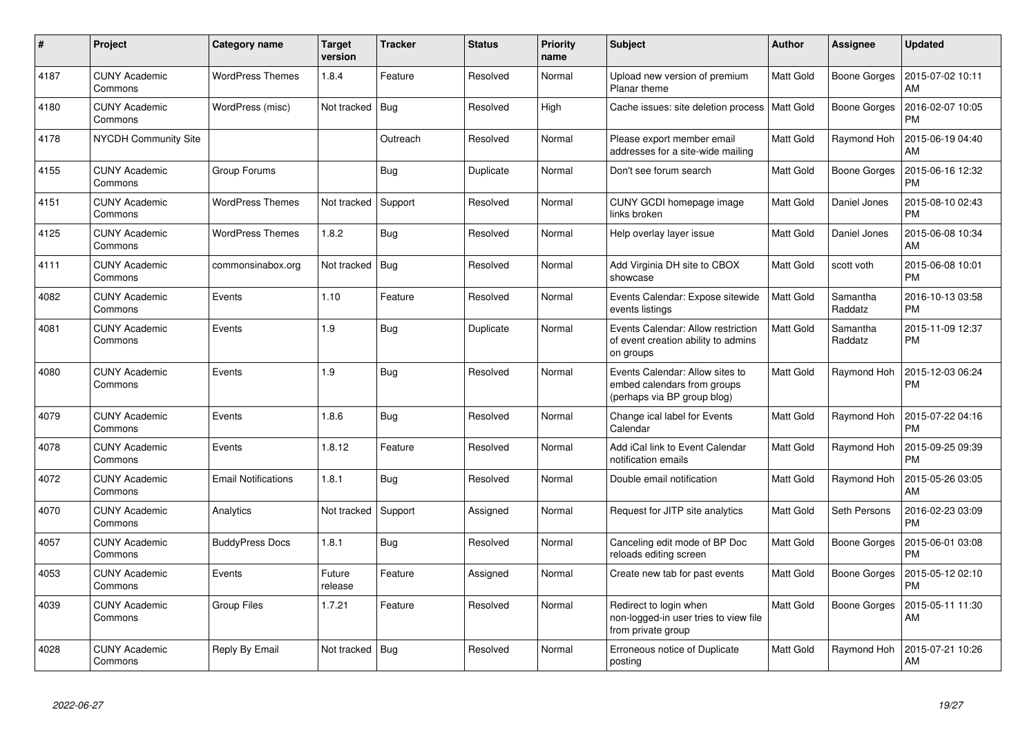| #    | Project                         | <b>Category name</b>       | <b>Target</b><br>version | <b>Tracker</b> | <b>Status</b> | <b>Priority</b><br>name | <b>Subject</b>                                                                                | Author           | Assignee            | <b>Updated</b>                |
|------|---------------------------------|----------------------------|--------------------------|----------------|---------------|-------------------------|-----------------------------------------------------------------------------------------------|------------------|---------------------|-------------------------------|
| 4187 | <b>CUNY Academic</b><br>Commons | <b>WordPress Themes</b>    | 1.8.4                    | Feature        | Resolved      | Normal                  | Upload new version of premium<br>Planar theme                                                 | Matt Gold        | <b>Boone Gorges</b> | 2015-07-02 10:11<br>AM        |
| 4180 | <b>CUNY Academic</b><br>Commons | WordPress (misc)           | Not tracked              | Bug            | Resolved      | High                    | Cache issues: site deletion process                                                           | l Matt Gold      | <b>Boone Gorges</b> | 2016-02-07 10:05<br><b>PM</b> |
| 4178 | <b>NYCDH Community Site</b>     |                            |                          | Outreach       | Resolved      | Normal                  | Please export member email<br>addresses for a site-wide mailing                               | Matt Gold        | Raymond Hoh         | 2015-06-19 04:40<br>AM        |
| 4155 | <b>CUNY Academic</b><br>Commons | Group Forums               |                          | <b>Bug</b>     | Duplicate     | Normal                  | Don't see forum search                                                                        | Matt Gold        | Boone Gorges        | 2015-06-16 12:32<br><b>PM</b> |
| 4151 | <b>CUNY Academic</b><br>Commons | <b>WordPress Themes</b>    | Not tracked              | Support        | Resolved      | Normal                  | CUNY GCDI homepage image<br>links broken                                                      | Matt Gold        | Daniel Jones        | 2015-08-10 02:43<br><b>PM</b> |
| 4125 | <b>CUNY Academic</b><br>Commons | <b>WordPress Themes</b>    | 1.8.2                    | Bug            | Resolved      | Normal                  | Help overlay layer issue                                                                      | <b>Matt Gold</b> | Daniel Jones        | 2015-06-08 10:34<br>AM        |
| 4111 | <b>CUNY Academic</b><br>Commons | commonsinabox.org          | Not tracked              | Bug            | Resolved      | Normal                  | Add Virginia DH site to CBOX<br>showcase                                                      | <b>Matt Gold</b> | scott voth          | 2015-06-08 10:01<br><b>PM</b> |
| 4082 | <b>CUNY Academic</b><br>Commons | Events                     | 1.10                     | Feature        | Resolved      | Normal                  | Events Calendar: Expose sitewide<br>events listings                                           | <b>Matt Gold</b> | Samantha<br>Raddatz | 2016-10-13 03:58<br><b>PM</b> |
| 4081 | <b>CUNY Academic</b><br>Commons | Events                     | 1.9                      | Bug            | Duplicate     | Normal                  | Events Calendar: Allow restriction<br>of event creation ability to admins<br>on groups        | <b>Matt Gold</b> | Samantha<br>Raddatz | 2015-11-09 12:37<br><b>PM</b> |
| 4080 | <b>CUNY Academic</b><br>Commons | Events                     | 1.9                      | Bug            | Resolved      | Normal                  | Events Calendar: Allow sites to<br>embed calendars from groups<br>(perhaps via BP group blog) | Matt Gold        | Raymond Hoh         | 2015-12-03 06:24<br><b>PM</b> |
| 4079 | <b>CUNY Academic</b><br>Commons | Events                     | 1.8.6                    | <b>Bug</b>     | Resolved      | Normal                  | Change ical label for Events<br>Calendar                                                      | <b>Matt Gold</b> | Raymond Hoh         | 2015-07-22 04:16<br><b>PM</b> |
| 4078 | <b>CUNY Academic</b><br>Commons | Events                     | 1.8.12                   | Feature        | Resolved      | Normal                  | Add iCal link to Event Calendar<br>notification emails                                        | Matt Gold        | Raymond Hoh         | 2015-09-25 09:39<br><b>PM</b> |
| 4072 | <b>CUNY Academic</b><br>Commons | <b>Email Notifications</b> | 1.8.1                    | Bug            | Resolved      | Normal                  | Double email notification                                                                     | <b>Matt Gold</b> | Raymond Hoh         | 2015-05-26 03:05<br>AM        |
| 4070 | <b>CUNY Academic</b><br>Commons | Analytics                  | Not tracked              | Support        | Assigned      | Normal                  | Request for JITP site analytics                                                               | Matt Gold        | Seth Persons        | 2016-02-23 03:09<br><b>PM</b> |
| 4057 | <b>CUNY Academic</b><br>Commons | <b>BuddyPress Docs</b>     | 1.8.1                    | <b>Bug</b>     | Resolved      | Normal                  | Canceling edit mode of BP Doc<br>reloads editing screen                                       | Matt Gold        | <b>Boone Gorges</b> | 2015-06-01 03:08<br><b>PM</b> |
| 4053 | <b>CUNY Academic</b><br>Commons | Events                     | Future<br>release        | Feature        | Assigned      | Normal                  | Create new tab for past events                                                                | <b>Matt Gold</b> | Boone Gorges        | 2015-05-12 02:10<br><b>PM</b> |
| 4039 | <b>CUNY Academic</b><br>Commons | <b>Group Files</b>         | 1.7.21                   | Feature        | Resolved      | Normal                  | Redirect to login when<br>non-logged-in user tries to view file<br>from private group         | Matt Gold        | Boone Gorges        | 2015-05-11 11:30<br>AM        |
| 4028 | <b>CUNY Academic</b><br>Commons | Reply By Email             | Not tracked              | Bug            | Resolved      | Normal                  | Erroneous notice of Duplicate<br>posting                                                      | <b>Matt Gold</b> | Raymond Hoh         | 2015-07-21 10:26<br>AM        |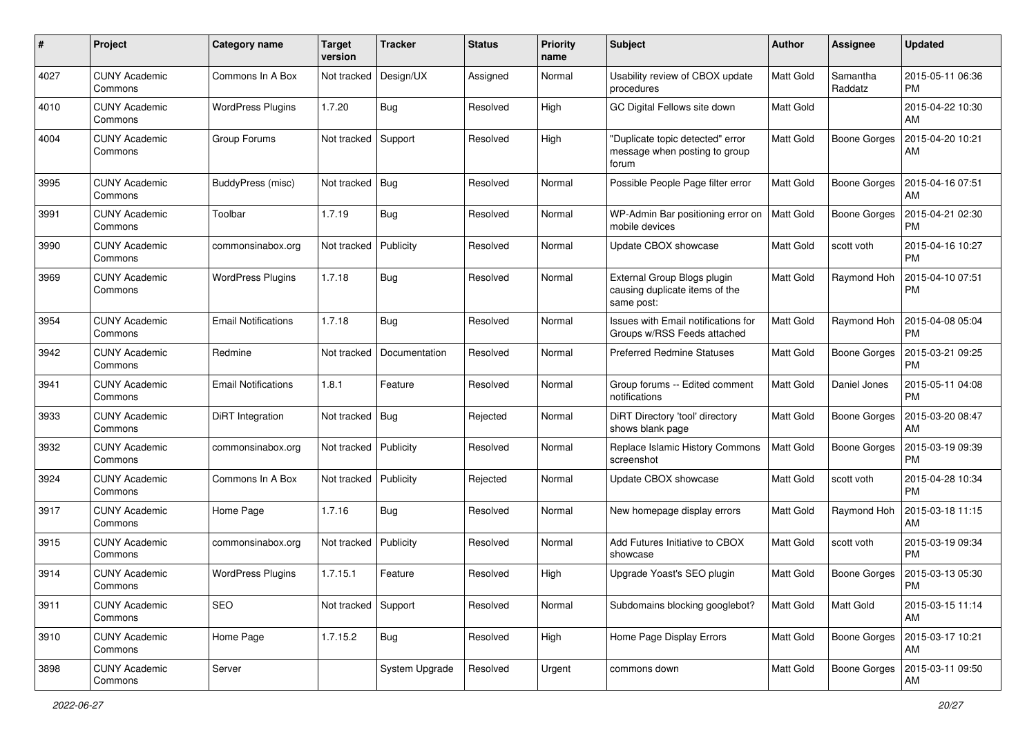| #    | Project                         | <b>Category name</b>       | <b>Target</b><br>version | <b>Tracker</b> | <b>Status</b> | <b>Priority</b><br>name | <b>Subject</b>                                                              | Author           | <b>Assignee</b>     | <b>Updated</b>                |
|------|---------------------------------|----------------------------|--------------------------|----------------|---------------|-------------------------|-----------------------------------------------------------------------------|------------------|---------------------|-------------------------------|
| 4027 | <b>CUNY Academic</b><br>Commons | Commons In A Box           | Not tracked              | Design/UX      | Assigned      | Normal                  | Usability review of CBOX update<br>procedures                               | <b>Matt Gold</b> | Samantha<br>Raddatz | 2015-05-11 06:36<br><b>PM</b> |
| 4010 | <b>CUNY Academic</b><br>Commons | <b>WordPress Plugins</b>   | 1.7.20                   | <b>Bug</b>     | Resolved      | High                    | GC Digital Fellows site down                                                | <b>Matt Gold</b> |                     | 2015-04-22 10:30<br>AM        |
| 4004 | <b>CUNY Academic</b><br>Commons | Group Forums               | Not tracked              | Support        | Resolved      | High                    | "Duplicate topic detected" error<br>message when posting to group<br>forum  | Matt Gold        | <b>Boone Gorges</b> | 2015-04-20 10:21<br>AM        |
| 3995 | <b>CUNY Academic</b><br>Commons | BuddyPress (misc)          | Not tracked              | <b>Bug</b>     | Resolved      | Normal                  | Possible People Page filter error                                           | <b>Matt Gold</b> | <b>Boone Gorges</b> | 2015-04-16 07:51<br>AM        |
| 3991 | <b>CUNY Academic</b><br>Commons | Toolbar                    | 1.7.19                   | Bug            | Resolved      | Normal                  | WP-Admin Bar positioning error on<br>mobile devices                         | Matt Gold        | <b>Boone Gorges</b> | 2015-04-21 02:30<br><b>PM</b> |
| 3990 | <b>CUNY Academic</b><br>Commons | commonsinabox.org          | Not tracked              | Publicity      | Resolved      | Normal                  | Update CBOX showcase                                                        | <b>Matt Gold</b> | scott voth          | 2015-04-16 10:27<br><b>PM</b> |
| 3969 | <b>CUNY Academic</b><br>Commons | <b>WordPress Plugins</b>   | 1.7.18                   | Bug            | Resolved      | Normal                  | External Group Blogs plugin<br>causing duplicate items of the<br>same post: | Matt Gold        | Raymond Hoh         | 2015-04-10 07:51<br><b>PM</b> |
| 3954 | <b>CUNY Academic</b><br>Commons | <b>Email Notifications</b> | 1.7.18                   | Bug            | Resolved      | Normal                  | Issues with Email notifications for<br>Groups w/RSS Feeds attached          | <b>Matt Gold</b> | Raymond Hoh         | 2015-04-08 05:04<br><b>PM</b> |
| 3942 | <b>CUNY Academic</b><br>Commons | Redmine                    | Not tracked              | Documentation  | Resolved      | Normal                  | <b>Preferred Redmine Statuses</b>                                           | <b>Matt Gold</b> | <b>Boone Gorges</b> | 2015-03-21 09:25<br><b>PM</b> |
| 3941 | <b>CUNY Academic</b><br>Commons | <b>Email Notifications</b> | 1.8.1                    | Feature        | Resolved      | Normal                  | Group forums -- Edited comment<br>notifications                             | Matt Gold        | Daniel Jones        | 2015-05-11 04:08<br><b>PM</b> |
| 3933 | <b>CUNY Academic</b><br>Commons | DiRT Integration           | Not tracked              | <b>Bug</b>     | Rejected      | Normal                  | DiRT Directory 'tool' directory<br>shows blank page                         | <b>Matt Gold</b> | <b>Boone Gorges</b> | 2015-03-20 08:47<br>AM        |
| 3932 | <b>CUNY Academic</b><br>Commons | commonsinabox.org          | Not tracked              | Publicity      | Resolved      | Normal                  | Replace Islamic History Commons<br>screenshot                               | Matt Gold        | <b>Boone Gorges</b> | 2015-03-19 09:39<br><b>PM</b> |
| 3924 | <b>CUNY Academic</b><br>Commons | Commons In A Box           | Not tracked              | Publicity      | Rejected      | Normal                  | Update CBOX showcase                                                        | <b>Matt Gold</b> | scott voth          | 2015-04-28 10:34<br><b>PM</b> |
| 3917 | <b>CUNY Academic</b><br>Commons | Home Page                  | 1.7.16                   | Bug            | Resolved      | Normal                  | New homepage display errors                                                 | <b>Matt Gold</b> | Raymond Hoh         | 2015-03-18 11:15<br>AM        |
| 3915 | <b>CUNY Academic</b><br>Commons | commonsinabox.org          | Not tracked              | Publicity      | Resolved      | Normal                  | Add Futures Initiative to CBOX<br>showcase                                  | <b>Matt Gold</b> | scott voth          | 2015-03-19 09:34<br><b>PM</b> |
| 3914 | <b>CUNY Academic</b><br>Commons | <b>WordPress Plugins</b>   | 1.7.15.1                 | Feature        | Resolved      | High                    | Upgrade Yoast's SEO plugin                                                  | <b>Matt Gold</b> | Boone Gorges        | 2015-03-13 05:30<br>PM        |
| 3911 | <b>CUNY Academic</b><br>Commons | SEO                        | Not tracked              | Support        | Resolved      | Normal                  | Subdomains blocking googlebot?                                              | Matt Gold        | Matt Gold           | 2015-03-15 11:14<br>AM        |
| 3910 | <b>CUNY Academic</b><br>Commons | Home Page                  | 1.7.15.2                 | <b>Bug</b>     | Resolved      | High                    | Home Page Display Errors                                                    | Matt Gold        | Boone Gorges        | 2015-03-17 10:21<br>AM        |
| 3898 | <b>CUNY Academic</b><br>Commons | Server                     |                          | System Upgrade | Resolved      | Urgent                  | commons down                                                                | Matt Gold        | <b>Boone Gorges</b> | 2015-03-11 09:50<br>AM        |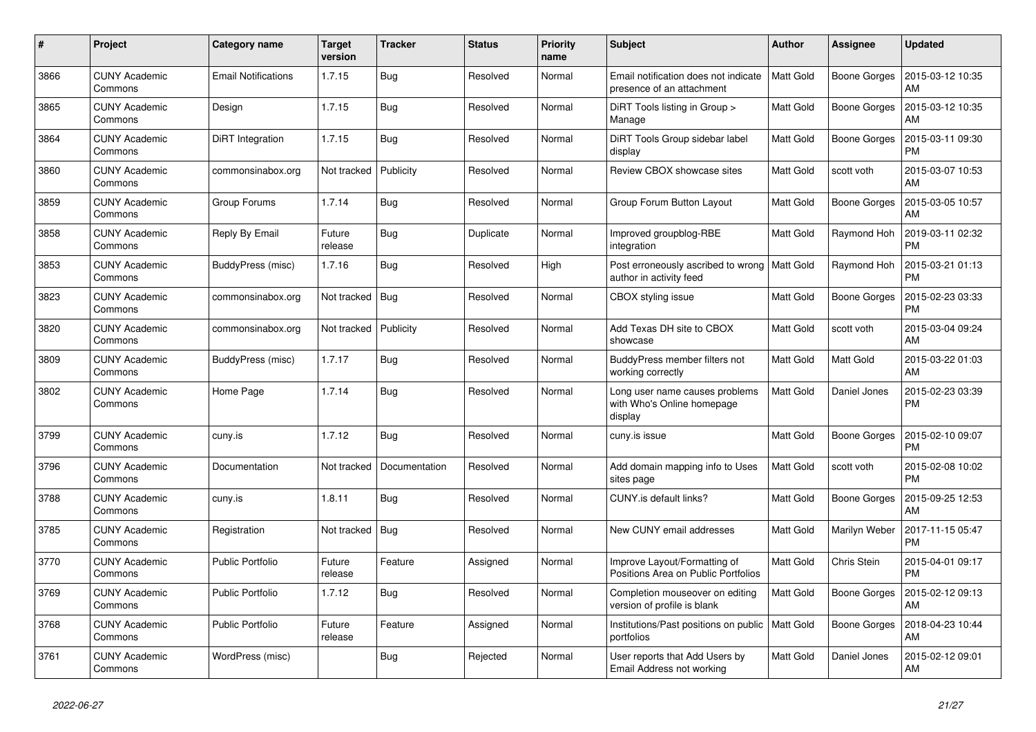| #    | Project                         | <b>Category name</b>       | <b>Target</b><br>version | <b>Tracker</b> | <b>Status</b> | Priority<br>name | <b>Subject</b>                                                            | <b>Author</b>    | <b>Assignee</b>     | <b>Updated</b>                |
|------|---------------------------------|----------------------------|--------------------------|----------------|---------------|------------------|---------------------------------------------------------------------------|------------------|---------------------|-------------------------------|
| 3866 | <b>CUNY Academic</b><br>Commons | <b>Email Notifications</b> | 1.7.15                   | Bug            | Resolved      | Normal           | Email notification does not indicate<br>presence of an attachment         | <b>Matt Gold</b> | Boone Gorges        | 2015-03-12 10:35<br>AM        |
| 3865 | <b>CUNY Academic</b><br>Commons | Design                     | 1.7.15                   | <b>Bug</b>     | Resolved      | Normal           | DiRT Tools listing in Group ><br>Manage                                   | <b>Matt Gold</b> | <b>Boone Gorges</b> | 2015-03-12 10:35<br>AM        |
| 3864 | <b>CUNY Academic</b><br>Commons | DiRT Integration           | 1.7.15                   | <b>Bug</b>     | Resolved      | Normal           | DiRT Tools Group sidebar label<br>display                                 | <b>Matt Gold</b> | <b>Boone Gorges</b> | 2015-03-11 09:30<br><b>PM</b> |
| 3860 | <b>CUNY Academic</b><br>Commons | commonsinabox.org          | Not tracked              | Publicity      | Resolved      | Normal           | Review CBOX showcase sites                                                | Matt Gold        | scott voth          | 2015-03-07 10:53<br>AM        |
| 3859 | <b>CUNY Academic</b><br>Commons | Group Forums               | 1.7.14                   | <b>Bug</b>     | Resolved      | Normal           | Group Forum Button Layout                                                 | Matt Gold        | Boone Gorges        | 2015-03-05 10:57<br>AM        |
| 3858 | <b>CUNY Academic</b><br>Commons | Reply By Email             | Future<br>release        | <b>Bug</b>     | Duplicate     | Normal           | Improved groupblog-RBE<br>integration                                     | <b>Matt Gold</b> | Raymond Hoh         | 2019-03-11 02:32<br><b>PM</b> |
| 3853 | <b>CUNY Academic</b><br>Commons | BuddyPress (misc)          | 1.7.16                   | Bug            | Resolved      | High             | Post erroneously ascribed to wrong   Matt Gold<br>author in activity feed |                  | Raymond Hoh         | 2015-03-21 01:13<br><b>PM</b> |
| 3823 | <b>CUNY Academic</b><br>Commons | commonsinabox.org          | Not tracked              | Bug            | Resolved      | Normal           | CBOX styling issue                                                        | <b>Matt Gold</b> | Boone Gorges        | 2015-02-23 03:33<br><b>PM</b> |
| 3820 | <b>CUNY Academic</b><br>Commons | commonsinabox.org          | Not tracked              | Publicity      | Resolved      | Normal           | Add Texas DH site to CBOX<br>showcase                                     | <b>Matt Gold</b> | scott voth          | 2015-03-04 09:24<br>AM        |
| 3809 | <b>CUNY Academic</b><br>Commons | BuddyPress (misc)          | 1.7.17                   | Bug            | Resolved      | Normal           | BuddyPress member filters not<br>working correctly                        | Matt Gold        | Matt Gold           | 2015-03-22 01:03<br>AM        |
| 3802 | <b>CUNY Academic</b><br>Commons | Home Page                  | 1.7.14                   | <b>Bug</b>     | Resolved      | Normal           | Long user name causes problems<br>with Who's Online homepage<br>display   | <b>Matt Gold</b> | Daniel Jones        | 2015-02-23 03:39<br><b>PM</b> |
| 3799 | <b>CUNY Academic</b><br>Commons | cuny.is                    | 1.7.12                   | <b>Bug</b>     | Resolved      | Normal           | cuny.is issue                                                             | <b>Matt Gold</b> | <b>Boone Gorges</b> | 2015-02-10 09:07<br><b>PM</b> |
| 3796 | <b>CUNY Academic</b><br>Commons | Documentation              | Not tracked              | Documentation  | Resolved      | Normal           | Add domain mapping info to Uses<br>sites page                             | <b>Matt Gold</b> | scott voth          | 2015-02-08 10:02<br><b>PM</b> |
| 3788 | <b>CUNY Academic</b><br>Commons | cuny.is                    | 1.8.11                   | <b>Bug</b>     | Resolved      | Normal           | CUNY.is default links?                                                    | Matt Gold        | Boone Gorges        | 2015-09-25 12:53<br>AM        |
| 3785 | <b>CUNY Academic</b><br>Commons | Registration               | Not tracked              | Bug            | Resolved      | Normal           | New CUNY email addresses                                                  | <b>Matt Gold</b> | Marilyn Weber       | 2017-11-15 05:47<br><b>PM</b> |
| 3770 | <b>CUNY Academic</b><br>Commons | <b>Public Portfolio</b>    | Future<br>release        | Feature        | Assigned      | Normal           | Improve Layout/Formatting of<br>Positions Area on Public Portfolios       | Matt Gold        | Chris Stein         | 2015-04-01 09:17<br><b>PM</b> |
| 3769 | <b>CUNY Academic</b><br>Commons | <b>Public Portfolio</b>    | 1.7.12                   | <b>Bug</b>     | Resolved      | Normal           | Completion mouseover on editing<br>version of profile is blank            | Matt Gold        | <b>Boone Gorges</b> | 2015-02-12 09:13<br>AM        |
| 3768 | <b>CUNY Academic</b><br>Commons | <b>Public Portfolio</b>    | Future<br>release        | Feature        | Assigned      | Normal           | Institutions/Past positions on public<br>portfolios                       | Matt Gold        | <b>Boone Gorges</b> | 2018-04-23 10:44<br>AM        |
| 3761 | <b>CUNY Academic</b><br>Commons | WordPress (misc)           |                          | <b>Bug</b>     | Rejected      | Normal           | User reports that Add Users by<br>Email Address not working               | Matt Gold        | Daniel Jones        | 2015-02-12 09:01<br>AM        |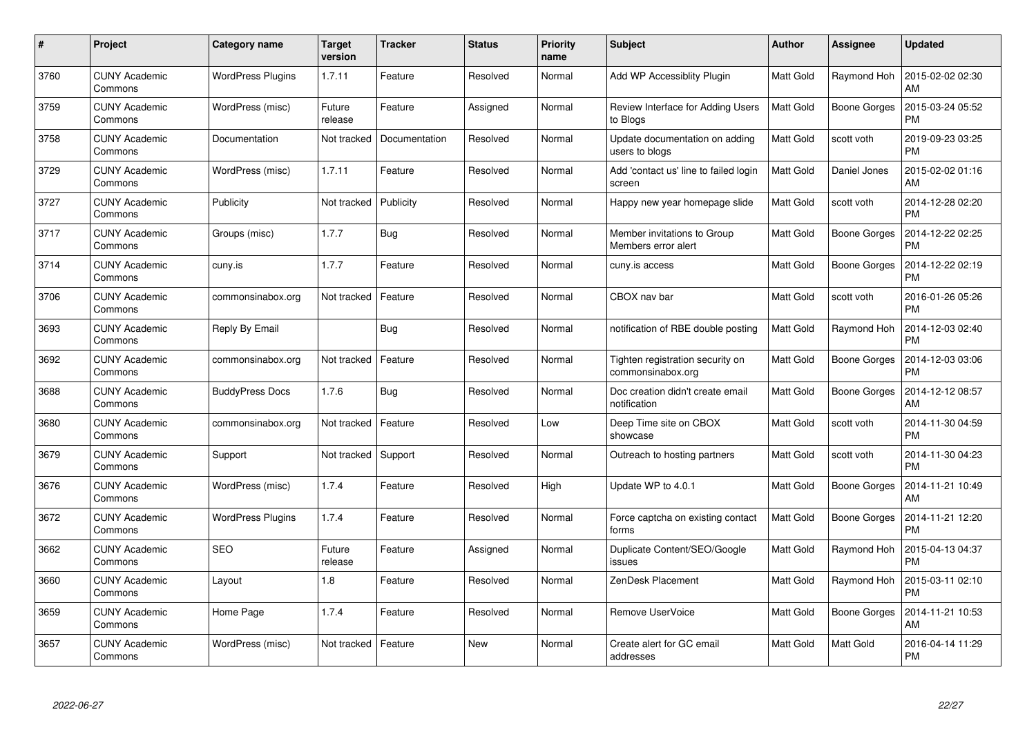| #    | Project                         | Category name            | <b>Target</b><br>version | <b>Tracker</b> | <b>Status</b> | <b>Priority</b><br>name | <b>Subject</b>                                        | Author           | Assignee            | <b>Updated</b>                |
|------|---------------------------------|--------------------------|--------------------------|----------------|---------------|-------------------------|-------------------------------------------------------|------------------|---------------------|-------------------------------|
| 3760 | <b>CUNY Academic</b><br>Commons | <b>WordPress Plugins</b> | 1.7.11                   | Feature        | Resolved      | Normal                  | Add WP Accessiblity Plugin                            | <b>Matt Gold</b> | Raymond Hoh         | 2015-02-02 02:30<br>AM        |
| 3759 | <b>CUNY Academic</b><br>Commons | WordPress (misc)         | Future<br>release        | Feature        | Assigned      | Normal                  | Review Interface for Adding Users<br>to Blogs         | Matt Gold        | Boone Gorges        | 2015-03-24 05:52<br><b>PM</b> |
| 3758 | <b>CUNY Academic</b><br>Commons | Documentation            | Not tracked              | Documentation  | Resolved      | Normal                  | Update documentation on adding<br>users to blogs      | <b>Matt Gold</b> | scott voth          | 2019-09-23 03:25<br><b>PM</b> |
| 3729 | <b>CUNY Academic</b><br>Commons | WordPress (misc)         | 1.7.11                   | Feature        | Resolved      | Normal                  | Add 'contact us' line to failed login<br>screen       | Matt Gold        | Daniel Jones        | 2015-02-02 01:16<br>AM        |
| 3727 | <b>CUNY Academic</b><br>Commons | Publicity                | Not tracked              | Publicity      | Resolved      | Normal                  | Happy new year homepage slide                         | Matt Gold        | scott voth          | 2014-12-28 02:20<br><b>PM</b> |
| 3717 | <b>CUNY Academic</b><br>Commons | Groups (misc)            | 1.7.7                    | <b>Bug</b>     | Resolved      | Normal                  | Member invitations to Group<br>Members error alert    | Matt Gold        | <b>Boone Gorges</b> | 2014-12-22 02:25<br><b>PM</b> |
| 3714 | <b>CUNY Academic</b><br>Commons | cuny.is                  | 1.7.7                    | Feature        | Resolved      | Normal                  | cuny.is access                                        | <b>Matt Gold</b> | <b>Boone Gorges</b> | 2014-12-22 02:19<br><b>PM</b> |
| 3706 | <b>CUNY Academic</b><br>Commons | commonsinabox.org        | Not tracked              | Feature        | Resolved      | Normal                  | CBOX nav bar                                          | Matt Gold        | scott voth          | 2016-01-26 05:26<br><b>PM</b> |
| 3693 | <b>CUNY Academic</b><br>Commons | Reply By Email           |                          | <b>Bug</b>     | Resolved      | Normal                  | notification of RBE double posting                    | Matt Gold        | Raymond Hoh         | 2014-12-03 02:40<br><b>PM</b> |
| 3692 | <b>CUNY Academic</b><br>Commons | commonsinabox.org        | Not tracked              | Feature        | Resolved      | Normal                  | Tighten registration security on<br>commonsinabox.org | Matt Gold        | <b>Boone Gorges</b> | 2014-12-03 03:06<br><b>PM</b> |
| 3688 | <b>CUNY Academic</b><br>Commons | <b>BuddyPress Docs</b>   | 1.7.6                    | Bug            | Resolved      | Normal                  | Doc creation didn't create email<br>notification      | Matt Gold        | <b>Boone Gorges</b> | 2014-12-12 08:57<br>AM        |
| 3680 | <b>CUNY Academic</b><br>Commons | commonsinabox.org        | Not tracked              | Feature        | Resolved      | Low                     | Deep Time site on CBOX<br>showcase                    | Matt Gold        | scott voth          | 2014-11-30 04:59<br><b>PM</b> |
| 3679 | <b>CUNY Academic</b><br>Commons | Support                  | Not tracked              | Support        | Resolved      | Normal                  | Outreach to hosting partners                          | Matt Gold        | scott voth          | 2014-11-30 04:23<br><b>PM</b> |
| 3676 | <b>CUNY Academic</b><br>Commons | WordPress (misc)         | 1.7.4                    | Feature        | Resolved      | High                    | Update WP to 4.0.1                                    | Matt Gold        | <b>Boone Gorges</b> | 2014-11-21 10:49<br>AM        |
| 3672 | <b>CUNY Academic</b><br>Commons | <b>WordPress Plugins</b> | 1.7.4                    | Feature        | Resolved      | Normal                  | Force captcha on existing contact<br>forms            | <b>Matt Gold</b> | Boone Gorges        | 2014-11-21 12:20<br><b>PM</b> |
| 3662 | <b>CUNY Academic</b><br>Commons | <b>SEO</b>               | Future<br>release        | Feature        | Assigned      | Normal                  | Duplicate Content/SEO/Google<br>issues                | <b>Matt Gold</b> | Raymond Hoh         | 2015-04-13 04:37<br><b>PM</b> |
| 3660 | <b>CUNY Academic</b><br>Commons | Layout                   | 1.8                      | Feature        | Resolved      | Normal                  | ZenDesk Placement                                     | Matt Gold        | Raymond Hoh         | 2015-03-11 02:10<br><b>PM</b> |
| 3659 | <b>CUNY Academic</b><br>Commons | Home Page                | 1.7.4                    | Feature        | Resolved      | Normal                  | Remove UserVoice                                      | Matt Gold        | <b>Boone Gorges</b> | 2014-11-21 10:53<br>AM        |
| 3657 | CUNY Academic<br>Commons        | WordPress (misc)         | Not tracked              | Feature        | <b>New</b>    | Normal                  | Create alert for GC email<br>addresses                | Matt Gold        | Matt Gold           | 2016-04-14 11:29<br>PM        |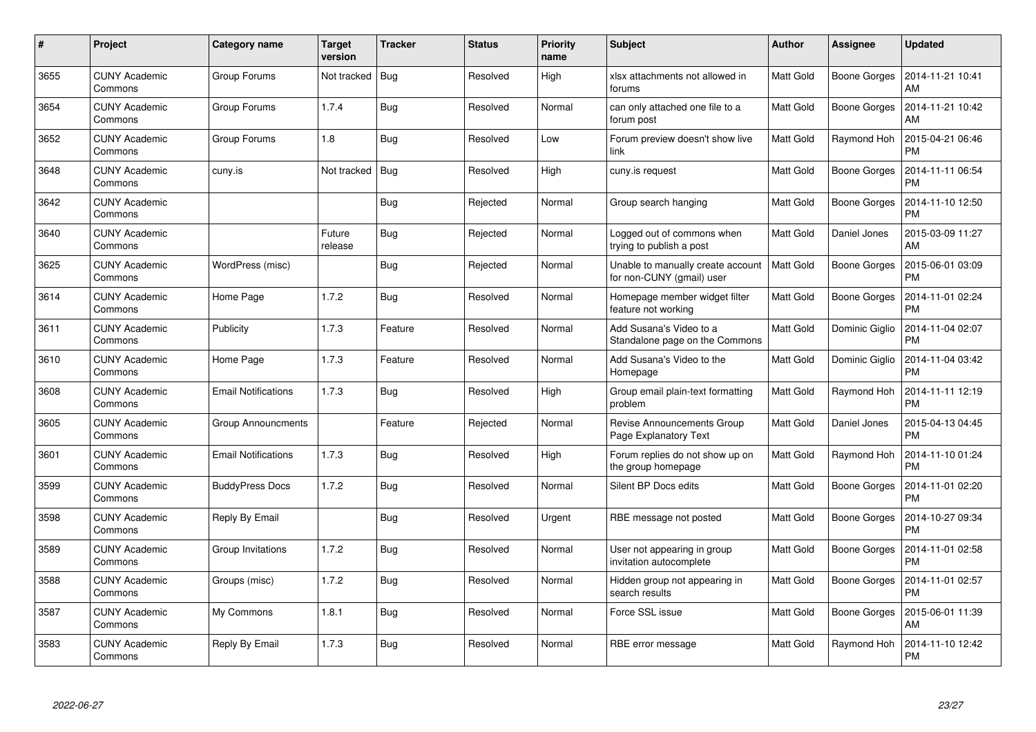| $\#$ | Project                         | Category name              | <b>Target</b><br>version | <b>Tracker</b> | <b>Status</b> | <b>Priority</b><br>name | <b>Subject</b>                                                 | Author           | Assignee            | <b>Updated</b>                |
|------|---------------------------------|----------------------------|--------------------------|----------------|---------------|-------------------------|----------------------------------------------------------------|------------------|---------------------|-------------------------------|
| 3655 | <b>CUNY Academic</b><br>Commons | Group Forums               | Not tracked              | Bug            | Resolved      | High                    | xlsx attachments not allowed in<br>forums                      | <b>Matt Gold</b> | <b>Boone Gorges</b> | 2014-11-21 10:41<br>AM        |
| 3654 | <b>CUNY Academic</b><br>Commons | Group Forums               | 1.7.4                    | Bug            | Resolved      | Normal                  | can only attached one file to a<br>forum post                  | Matt Gold        | <b>Boone Gorges</b> | 2014-11-21 10:42<br>AM        |
| 3652 | <b>CUNY Academic</b><br>Commons | Group Forums               | 1.8                      | Bug            | Resolved      | Low                     | Forum preview doesn't show live<br>link                        | <b>Matt Gold</b> | Raymond Hoh         | 2015-04-21 06:46<br><b>PM</b> |
| 3648 | <b>CUNY Academic</b><br>Commons | cuny.is                    | Not tracked              | Bug            | Resolved      | High                    | cuny.is request                                                | Matt Gold        | Boone Gorges        | 2014-11-11 06:54<br><b>PM</b> |
| 3642 | <b>CUNY Academic</b><br>Commons |                            |                          | Bug            | Rejected      | Normal                  | Group search hanging                                           | <b>Matt Gold</b> | Boone Gorges        | 2014-11-10 12:50<br><b>PM</b> |
| 3640 | <b>CUNY Academic</b><br>Commons |                            | Future<br>release        | Bug            | Rejected      | Normal                  | Logged out of commons when<br>trying to publish a post         | <b>Matt Gold</b> | Daniel Jones        | 2015-03-09 11:27<br>AM        |
| 3625 | <b>CUNY Academic</b><br>Commons | WordPress (misc)           |                          | Bug            | Rejected      | Normal                  | Unable to manually create account<br>for non-CUNY (gmail) user | <b>Matt Gold</b> | <b>Boone Gorges</b> | 2015-06-01 03:09<br><b>PM</b> |
| 3614 | <b>CUNY Academic</b><br>Commons | Home Page                  | 1.7.2                    | Bug            | Resolved      | Normal                  | Homepage member widget filter<br>feature not working           | Matt Gold        | Boone Gorges        | 2014-11-01 02:24<br><b>PM</b> |
| 3611 | <b>CUNY Academic</b><br>Commons | Publicity                  | 1.7.3                    | Feature        | Resolved      | Normal                  | Add Susana's Video to a<br>Standalone page on the Commons      | Matt Gold        | Dominic Giglio      | 2014-11-04 02:07<br><b>PM</b> |
| 3610 | <b>CUNY Academic</b><br>Commons | Home Page                  | 1.7.3                    | Feature        | Resolved      | Normal                  | Add Susana's Video to the<br>Homepage                          | <b>Matt Gold</b> | Dominic Giglio      | 2014-11-04 03:42<br><b>PM</b> |
| 3608 | <b>CUNY Academic</b><br>Commons | <b>Email Notifications</b> | 1.7.3                    | <b>Bug</b>     | Resolved      | High                    | Group email plain-text formatting<br>problem                   | Matt Gold        | Raymond Hoh         | 2014-11-11 12:19<br><b>PM</b> |
| 3605 | <b>CUNY Academic</b><br>Commons | Group Announcments         |                          | Feature        | Rejected      | Normal                  | <b>Revise Announcements Group</b><br>Page Explanatory Text     | Matt Gold        | Daniel Jones        | 2015-04-13 04:45<br><b>PM</b> |
| 3601 | <b>CUNY Academic</b><br>Commons | <b>Email Notifications</b> | 1.7.3                    | Bug            | Resolved      | High                    | Forum replies do not show up on<br>the group homepage          | Matt Gold        | Raymond Hoh         | 2014-11-10 01:24<br><b>PM</b> |
| 3599 | <b>CUNY Academic</b><br>Commons | <b>BuddyPress Docs</b>     | 1.7.2                    | <b>Bug</b>     | Resolved      | Normal                  | Silent BP Docs edits                                           | <b>Matt Gold</b> | <b>Boone Gorges</b> | 2014-11-01 02:20<br><b>PM</b> |
| 3598 | <b>CUNY Academic</b><br>Commons | Reply By Email             |                          | <b>Bug</b>     | Resolved      | Urgent                  | RBE message not posted                                         | Matt Gold        | Boone Gorges        | 2014-10-27 09:34<br><b>PM</b> |
| 3589 | <b>CUNY Academic</b><br>Commons | Group Invitations          | 1.7.2                    | Bug            | Resolved      | Normal                  | User not appearing in group<br>invitation autocomplete         | Matt Gold        | Boone Gorges        | 2014-11-01 02:58<br><b>PM</b> |
| 3588 | <b>CUNY Academic</b><br>Commons | Groups (misc)              | 1.7.2                    | Bug            | Resolved      | Normal                  | Hidden group not appearing in<br>search results                | Matt Gold        | Boone Gorges        | 2014-11-01 02:57<br><b>PM</b> |
| 3587 | <b>CUNY Academic</b><br>Commons | My Commons                 | 1.8.1                    | Bug            | Resolved      | Normal                  | Force SSL issue                                                | Matt Gold        | <b>Boone Gorges</b> | 2015-06-01 11:39<br>AM        |
| 3583 | CUNY Academic<br>Commons        | Reply By Email             | 1.7.3                    | <b>Bug</b>     | Resolved      | Normal                  | RBE error message                                              | Matt Gold        | Raymond Hoh         | 2014-11-10 12:42<br><b>PM</b> |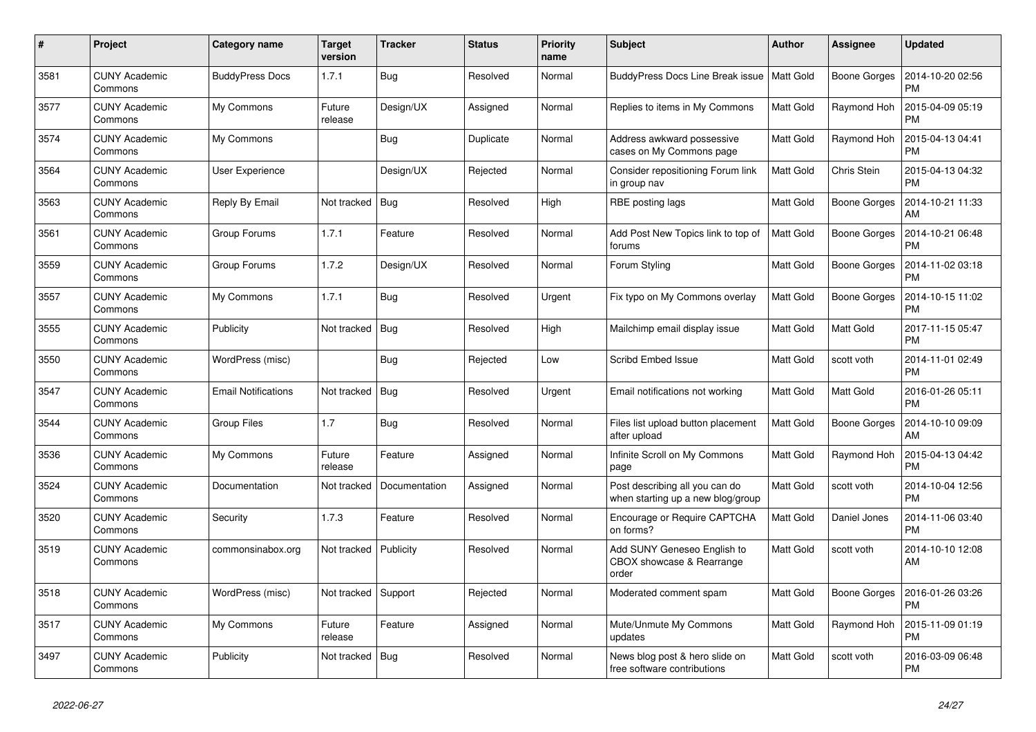| #    | Project                         | <b>Category name</b>       | <b>Target</b><br>version | <b>Tracker</b> | <b>Status</b> | Priority<br>name | <b>Subject</b>                                                      | Author           | Assignee            | <b>Updated</b>                |
|------|---------------------------------|----------------------------|--------------------------|----------------|---------------|------------------|---------------------------------------------------------------------|------------------|---------------------|-------------------------------|
| 3581 | <b>CUNY Academic</b><br>Commons | <b>BuddyPress Docs</b>     | 1.7.1                    | <b>Bug</b>     | Resolved      | Normal           | BuddyPress Docs Line Break issue                                    | Matt Gold        | <b>Boone Gorges</b> | 2014-10-20 02:56<br><b>PM</b> |
| 3577 | <b>CUNY Academic</b><br>Commons | My Commons                 | Future<br>release        | Design/UX      | Assigned      | Normal           | Replies to items in My Commons                                      | <b>Matt Gold</b> | Raymond Hoh         | 2015-04-09 05:19<br><b>PM</b> |
| 3574 | <b>CUNY Academic</b><br>Commons | My Commons                 |                          | <b>Bug</b>     | Duplicate     | Normal           | Address awkward possessive<br>cases on My Commons page              | <b>Matt Gold</b> | Raymond Hoh         | 2015-04-13 04:41<br><b>PM</b> |
| 3564 | <b>CUNY Academic</b><br>Commons | User Experience            |                          | Design/UX      | Rejected      | Normal           | Consider repositioning Forum link<br>in group nav                   | <b>Matt Gold</b> | Chris Stein         | 2015-04-13 04:32<br><b>PM</b> |
| 3563 | <b>CUNY Academic</b><br>Commons | Reply By Email             | Not tracked              | Bug            | Resolved      | High             | RBE posting lags                                                    | <b>Matt Gold</b> | Boone Gorges        | 2014-10-21 11:33<br>AM        |
| 3561 | <b>CUNY Academic</b><br>Commons | Group Forums               | 1.7.1                    | Feature        | Resolved      | Normal           | Add Post New Topics link to top of<br>forums                        | <b>Matt Gold</b> | Boone Gorges        | 2014-10-21 06:48<br><b>PM</b> |
| 3559 | <b>CUNY Academic</b><br>Commons | Group Forums               | 1.7.2                    | Design/UX      | Resolved      | Normal           | Forum Styling                                                       | <b>Matt Gold</b> | Boone Gorges        | 2014-11-02 03:18<br><b>PM</b> |
| 3557 | <b>CUNY Academic</b><br>Commons | My Commons                 | 1.7.1                    | <b>Bug</b>     | Resolved      | Urgent           | Fix typo on My Commons overlay                                      | <b>Matt Gold</b> | <b>Boone Gorges</b> | 2014-10-15 11:02<br><b>PM</b> |
| 3555 | <b>CUNY Academic</b><br>Commons | Publicity                  | Not tracked              | <b>Bug</b>     | Resolved      | High             | Mailchimp email display issue                                       | <b>Matt Gold</b> | Matt Gold           | 2017-11-15 05:47<br><b>PM</b> |
| 3550 | <b>CUNY Academic</b><br>Commons | WordPress (misc)           |                          | <b>Bug</b>     | Rejected      | Low              | Scribd Embed Issue                                                  | Matt Gold        | scott voth          | 2014-11-01 02:49<br><b>PM</b> |
| 3547 | <b>CUNY Academic</b><br>Commons | <b>Email Notifications</b> | Not tracked              | Bug            | Resolved      | Urgent           | Email notifications not working                                     | Matt Gold        | Matt Gold           | 2016-01-26 05:11<br><b>PM</b> |
| 3544 | <b>CUNY Academic</b><br>Commons | <b>Group Files</b>         | 1.7                      | <b>Bug</b>     | Resolved      | Normal           | Files list upload button placement<br>after upload                  | <b>Matt Gold</b> | <b>Boone Gorges</b> | 2014-10-10 09:09<br>AM        |
| 3536 | <b>CUNY Academic</b><br>Commons | My Commons                 | Future<br>release        | Feature        | Assigned      | Normal           | Infinite Scroll on My Commons<br>page                               | Matt Gold        | Raymond Hoh         | 2015-04-13 04:42<br><b>PM</b> |
| 3524 | <b>CUNY Academic</b><br>Commons | Documentation              | Not tracked              | Documentation  | Assigned      | Normal           | Post describing all you can do<br>when starting up a new blog/group | Matt Gold        | scott voth          | 2014-10-04 12:56<br><b>PM</b> |
| 3520 | <b>CUNY Academic</b><br>Commons | Security                   | 1.7.3                    | Feature        | Resolved      | Normal           | Encourage or Require CAPTCHA<br>on forms?                           | Matt Gold        | Daniel Jones        | 2014-11-06 03:40<br><b>PM</b> |
| 3519 | <b>CUNY Academic</b><br>Commons | commonsinabox.org          | Not tracked              | Publicity      | Resolved      | Normal           | Add SUNY Geneseo English to<br>CBOX showcase & Rearrange<br>order   | Matt Gold        | scott voth          | 2014-10-10 12:08<br>AM        |
| 3518 | <b>CUNY Academic</b><br>Commons | WordPress (misc)           | Not tracked              | Support        | Rejected      | Normal           | Moderated comment spam                                              | <b>Matt Gold</b> | <b>Boone Gorges</b> | 2016-01-26 03:26<br><b>PM</b> |
| 3517 | <b>CUNY Academic</b><br>Commons | My Commons                 | Future<br>release        | Feature        | Assigned      | Normal           | Mute/Unmute My Commons<br>updates                                   | <b>Matt Gold</b> | Raymond Hoh         | 2015-11-09 01:19<br><b>PM</b> |
| 3497 | <b>CUNY Academic</b><br>Commons | Publicity                  | Not tracked              | Bug            | Resolved      | Normal           | News blog post & hero slide on<br>free software contributions       | <b>Matt Gold</b> | scott voth          | 2016-03-09 06:48<br><b>PM</b> |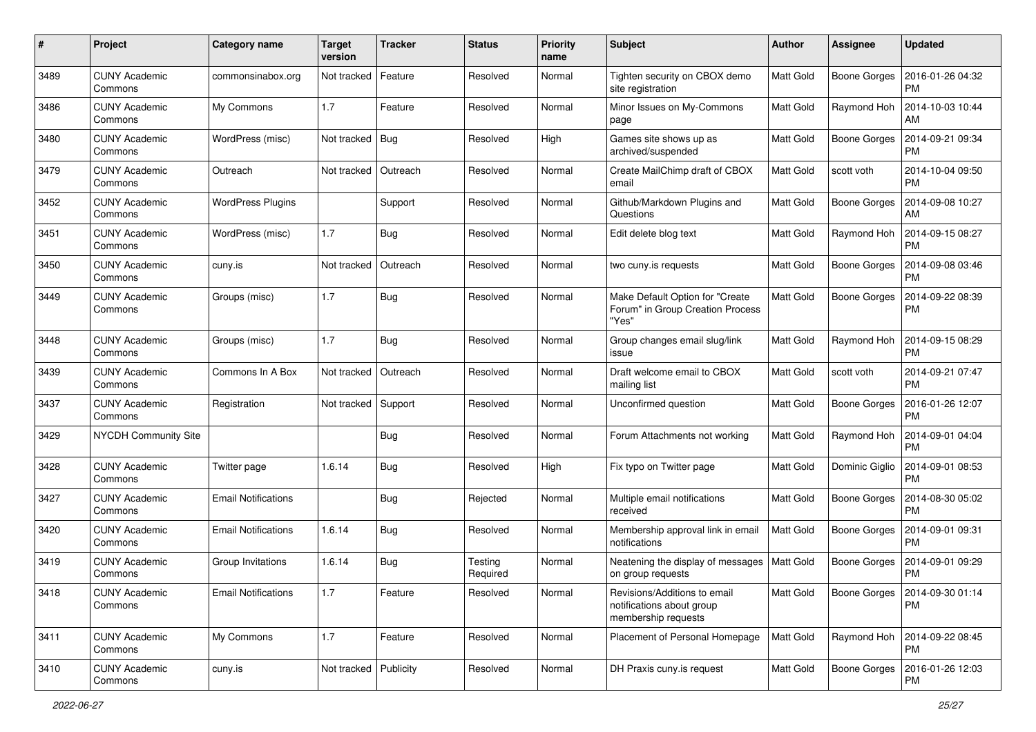| #    | Project                         | <b>Category name</b>       | <b>Target</b><br>version | <b>Tracker</b> | <b>Status</b>       | <b>Priority</b><br>name | <b>Subject</b>                                                                   | Author           | <b>Assignee</b>     | <b>Updated</b>                               |
|------|---------------------------------|----------------------------|--------------------------|----------------|---------------------|-------------------------|----------------------------------------------------------------------------------|------------------|---------------------|----------------------------------------------|
| 3489 | <b>CUNY Academic</b><br>Commons | commonsinabox.org          | Not tracked              | Feature        | Resolved            | Normal                  | Tighten security on CBOX demo<br>site registration                               | <b>Matt Gold</b> | <b>Boone Gorges</b> | 2016-01-26 04:32<br><b>PM</b>                |
| 3486 | <b>CUNY Academic</b><br>Commons | My Commons                 | 1.7                      | Feature        | Resolved            | Normal                  | Minor Issues on My-Commons<br>page                                               | Matt Gold        | Raymond Hoh         | 2014-10-03 10:44<br>AM                       |
| 3480 | CUNY Academic<br>Commons        | WordPress (misc)           | Not tracked              | Bug            | Resolved            | High                    | Games site shows up as<br>archived/suspended                                     | <b>Matt Gold</b> | <b>Boone Gorges</b> | 2014-09-21 09:34<br><b>PM</b>                |
| 3479 | <b>CUNY Academic</b><br>Commons | Outreach                   | Not tracked              | Outreach       | Resolved            | Normal                  | Create MailChimp draft of CBOX<br>email                                          | <b>Matt Gold</b> | scott voth          | 2014-10-04 09:50<br><b>PM</b>                |
| 3452 | <b>CUNY Academic</b><br>Commons | <b>WordPress Plugins</b>   |                          | Support        | Resolved            | Normal                  | Github/Markdown Plugins and<br>Questions                                         | Matt Gold        | <b>Boone Gorges</b> | 2014-09-08 10:27<br>AM                       |
| 3451 | <b>CUNY Academic</b><br>Commons | WordPress (misc)           | 1.7                      | Bug            | Resolved            | Normal                  | Edit delete blog text                                                            | <b>Matt Gold</b> | Raymond Hoh         | 2014-09-15 08:27<br><b>PM</b>                |
| 3450 | <b>CUNY Academic</b><br>Commons | cuny.is                    | Not tracked              | Outreach       | Resolved            | Normal                  | two cuny.is requests                                                             | Matt Gold        | <b>Boone Gorges</b> | 2014-09-08 03:46<br><b>PM</b>                |
| 3449 | <b>CUNY Academic</b><br>Commons | Groups (misc)              | 1.7                      | Bug            | Resolved            | Normal                  | Make Default Option for "Create<br>Forum" in Group Creation Process<br>"Yes"     | <b>Matt Gold</b> | <b>Boone Gorges</b> | 2014-09-22 08:39<br><b>PM</b>                |
| 3448 | <b>CUNY Academic</b><br>Commons | Groups (misc)              | 1.7                      | Bug            | Resolved            | Normal                  | Group changes email slug/link<br>issue                                           | <b>Matt Gold</b> | Raymond Hoh         | 2014-09-15 08:29<br><b>PM</b>                |
| 3439 | <b>CUNY Academic</b><br>Commons | Commons In A Box           | Not tracked              | Outreach       | Resolved            | Normal                  | Draft welcome email to CBOX<br>mailing list                                      | <b>Matt Gold</b> | scott voth          | 2014-09-21 07:47<br><b>PM</b>                |
| 3437 | <b>CUNY Academic</b><br>Commons | Registration               | Not tracked              | Support        | Resolved            | Normal                  | Unconfirmed question                                                             | <b>Matt Gold</b> | <b>Boone Gorges</b> | 2016-01-26 12:07<br><b>PM</b>                |
| 3429 | <b>NYCDH Community Site</b>     |                            |                          | Bug            | Resolved            | Normal                  | Forum Attachments not working                                                    | <b>Matt Gold</b> | Raymond Hoh         | 2014-09-01 04:04<br><b>PM</b>                |
| 3428 | <b>CUNY Academic</b><br>Commons | Twitter page               | 1.6.14                   | Bug            | Resolved            | High                    | Fix typo on Twitter page                                                         | Matt Gold        | Dominic Giglio      | 2014-09-01 08:53<br><b>PM</b>                |
| 3427 | <b>CUNY Academic</b><br>Commons | <b>Email Notifications</b> |                          | Bug            | Rejected            | Normal                  | Multiple email notifications<br>received                                         | <b>Matt Gold</b> | <b>Boone Gorges</b> | 2014-08-30 05:02<br><b>PM</b>                |
| 3420 | <b>CUNY Academic</b><br>Commons | <b>Email Notifications</b> | 1.6.14                   | Bug            | Resolved            | Normal                  | Membership approval link in email<br>notifications                               | <b>Matt Gold</b> | Boone Gorges        | 2014-09-01 09:31<br><b>PM</b>                |
| 3419 | <b>CUNY Academic</b><br>Commons | Group Invitations          | 1.6.14                   | Bug            | Testing<br>Required | Normal                  | Neatening the display of messages<br>on group requests                           | <b>Matt Gold</b> | <b>Boone Gorges</b> | 2014-09-01 09:29<br><b>PM</b>                |
| 3418 | <b>CUNY Academic</b><br>Commons | <b>Email Notifications</b> | 1.7                      | Feature        | Resolved            | Normal                  | Revisions/Additions to email<br>notifications about group<br>membership requests | Matt Gold        |                     | Boone Gorges   2014-09-30 01:14<br><b>PM</b> |
| 3411 | <b>CUNY Academic</b><br>Commons | My Commons                 | 1.7                      | Feature        | Resolved            | Normal                  | Placement of Personal Homepage                                                   | Matt Gold        | Raymond Hoh         | 2014-09-22 08:45<br><b>PM</b>                |
| 3410 | <b>CUNY Academic</b><br>Commons | cuny.is                    | Not tracked Publicity    |                | Resolved            | Normal                  | DH Praxis cuny.is request                                                        | Matt Gold        | <b>Boone Gorges</b> | 2016-01-26 12:03<br><b>PM</b>                |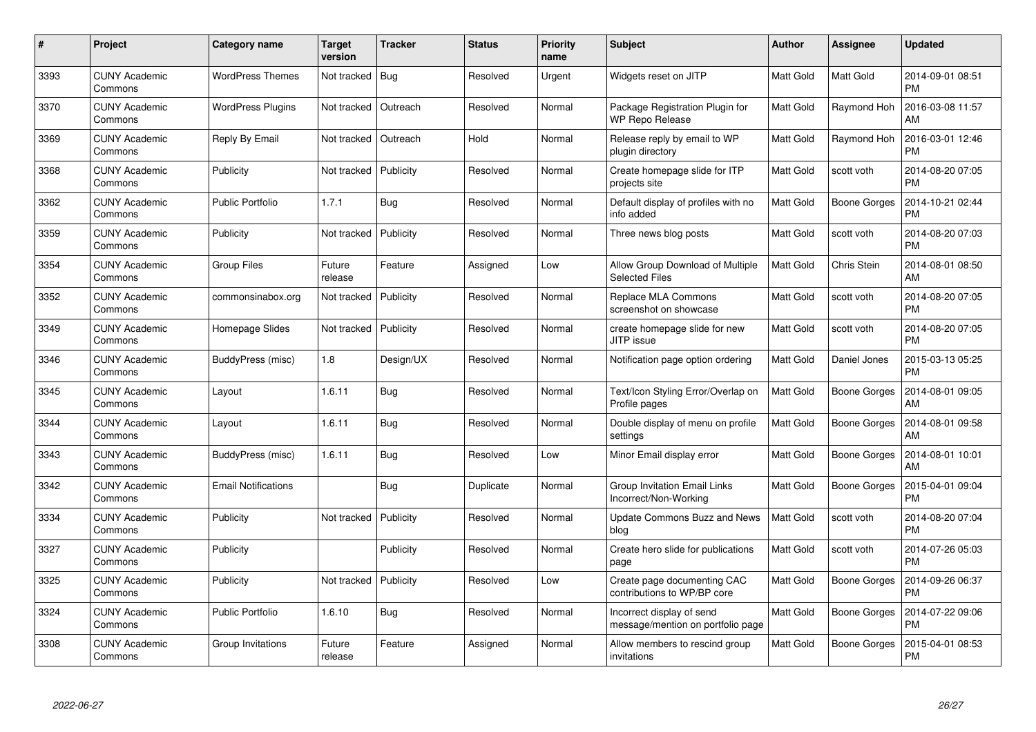| #    | Project                         | Category name              | <b>Target</b><br>version | <b>Tracker</b> | <b>Status</b> | <b>Priority</b><br>name | <b>Subject</b>                                                 | <b>Author</b>    | Assignee            | <b>Updated</b>                |
|------|---------------------------------|----------------------------|--------------------------|----------------|---------------|-------------------------|----------------------------------------------------------------|------------------|---------------------|-------------------------------|
| 3393 | <b>CUNY Academic</b><br>Commons | <b>WordPress Themes</b>    | Not tracked              | <b>Bug</b>     | Resolved      | Urgent                  | Widgets reset on JITP                                          | <b>Matt Gold</b> | Matt Gold           | 2014-09-01 08:51<br><b>PM</b> |
| 3370 | <b>CUNY Academic</b><br>Commons | <b>WordPress Plugins</b>   | Not tracked              | Outreach       | Resolved      | Normal                  | Package Registration Plugin for<br><b>WP Repo Release</b>      | Matt Gold        | Raymond Hoh         | 2016-03-08 11:57<br>AM        |
| 3369 | <b>CUNY Academic</b><br>Commons | Reply By Email             | Not tracked              | Outreach       | Hold          | Normal                  | Release reply by email to WP<br>plugin directory               | <b>Matt Gold</b> | Raymond Hoh         | 2016-03-01 12:46<br><b>PM</b> |
| 3368 | <b>CUNY Academic</b><br>Commons | Publicity                  | Not tracked              | Publicity      | Resolved      | Normal                  | Create homepage slide for ITP<br>projects site                 | Matt Gold        | scott voth          | 2014-08-20 07:05<br><b>PM</b> |
| 3362 | <b>CUNY Academic</b><br>Commons | <b>Public Portfolio</b>    | 1.7.1                    | <b>Bug</b>     | Resolved      | Normal                  | Default display of profiles with no<br>info added              | Matt Gold        | <b>Boone Gorges</b> | 2014-10-21 02:44<br><b>PM</b> |
| 3359 | <b>CUNY Academic</b><br>Commons | Publicity                  | Not tracked              | Publicity      | Resolved      | Normal                  | Three news blog posts                                          | Matt Gold        | scott voth          | 2014-08-20 07:03<br><b>PM</b> |
| 3354 | <b>CUNY Academic</b><br>Commons | <b>Group Files</b>         | Future<br>release        | Feature        | Assigned      | Low                     | Allow Group Download of Multiple<br><b>Selected Files</b>      | <b>Matt Gold</b> | Chris Stein         | 2014-08-01 08:50<br>AM        |
| 3352 | <b>CUNY Academic</b><br>Commons | commonsinabox.org          | Not tracked              | Publicity      | Resolved      | Normal                  | Replace MLA Commons<br>screenshot on showcase                  | <b>Matt Gold</b> | scott voth          | 2014-08-20 07:05<br><b>PM</b> |
| 3349 | <b>CUNY Academic</b><br>Commons | Homepage Slides            | Not tracked              | Publicity      | Resolved      | Normal                  | create homepage slide for new<br>JITP issue                    | Matt Gold        | scott voth          | 2014-08-20 07:05<br><b>PM</b> |
| 3346 | <b>CUNY Academic</b><br>Commons | BuddyPress (misc)          | 1.8                      | Design/UX      | Resolved      | Normal                  | Notification page option ordering                              | <b>Matt Gold</b> | Daniel Jones        | 2015-03-13 05:25<br><b>PM</b> |
| 3345 | <b>CUNY Academic</b><br>Commons | Layout                     | 1.6.11                   | <b>Bug</b>     | Resolved      | Normal                  | Text/Icon Styling Error/Overlap on<br>Profile pages            | Matt Gold        | <b>Boone Gorges</b> | 2014-08-01 09:05<br>AM        |
| 3344 | <b>CUNY Academic</b><br>Commons | Layout                     | 1.6.11                   | <b>Bug</b>     | Resolved      | Normal                  | Double display of menu on profile<br>settings                  | Matt Gold        | <b>Boone Gorges</b> | 2014-08-01 09:58<br>AM        |
| 3343 | <b>CUNY Academic</b><br>Commons | BuddyPress (misc)          | 1.6.11                   | Bug            | Resolved      | Low                     | Minor Email display error                                      | Matt Gold        | <b>Boone Gorges</b> | 2014-08-01 10:01<br>AM        |
| 3342 | <b>CUNY Academic</b><br>Commons | <b>Email Notifications</b> |                          | Bug            | Duplicate     | Normal                  | Group Invitation Email Links<br>Incorrect/Non-Working          | Matt Gold        | <b>Boone Gorges</b> | 2015-04-01 09:04<br><b>PM</b> |
| 3334 | <b>CUNY Academic</b><br>Commons | Publicity                  | Not tracked              | Publicity      | Resolved      | Normal                  | Update Commons Buzz and News<br>blog                           | Matt Gold        | scott voth          | 2014-08-20 07:04<br><b>PM</b> |
| 3327 | <b>CUNY Academic</b><br>Commons | Publicity                  |                          | Publicity      | Resolved      | Normal                  | Create hero slide for publications<br>page                     | Matt Gold        | scott voth          | 2014-07-26 05:03<br><b>PM</b> |
| 3325 | <b>CUNY Academic</b><br>Commons | Publicity                  | Not tracked              | Publicity      | Resolved      | Low                     | Create page documenting CAC<br>contributions to WP/BP core     | Matt Gold        | <b>Boone Gorges</b> | 2014-09-26 06:37<br><b>PM</b> |
| 3324 | <b>CUNY Academic</b><br>Commons | <b>Public Portfolio</b>    | 1.6.10                   | <b>Bug</b>     | Resolved      | Normal                  | Incorrect display of send<br>message/mention on portfolio page | Matt Gold        | <b>Boone Gorges</b> | 2014-07-22 09:06<br><b>PM</b> |
| 3308 | CUNY Academic<br>Commons        | Group Invitations          | Future<br>release        | Feature        | Assigned      | Normal                  | Allow members to rescind group<br>invitations                  | Matt Gold        | Boone Gorges        | 2015-04-01 08:53<br>PM        |